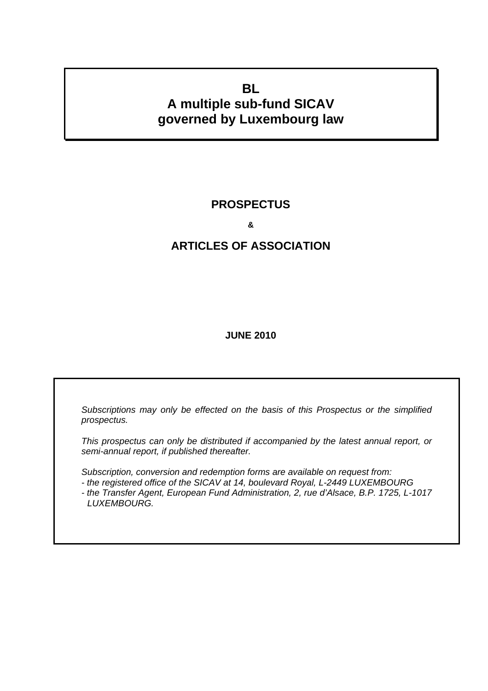### **PROSPECTUS**

**&** 

### **ARTICLES OF ASSOCIATION**

### **JUNE 2010**

*Subscriptions may only be effected on the basis of this Prospectus or the simplified prospectus.* 

*This prospectus can only be distributed if accompanied by the latest annual report, or semi-annual report, if published thereafter.*

*Subscription, conversion and redemption forms are available on request from:* 

*- the registered office of the SICAV at 14, boulevard Royal, L-2449 LUXEMBOURG* 

*- the Transfer Agent, European Fund Administration, 2, rue d'Alsace, B.P. 1725, L-1017 LUXEMBOURG.*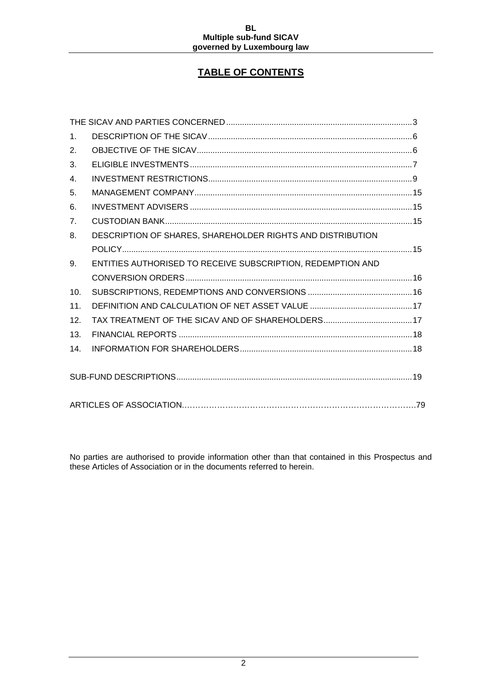### **TABLE OF CONTENTS**

| 1 <sub>1</sub> |                                                             |  |
|----------------|-------------------------------------------------------------|--|
| 2.             |                                                             |  |
| 3.             |                                                             |  |
| 4.             |                                                             |  |
| 5.             |                                                             |  |
| 6.             |                                                             |  |
| 7 <sub>1</sub> |                                                             |  |
| 8.             | DESCRIPTION OF SHARES, SHAREHOLDER RIGHTS AND DISTRIBUTION  |  |
|                |                                                             |  |
| 9.             | ENTITIES AUTHORISED TO RECEIVE SUBSCRIPTION, REDEMPTION AND |  |
|                |                                                             |  |
| 10.            |                                                             |  |
| 11.            |                                                             |  |
| 12.            |                                                             |  |
| 13.            |                                                             |  |
| 14.            |                                                             |  |
|                |                                                             |  |
|                |                                                             |  |

No parties are authorised to provide information other than that contained in this Prospectus and these Articles of Association or in the documents referred to herein.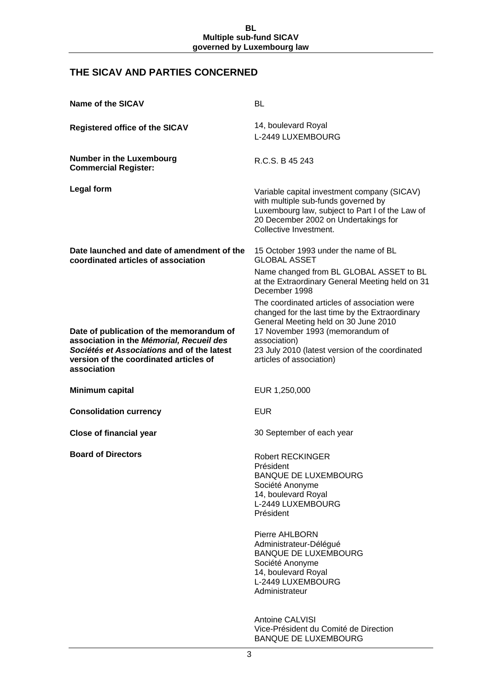### **THE SICAV AND PARTIES CONCERNED**

| Name of the SICAV                                                                                                                                                                           | <b>BL</b>                                                                                                                                                                                                                                                                                                   |
|---------------------------------------------------------------------------------------------------------------------------------------------------------------------------------------------|-------------------------------------------------------------------------------------------------------------------------------------------------------------------------------------------------------------------------------------------------------------------------------------------------------------|
| <b>Registered office of the SICAV</b>                                                                                                                                                       | 14, boulevard Royal<br>L-2449 LUXEMBOURG                                                                                                                                                                                                                                                                    |
| <b>Number in the Luxembourg</b><br><b>Commercial Register:</b>                                                                                                                              | R.C.S. B 45 243                                                                                                                                                                                                                                                                                             |
| <b>Legal form</b>                                                                                                                                                                           | Variable capital investment company (SICAV)<br>with multiple sub-funds governed by<br>Luxembourg law, subject to Part I of the Law of<br>20 December 2002 on Undertakings for<br>Collective Investment.                                                                                                     |
| Date launched and date of amendment of the<br>coordinated articles of association                                                                                                           | 15 October 1993 under the name of BL<br><b>GLOBAL ASSET</b>                                                                                                                                                                                                                                                 |
|                                                                                                                                                                                             | Name changed from BL GLOBAL ASSET to BL<br>at the Extraordinary General Meeting held on 31<br>December 1998                                                                                                                                                                                                 |
|                                                                                                                                                                                             | The coordinated articles of association were<br>changed for the last time by the Extraordinary<br>General Meeting held on 30 June 2010                                                                                                                                                                      |
| Date of publication of the memorandum of<br>association in the Mémorial, Recueil des<br>Sociétés et Associations and of the latest<br>version of the coordinated articles of<br>association | 17 November 1993 (memorandum of<br>association)<br>23 July 2010 (latest version of the coordinated<br>articles of association)                                                                                                                                                                              |
| <b>Minimum capital</b>                                                                                                                                                                      | EUR 1,250,000                                                                                                                                                                                                                                                                                               |
| <b>Consolidation currency</b>                                                                                                                                                               | <b>EUR</b>                                                                                                                                                                                                                                                                                                  |
| <b>Close of financial year</b>                                                                                                                                                              | 30 September of each year                                                                                                                                                                                                                                                                                   |
| <b>Board of Directors</b>                                                                                                                                                                   | <b>Robert RECKINGER</b><br>Président<br><b>BANQUE DE LUXEMBOURG</b><br>Société Anonyme<br>14, boulevard Royal<br>L-2449 LUXEMBOURG<br>Président<br>Pierre AHLBORN<br>Administrateur-Délégué<br><b>BANQUE DE LUXEMBOURG</b><br>Société Anonyme<br>14, boulevard Royal<br>L-2449 LUXEMBOURG<br>Administrateur |
|                                                                                                                                                                                             | Antoine CALVISI<br>Vice-Président du Comité de Direction<br><b>BANQUE DE LUXEMBOURG</b>                                                                                                                                                                                                                     |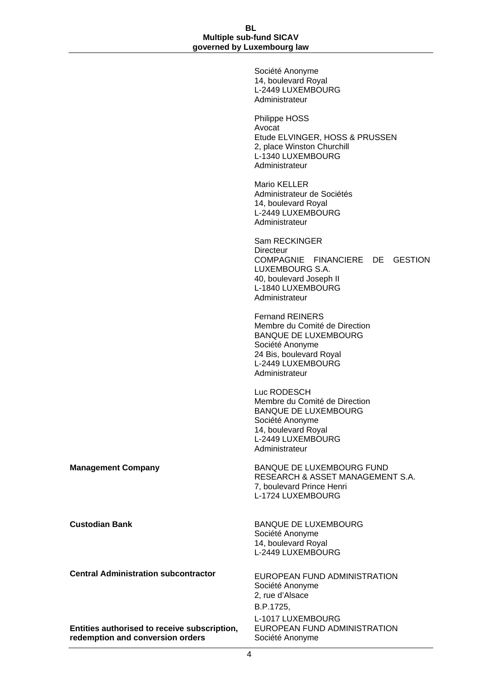|                                                                                  | Société Anonyme<br>14, boulevard Royal<br>L-2449 LUXEMBOURG<br>Administrateur                                                                                               |
|----------------------------------------------------------------------------------|-----------------------------------------------------------------------------------------------------------------------------------------------------------------------------|
|                                                                                  | Philippe HOSS<br>Avocat<br>Etude ELVINGER, HOSS & PRUSSEN<br>2, place Winston Churchill<br>L-1340 LUXEMBOURG<br>Administrateur                                              |
|                                                                                  | <b>Mario KELLER</b><br>Administrateur de Sociétés<br>14, boulevard Royal<br>L-2449 LUXEMBOURG<br>Administrateur                                                             |
|                                                                                  | Sam RECKINGER<br><b>Directeur</b><br>COMPAGNIE FINANCIERE DE GESTION<br>LUXEMBOURG S.A.<br>40, boulevard Joseph II<br>L-1840 LUXEMBOURG<br>Administrateur                   |
|                                                                                  | <b>Fernand REINERS</b><br>Membre du Comité de Direction<br><b>BANQUE DE LUXEMBOURG</b><br>Société Anonyme<br>24 Bis, boulevard Royal<br>L-2449 LUXEMBOURG<br>Administrateur |
|                                                                                  | Luc RODESCH<br>Membre du Comité de Direction<br><b>BANQUE DE LUXEMBOURG</b><br>Société Anonyme<br>14, boulevard Royal<br>L-2449 LUXEMBOURG<br>Administrateur                |
| <b>Management Company</b>                                                        | <b>BANQUE DE LUXEMBOURG FUND</b><br>RESEARCH & ASSET MANAGEMENT S.A.<br>7, boulevard Prince Henri<br>L-1724 LUXEMBOURG                                                      |
| <b>Custodian Bank</b>                                                            | <b>BANQUE DE LUXEMBOURG</b><br>Société Anonyme<br>14, boulevard Royal<br>L-2449 LUXEMBOURG                                                                                  |
| <b>Central Administration subcontractor</b>                                      | EUROPEAN FUND ADMINISTRATION<br>Société Anonyme<br>2, rue d'Alsace<br>B.P.1725,                                                                                             |
| Entities authorised to receive subscription,<br>redemption and conversion orders | L-1017 LUXEMBOURG<br>EUROPEAN FUND ADMINISTRATION<br>Société Anonyme                                                                                                        |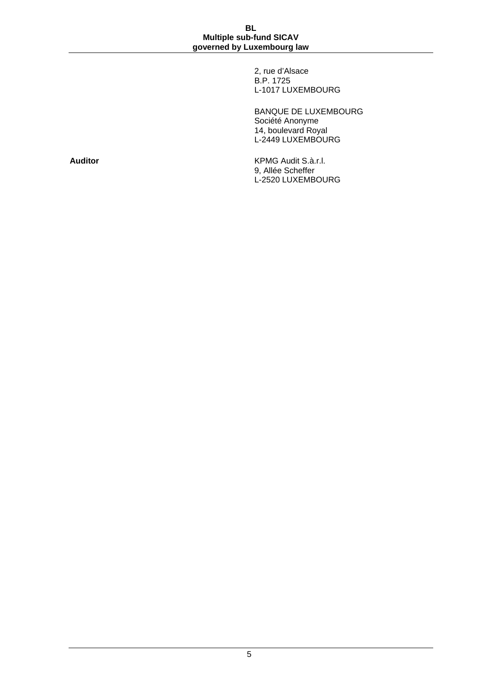2, rue d'Alsace B.P. 1725 L-1017 LUXEMBOURG

BANQUE DE LUXEMBOURG Société Anonyme 14, boulevard Royal L-2449 LUXEMBOURG

**Auditor** KPMG Audit S.à.r.l. 9, Allée Scheffer L-2520 LUXEMBOURG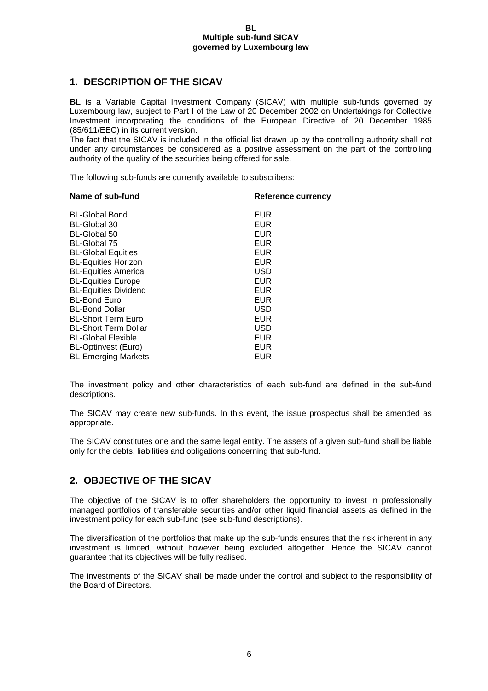### **1. DESCRIPTION OF THE SICAV**

**BL** is a Variable Capital Investment Company (SICAV) with multiple sub-funds governed by Luxembourg law, subject to Part I of the Law of 20 December 2002 on Undertakings for Collective Investment incorporating the conditions of the European Directive of 20 December 1985 (85/611/EEC) in its current version.

The fact that the SICAV is included in the official list drawn up by the controlling authority shall not under any circumstances be considered as a positive assessment on the part of the controlling authority of the quality of the securities being offered for sale.

The following sub-funds are currently available to subscribers:

| <b>Reference currency</b> |
|---------------------------|
| EUR                       |
| EUR                       |
| EUR                       |
| <b>EUR</b>                |
| <b>EUR</b>                |
| EUR                       |
| USD                       |
| EUR                       |
| EUR                       |
| <b>EUR</b>                |
| <b>USD</b>                |
| <b>EUR</b>                |
| <b>USD</b>                |
| EUR                       |
| <b>EUR</b>                |
| EUR                       |
|                           |

The investment policy and other characteristics of each sub-fund are defined in the sub-fund descriptions.

The SICAV may create new sub-funds. In this event, the issue prospectus shall be amended as appropriate.

The SICAV constitutes one and the same legal entity. The assets of a given sub-fund shall be liable only for the debts, liabilities and obligations concerning that sub-fund.

### **2. OBJECTIVE OF THE SICAV**

The objective of the SICAV is to offer shareholders the opportunity to invest in professionally managed portfolios of transferable securities and/or other liquid financial assets as defined in the investment policy for each sub-fund (see sub-fund descriptions).

The diversification of the portfolios that make up the sub-funds ensures that the risk inherent in any investment is limited, without however being excluded altogether. Hence the SICAV cannot guarantee that its objectives will be fully realised.

The investments of the SICAV shall be made under the control and subject to the responsibility of the Board of Directors.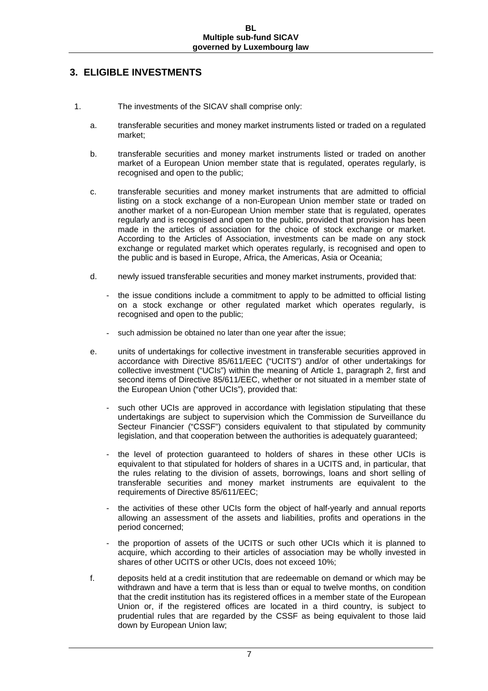### **3. ELIGIBLE INVESTMENTS**

- 1. The investments of the SICAV shall comprise only:
	- a. transferable securities and money market instruments listed or traded on a regulated market;
	- b. transferable securities and money market instruments listed or traded on another market of a European Union member state that is regulated, operates regularly, is recognised and open to the public;
	- c. transferable securities and money market instruments that are admitted to official listing on a stock exchange of a non-European Union member state or traded on another market of a non-European Union member state that is regulated, operates regularly and is recognised and open to the public, provided that provision has been made in the articles of association for the choice of stock exchange or market. According to the Articles of Association, investments can be made on any stock exchange or regulated market which operates regularly, is recognised and open to the public and is based in Europe, Africa, the Americas, Asia or Oceania;
	- d. newly issued transferable securities and money market instruments, provided that:
		- the issue conditions include a commitment to apply to be admitted to official listing on a stock exchange or other regulated market which operates regularly, is recognised and open to the public;
		- such admission be obtained no later than one year after the issue;
	- e. units of undertakings for collective investment in transferable securities approved in accordance with Directive 85/611/EEC ("UCITS") and/or of other undertakings for collective investment ("UCIs") within the meaning of Article 1, paragraph 2, first and second items of Directive 85/611/EEC, whether or not situated in a member state of the European Union ("other UCIs"), provided that:
		- such other UCIs are approved in accordance with legislation stipulating that these undertakings are subject to supervision which the Commission de Surveillance du Secteur Financier ("CSSF") considers equivalent to that stipulated by community legislation, and that cooperation between the authorities is adequately guaranteed;
		- the level of protection guaranteed to holders of shares in these other UCIs is equivalent to that stipulated for holders of shares in a UCITS and, in particular, that the rules relating to the division of assets, borrowings, loans and short selling of transferable securities and money market instruments are equivalent to the requirements of Directive 85/611/EEC;
		- the activities of these other UCIs form the object of half-yearly and annual reports allowing an assessment of the assets and liabilities, profits and operations in the period concerned;
		- the proportion of assets of the UCITS or such other UCIs which it is planned to acquire, which according to their articles of association may be wholly invested in shares of other UCITS or other UCIs, does not exceed 10%;
	- f. deposits held at a credit institution that are redeemable on demand or which may be withdrawn and have a term that is less than or equal to twelve months, on condition that the credit institution has its registered offices in a member state of the European Union or, if the registered offices are located in a third country, is subject to prudential rules that are regarded by the CSSF as being equivalent to those laid down by European Union law;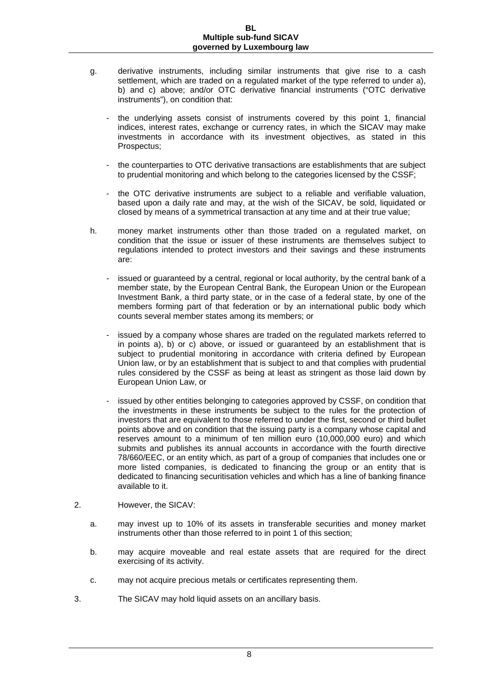- g. derivative instruments, including similar instruments that give rise to a cash settlement, which are traded on a regulated market of the type referred to under a), b) and c) above; and/or OTC derivative financial instruments ("OTC derivative instruments"), on condition that:
	- the underlying assets consist of instruments covered by this point 1, financial indices, interest rates, exchange or currency rates, in which the SICAV may make investments in accordance with its investment objectives, as stated in this Prospectus;
	- the counterparties to OTC derivative transactions are establishments that are subject to prudential monitoring and which belong to the categories licensed by the CSSF;
	- the OTC derivative instruments are subject to a reliable and verifiable valuation, based upon a daily rate and may, at the wish of the SICAV, be sold, liquidated or closed by means of a symmetrical transaction at any time and at their true value;
- h. money market instruments other than those traded on a regulated market, on condition that the issue or issuer of these instruments are themselves subject to regulations intended to protect investors and their savings and these instruments are:
	- issued or guaranteed by a central, regional or local authority, by the central bank of a member state, by the European Central Bank, the European Union or the European Investment Bank, a third party state, or in the case of a federal state, by one of the members forming part of that federation or by an international public body which counts several member states among its members; or
	- issued by a company whose shares are traded on the regulated markets referred to in points a), b) or c) above, or issued or guaranteed by an establishment that is subject to prudential monitoring in accordance with criteria defined by European Union law, or by an establishment that is subject to and that complies with prudential rules considered by the CSSF as being at least as stringent as those laid down by European Union Law, or
	- issued by other entities belonging to categories approved by CSSF, on condition that the investments in these instruments be subject to the rules for the protection of investors that are equivalent to those referred to under the first, second or third bullet points above and on condition that the issuing party is a company whose capital and reserves amount to a minimum of ten million euro (10,000,000 euro) and which submits and publishes its annual accounts in accordance with the fourth directive 78/660/EEC, or an entity which, as part of a group of companies that includes one or more listed companies, is dedicated to financing the group or an entity that is dedicated to financing securitisation vehicles and which has a line of banking finance available to it.
- 2. However, the SICAV:
	- a. may invest up to 10% of its assets in transferable securities and money market instruments other than those referred to in point 1 of this section;
	- b. may acquire moveable and real estate assets that are required for the direct exercising of its activity.
	- c. may not acquire precious metals or certificates representing them.
- 3. The SICAV may hold liquid assets on an ancillary basis.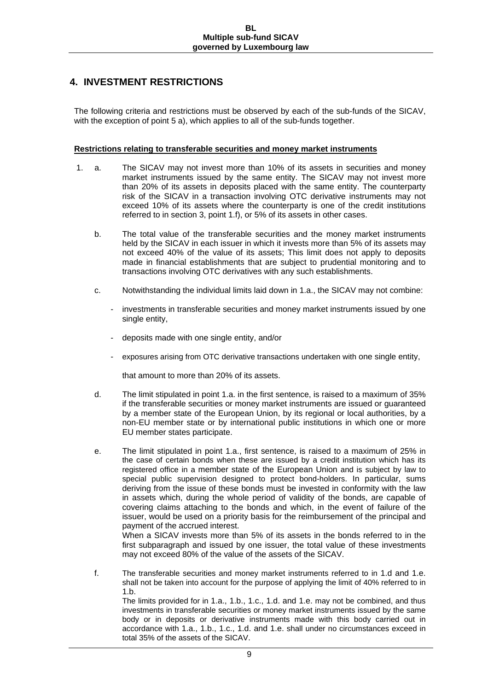### **4. INVESTMENT RESTRICTIONS**

The following criteria and restrictions must be observed by each of the sub-funds of the SICAV, with the exception of point 5 a), which applies to all of the sub-funds together.

#### **Restrictions relating to transferable securities and money market instruments**

- 1. a. The SICAV may not invest more than 10% of its assets in securities and money market instruments issued by the same entity. The SICAV may not invest more than 20% of its assets in deposits placed with the same entity. The counterparty risk of the SICAV in a transaction involving OTC derivative instruments may not exceed 10% of its assets where the counterparty is one of the credit institutions referred to in section 3, point 1.f), or 5% of its assets in other cases.
	- b. The total value of the transferable securities and the money market instruments held by the SICAV in each issuer in which it invests more than 5% of its assets may not exceed 40% of the value of its assets; This limit does not apply to deposits made in financial establishments that are subject to prudential monitoring and to transactions involving OTC derivatives with any such establishments.
	- c. Notwithstanding the individual limits laid down in 1.a., the SICAV may not combine:
		- investments in transferable securities and money market instruments issued by one single entity,
		- deposits made with one single entity, and/or
		- exposures arising from OTC derivative transactions undertaken with one single entity,

that amount to more than 20% of its assets.

- d. The limit stipulated in point 1.a. in the first sentence, is raised to a maximum of 35% if the transferable securities or money market instruments are issued or guaranteed by a member state of the European Union, by its regional or local authorities, by a non-EU member state or by international public institutions in which one or more EU member states participate.
- e. The limit stipulated in point 1.a., first sentence, is raised to a maximum of 25% in the case of certain bonds when these are issued by a credit institution which has its registered office in a member state of the European Union and is subject by law to special public supervision designed to protect bond-holders. In particular, sums deriving from the issue of these bonds must be invested in conformity with the law in assets which, during the whole period of validity of the bonds, are capable of covering claims attaching to the bonds and which, in the event of failure of the issuer, would be used on a priority basis for the reimbursement of the principal and payment of the accrued interest.

When a SICAV invests more than 5% of its assets in the bonds referred to in the first subparagraph and issued by one issuer, the total value of these investments may not exceed 80% of the value of the assets of the SICAV.

 f. The transferable securities and money market instruments referred to in 1.d and 1.e. shall not be taken into account for the purpose of applying the limit of 40% referred to in 1.b.

The limits provided for in 1.a., 1.b., 1.c., 1.d. and 1.e. may not be combined, and thus investments in transferable securities or money market instruments issued by the same body or in deposits or derivative instruments made with this body carried out in accordance with 1.a., 1.b., 1.c., 1.d. and 1.e. shall under no circumstances exceed in total 35% of the assets of the SICAV.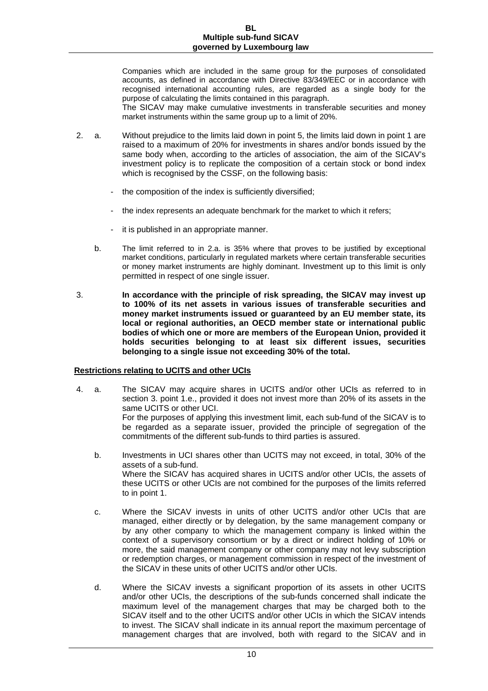Companies which are included in the same group for the purposes of consolidated accounts, as defined in accordance with Directive 83/349/EEC or in accordance with recognised international accounting rules, are regarded as a single body for the purpose of calculating the limits contained in this paragraph.

The SICAV may make cumulative investments in transferable securities and money market instruments within the same group up to a limit of 20%.

- 2. a. Without prejudice to the limits laid down in point 5, the limits laid down in point 1 are raised to a maximum of 20% for investments in shares and/or bonds issued by the same body when, according to the articles of association, the aim of the SICAV's investment policy is to replicate the composition of a certain stock or bond index which is recognised by the CSSF, on the following basis:
	- the composition of the index is sufficiently diversified;
	- the index represents an adequate benchmark for the market to which it refers;
	- it is published in an appropriate manner.
	- b. The limit referred to in 2.a. is 35% where that proves to be justified by exceptional market conditions, particularly in regulated markets where certain transferable securities or money market instruments are highly dominant. Investment up to this limit is only permitted in respect of one single issuer.
- 3. **In accordance with the principle of risk spreading, the SICAV may invest up to 100% of its net assets in various issues of transferable securities and money market instruments issued or guaranteed by an EU member state, its local or regional authorities, an OECD member state or international public bodies of which one or more are members of the European Union, provided it holds securities belonging to at least six different issues, securities belonging to a single issue not exceeding 30% of the total.**

#### **Restrictions relating to UCITS and other UCIs**

- 4. a. The SICAV may acquire shares in UCITS and/or other UCIs as referred to in section 3. point 1.e., provided it does not invest more than 20% of its assets in the same UCITS or other UCI. For the purposes of applying this investment limit, each sub-fund of the SICAV is to be regarded as a separate issuer, provided the principle of segregation of the commitments of the different sub-funds to third parties is assured.
	- b. Investments in UCI shares other than UCITS may not exceed, in total, 30% of the assets of a sub-fund. Where the SICAV has acquired shares in UCITS and/or other UCIs, the assets of these UCITS or other UCIs are not combined for the purposes of the limits referred to in point 1.
	- c. Where the SICAV invests in units of other UCITS and/or other UCIs that are managed, either directly or by delegation, by the same management company or by any other company to which the management company is linked within the context of a supervisory consortium or by a direct or indirect holding of 10% or more, the said management company or other company may not levy subscription or redemption charges, or management commission in respect of the investment of the SICAV in these units of other UCITS and/or other UCIs.
	- d. Where the SICAV invests a significant proportion of its assets in other UCITS and/or other UCIs, the descriptions of the sub-funds concerned shall indicate the maximum level of the management charges that may be charged both to the SICAV itself and to the other UCITS and/or other UCIs in which the SICAV intends to invest. The SICAV shall indicate in its annual report the maximum percentage of management charges that are involved, both with regard to the SICAV and in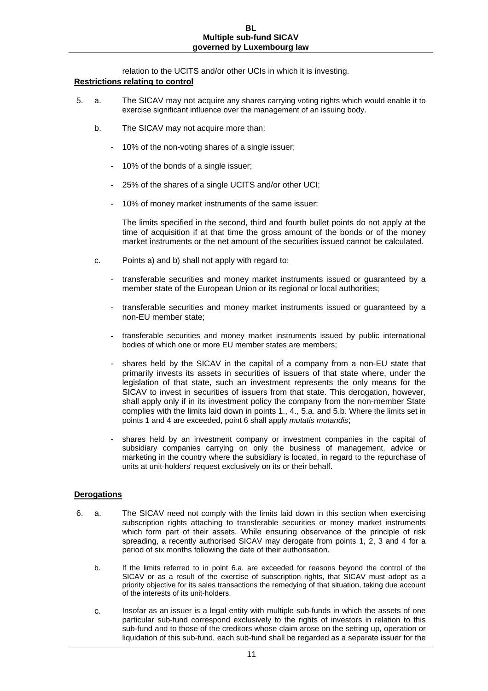relation to the UCITS and/or other UCIs in which it is investing.

#### **Restrictions relating to control**

- 5. a. The SICAV may not acquire any shares carrying voting rights which would enable it to exercise significant influence over the management of an issuing body.
	- b. The SICAV may not acquire more than:
		- 10% of the non-voting shares of a single issuer;
		- 10% of the bonds of a single issuer;
		- 25% of the shares of a single UCITS and/or other UCI;
		- 10% of money market instruments of the same issuer:

 The limits specified in the second, third and fourth bullet points do not apply at the time of acquisition if at that time the gross amount of the bonds or of the money market instruments or the net amount of the securities issued cannot be calculated.

- c. Points a) and b) shall not apply with regard to:
	- transferable securities and money market instruments issued or guaranteed by a member state of the European Union or its regional or local authorities;
	- transferable securities and money market instruments issued or guaranteed by a non-EU member state;
	- transferable securities and money market instruments issued by public international bodies of which one or more EU member states are members;
	- shares held by the SICAV in the capital of a company from a non-EU state that primarily invests its assets in securities of issuers of that state where, under the legislation of that state, such an investment represents the only means for the SICAV to invest in securities of issuers from that state. This derogation, however, shall apply only if in its investment policy the company from the non-member State complies with the limits laid down in points 1., 4., 5.a. and 5.b. Where the limits set in points 1 and 4 are exceeded, point 6 shall apply *mutatis mutandis*;
	- shares held by an investment company or investment companies in the capital of subsidiary companies carrying on only the business of management, advice or marketing in the country where the subsidiary is located, in regard to the repurchase of units at unit-holders' request exclusively on its or their behalf.

#### **Derogations**

- 6. a. The SICAV need not comply with the limits laid down in this section when exercising subscription rights attaching to transferable securities or money market instruments which form part of their assets. While ensuring observance of the principle of risk spreading, a recently authorised SICAV may derogate from points 1, 2, 3 and 4 for a period of six months following the date of their authorisation.
	- b. If the limits referred to in point 6.a. are exceeded for reasons beyond the control of the SICAV or as a result of the exercise of subscription rights, that SICAV must adopt as a priority objective for its sales transactions the remedying of that situation, taking due account of the interests of its unit-holders.
	- c. Insofar as an issuer is a legal entity with multiple sub-funds in which the assets of one particular sub-fund correspond exclusively to the rights of investors in relation to this sub-fund and to those of the creditors whose claim arose on the setting up, operation or liquidation of this sub-fund, each sub-fund shall be regarded as a separate issuer for the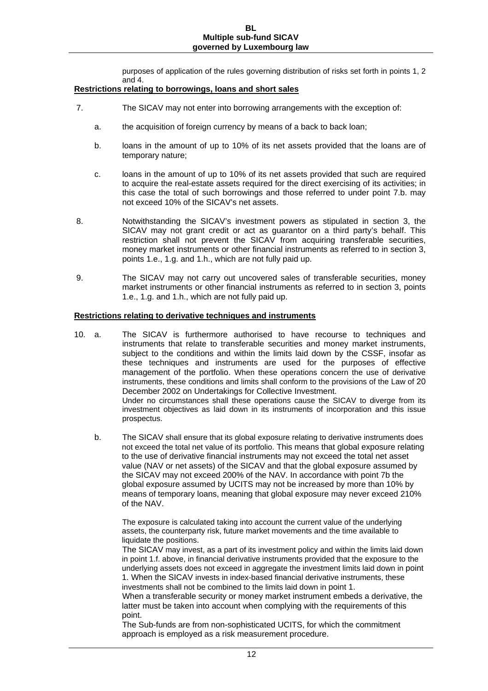purposes of application of the rules governing distribution of risks set forth in points 1, 2 and 4.

#### **Restrictions relating to borrowings, loans and short sales**

- 7. The SICAV may not enter into borrowing arrangements with the exception of:
	- a. the acquisition of foreign currency by means of a back to back loan;
	- b. loans in the amount of up to 10% of its net assets provided that the loans are of temporary nature;
	- c. loans in the amount of up to 10% of its net assets provided that such are required to acquire the real-estate assets required for the direct exercising of its activities; in this case the total of such borrowings and those referred to under point 7.b. may not exceed 10% of the SICAV's net assets.
- 8. Notwithstanding the SICAV's investment powers as stipulated in section 3, the SICAV may not grant credit or act as guarantor on a third party's behalf. This restriction shall not prevent the SICAV from acquiring transferable securities, money market instruments or other financial instruments as referred to in section 3, points 1.e., 1.g. and 1.h., which are not fully paid up.
- 9. The SICAV may not carry out uncovered sales of transferable securities, money market instruments or other financial instruments as referred to in section 3, points 1.e., 1.g. and 1.h., which are not fully paid up.

#### **Restrictions relating to derivative techniques and instruments**

10. a. The SICAV is furthermore authorised to have recourse to techniques and instruments that relate to transferable securities and money market instruments, subject to the conditions and within the limits laid down by the CSSF, insofar as these techniques and instruments are used for the purposes of effective management of the portfolio. When these operations concern the use of derivative instruments, these conditions and limits shall conform to the provisions of the Law of 20 December 2002 on Undertakings for Collective Investment.

Under no circumstances shall these operations cause the SICAV to diverge from its investment objectives as laid down in its instruments of incorporation and this issue prospectus.

 b. The SICAV shall ensure that its global exposure relating to derivative instruments does not exceed the total net value of its portfolio. This means that global exposure relating to the use of derivative financial instruments may not exceed the total net asset value (NAV or net assets) of the SICAV and that the global exposure assumed by the SICAV may not exceed 200% of the NAV. In accordance with point 7b the global exposure assumed by UCITS may not be increased by more than 10% by means of temporary loans, meaning that global exposure may never exceed 210% of the NAV.

The exposure is calculated taking into account the current value of the underlying assets, the counterparty risk, future market movements and the time available to liquidate the positions.

The SICAV may invest, as a part of its investment policy and within the limits laid down in point 1.f. above, in financial derivative instruments provided that the exposure to the underlying assets does not exceed in aggregate the investment limits laid down in point 1. When the SICAV invests in index-based financial derivative instruments, these investments shall not be combined to the limits laid down in point 1.

When a transferable security or money market instrument embeds a derivative, the latter must be taken into account when complying with the requirements of this point.

The Sub-funds are from non-sophisticated UCITS, for which the commitment approach is employed as a risk measurement procedure.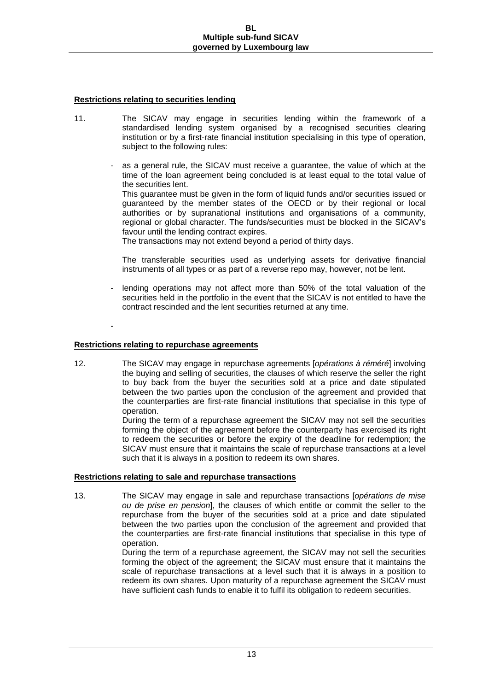#### **Restrictions relating to securities lending**

- 11. The SICAV may engage in securities lending within the framework of a standardised lending system organised by a recognised securities clearing institution or by a first-rate financial institution specialising in this type of operation, subject to the following rules:
	- as a general rule, the SICAV must receive a guarantee, the value of which at the time of the loan agreement being concluded is at least equal to the total value of the securities lent.

This guarantee must be given in the form of liquid funds and/or securities issued or guaranteed by the member states of the OECD or by their regional or local authorities or by supranational institutions and organisations of a community, regional or global character. The funds/securities must be blocked in the SICAV's favour until the lending contract expires.

The transactions may not extend beyond a period of thirty days.

The transferable securities used as underlying assets for derivative financial instruments of all types or as part of a reverse repo may, however, not be lent.

lending operations may not affect more than 50% of the total valuation of the securities held in the portfolio in the event that the SICAV is not entitled to have the contract rescinded and the lent securities returned at any time.

#### **Restrictions relating to repurchase agreements**

 $\sim$  -  $\sim$   $-$ 

12. The SICAV may engage in repurchase agreements [*opérations à réméré*] involving the buying and selling of securities, the clauses of which reserve the seller the right to buy back from the buyer the securities sold at a price and date stipulated between the two parties upon the conclusion of the agreement and provided that the counterparties are first-rate financial institutions that specialise in this type of operation.

> During the term of a repurchase agreement the SICAV may not sell the securities forming the object of the agreement before the counterparty has exercised its right to redeem the securities or before the expiry of the deadline for redemption; the SICAV must ensure that it maintains the scale of repurchase transactions at a level such that it is always in a position to redeem its own shares.

#### **Restrictions relating to sale and repurchase transactions**

13. The SICAV may engage in sale and repurchase transactions [*opérations de mise ou de prise en pension*], the clauses of which entitle or commit the seller to the repurchase from the buyer of the securities sold at a price and date stipulated between the two parties upon the conclusion of the agreement and provided that the counterparties are first-rate financial institutions that specialise in this type of operation.

During the term of a repurchase agreement, the SICAV may not sell the securities forming the object of the agreement; the SICAV must ensure that it maintains the scale of repurchase transactions at a level such that it is always in a position to redeem its own shares. Upon maturity of a repurchase agreement the SICAV must have sufficient cash funds to enable it to fulfil its obligation to redeem securities.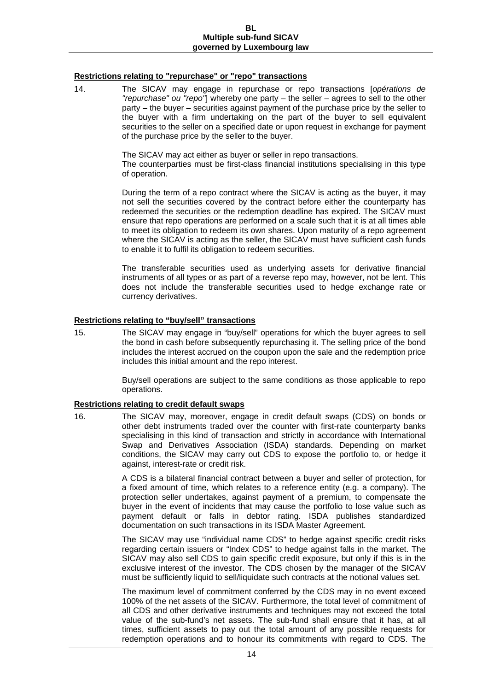#### **Restrictions relating to "repurchase" or "repo" transactions**

14. The SICAV may engage in repurchase or repo transactions [*opérations de "repurchase" ou "repo"*] whereby one party – the seller – agrees to sell to the other party – the buyer – securities against payment of the purchase price by the seller to the buyer with a firm undertaking on the part of the buyer to sell equivalent securities to the seller on a specified date or upon request in exchange for payment of the purchase price by the seller to the buyer.

> The SICAV may act either as buyer or seller in repo transactions. The counterparties must be first-class financial institutions specialising in this type of operation.

> During the term of a repo contract where the SICAV is acting as the buyer, it may not sell the securities covered by the contract before either the counterparty has redeemed the securities or the redemption deadline has expired. The SICAV must ensure that repo operations are performed on a scale such that it is at all times able to meet its obligation to redeem its own shares. Upon maturity of a repo agreement where the SICAV is acting as the seller, the SICAV must have sufficient cash funds to enable it to fulfil its obligation to redeem securities.

> The transferable securities used as underlying assets for derivative financial instruments of all types or as part of a reverse repo may, however, not be lent. This does not include the transferable securities used to hedge exchange rate or currency derivatives.

#### **Restrictions relating to "buy/sell" transactions**

15. The SICAV may engage in "buy/sell" operations for which the buyer agrees to sell the bond in cash before subsequently repurchasing it. The selling price of the bond includes the interest accrued on the coupon upon the sale and the redemption price includes this initial amount and the repo interest.

> Buy/sell operations are subject to the same conditions as those applicable to repo operations.

#### **Restrictions relating to credit default swaps**

16. The SICAV may, moreover, engage in credit default swaps (CDS) on bonds or other debt instruments traded over the counter with first-rate counterparty banks specialising in this kind of transaction and strictly in accordance with International Swap and Derivatives Association (ISDA) standards. Depending on market conditions, the SICAV may carry out CDS to expose the portfolio to, or hedge it against, interest-rate or credit risk.

> A CDS is a bilateral financial contract between a buyer and seller of protection, for a fixed amount of time, which relates to a reference entity (e.g. a company). The protection seller undertakes, against payment of a premium, to compensate the buyer in the event of incidents that may cause the portfolio to lose value such as payment default or falls in debtor rating. ISDA publishes standardized documentation on such transactions in its ISDA Master Agreement.

> The SICAV may use "individual name CDS" to hedge against specific credit risks regarding certain issuers or "Index CDS" to hedge against falls in the market. The SICAV may also sell CDS to gain specific credit exposure, but only if this is in the exclusive interest of the investor. The CDS chosen by the manager of the SICAV must be sufficiently liquid to sell/liquidate such contracts at the notional values set.

> The maximum level of commitment conferred by the CDS may in no event exceed 100% of the net assets of the SICAV. Furthermore, the total level of commitment of all CDS and other derivative instruments and techniques may not exceed the total value of the sub-fund's net assets. The sub-fund shall ensure that it has, at all times, sufficient assets to pay out the total amount of any possible requests for redemption operations and to honour its commitments with regard to CDS. The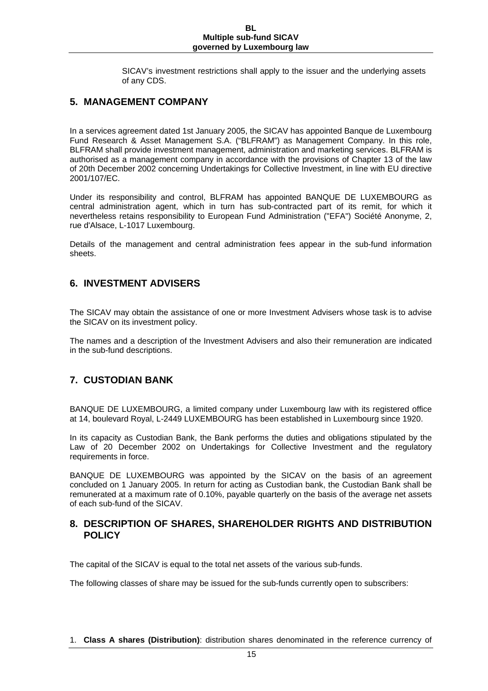SICAV's investment restrictions shall apply to the issuer and the underlying assets of any CDS.

#### **5. MANAGEMENT COMPANY**

In a services agreement dated 1st January 2005, the SICAV has appointed Banque de Luxembourg Fund Research & Asset Management S.A. ("BLFRAM") as Management Company. In this role, BLFRAM shall provide investment management, administration and marketing services. BLFRAM is authorised as a management company in accordance with the provisions of Chapter 13 of the law of 20th December 2002 concerning Undertakings for Collective Investment, in line with EU directive 2001/107/EC.

Under its responsibility and control, BLFRAM has appointed BANQUE DE LUXEMBOURG as central administration agent, which in turn has sub-contracted part of its remit, for which it nevertheless retains responsibility to European Fund Administration ("EFA") Société Anonyme, 2, rue d'Alsace, L-1017 Luxembourg.

Details of the management and central administration fees appear in the sub-fund information sheets.

#### **6. INVESTMENT ADVISERS**

The SICAV may obtain the assistance of one or more Investment Advisers whose task is to advise the SICAV on its investment policy.

The names and a description of the Investment Advisers and also their remuneration are indicated in the sub-fund descriptions.

#### **7. CUSTODIAN BANK**

BANQUE DE LUXEMBOURG, a limited company under Luxembourg law with its registered office at 14, boulevard Royal, L-2449 LUXEMBOURG has been established in Luxembourg since 1920.

In its capacity as Custodian Bank, the Bank performs the duties and obligations stipulated by the Law of 20 December 2002 on Undertakings for Collective Investment and the regulatory requirements in force.

BANQUE DE LUXEMBOURG was appointed by the SICAV on the basis of an agreement concluded on 1 January 2005. In return for acting as Custodian bank, the Custodian Bank shall be remunerated at a maximum rate of 0.10%, payable quarterly on the basis of the average net assets of each sub-fund of the SICAV.

#### **8. DESCRIPTION OF SHARES, SHAREHOLDER RIGHTS AND DISTRIBUTION POLICY**

The capital of the SICAV is equal to the total net assets of the various sub-funds.

The following classes of share may be issued for the sub-funds currently open to subscribers: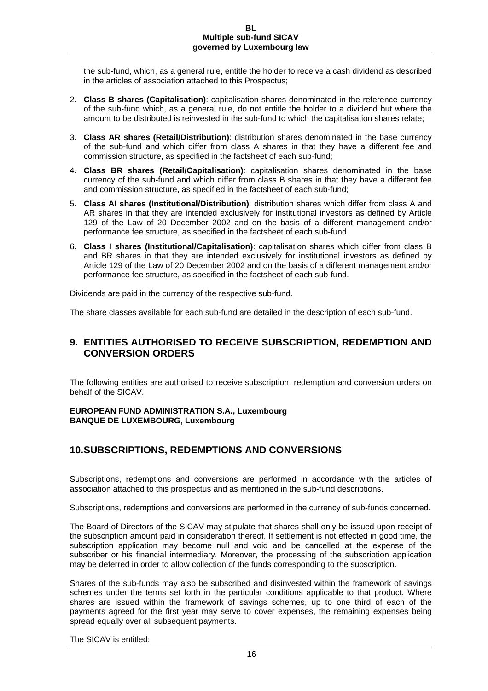the sub-fund, which, as a general rule, entitle the holder to receive a cash dividend as described in the articles of association attached to this Prospectus;

- 2. **Class B shares (Capitalisation)**: capitalisation shares denominated in the reference currency of the sub-fund which, as a general rule, do not entitle the holder to a dividend but where the amount to be distributed is reinvested in the sub-fund to which the capitalisation shares relate;
- 3. **Class AR shares (Retail/Distribution)**: distribution shares denominated in the base currency of the sub-fund and which differ from class A shares in that they have a different fee and commission structure, as specified in the factsheet of each sub-fund;
- 4. **Class BR shares (Retail/Capitalisation)**: capitalisation shares denominated in the base currency of the sub-fund and which differ from class B shares in that they have a different fee and commission structure, as specified in the factsheet of each sub-fund;
- 5. **Class AI shares (Institutional/Distribution)**: distribution shares which differ from class A and AR shares in that they are intended exclusively for institutional investors as defined by Article 129 of the Law of 20 December 2002 and on the basis of a different management and/or performance fee structure, as specified in the factsheet of each sub-fund.
- 6. **Class I shares (Institutional/Capitalisation)**: capitalisation shares which differ from class B and BR shares in that they are intended exclusively for institutional investors as defined by Article 129 of the Law of 20 December 2002 and on the basis of a different management and/or performance fee structure, as specified in the factsheet of each sub-fund.

Dividends are paid in the currency of the respective sub-fund.

The share classes available for each sub-fund are detailed in the description of each sub-fund.

#### **9. ENTITIES AUTHORISED TO RECEIVE SUBSCRIPTION, REDEMPTION AND CONVERSION ORDERS**

The following entities are authorised to receive subscription, redemption and conversion orders on behalf of the SICAV.

#### **EUROPEAN FUND ADMINISTRATION S.A., Luxembourg BANQUE DE LUXEMBOURG, Luxembourg**

#### **10. SUBSCRIPTIONS, REDEMPTIONS AND CONVERSIONS**

Subscriptions, redemptions and conversions are performed in accordance with the articles of association attached to this prospectus and as mentioned in the sub-fund descriptions.

Subscriptions, redemptions and conversions are performed in the currency of sub-funds concerned.

The Board of Directors of the SICAV may stipulate that shares shall only be issued upon receipt of the subscription amount paid in consideration thereof. If settlement is not effected in good time, the subscription application may become null and void and be cancelled at the expense of the subscriber or his financial intermediary. Moreover, the processing of the subscription application may be deferred in order to allow collection of the funds corresponding to the subscription.

Shares of the sub-funds may also be subscribed and disinvested within the framework of savings schemes under the terms set forth in the particular conditions applicable to that product. Where shares are issued within the framework of savings schemes, up to one third of each of the payments agreed for the first year may serve to cover expenses, the remaining expenses being spread equally over all subsequent payments.

The SICAV is entitled: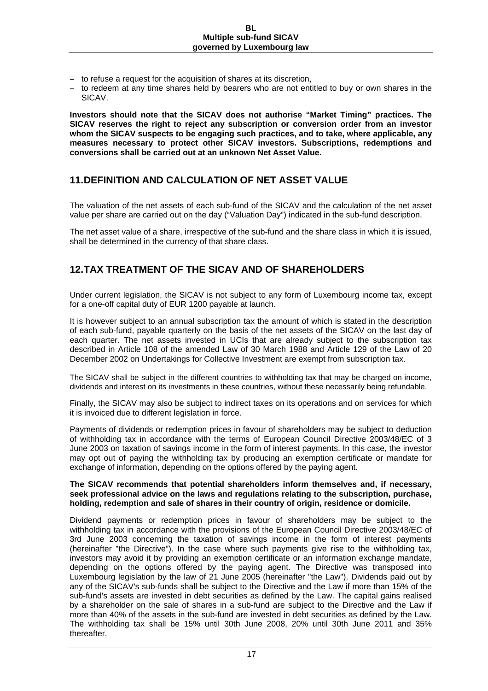- − to refuse a request for the acquisition of shares at its discretion,
- − to redeem at any time shares held by bearers who are not entitled to buy or own shares in the SICAV.

**Investors should note that the SICAV does not authorise "Market Timing" practices. The SICAV reserves the right to reject any subscription or conversion order from an investor whom the SICAV suspects to be engaging such practices, and to take, where applicable, any measures necessary to protect other SICAV investors. Subscriptions, redemptions and conversions shall be carried out at an unknown Net Asset Value.** 

### **11. DEFINITION AND CALCULATION OF NET ASSET VALUE**

The valuation of the net assets of each sub-fund of the SICAV and the calculation of the net asset value per share are carried out on the day ("Valuation Day") indicated in the sub-fund description.

The net asset value of a share, irrespective of the sub-fund and the share class in which it is issued, shall be determined in the currency of that share class.

### **12. TAX TREATMENT OF THE SICAV AND OF SHAREHOLDERS**

Under current legislation, the SICAV is not subject to any form of Luxembourg income tax, except for a one-off capital duty of EUR 1200 payable at launch.

It is however subject to an annual subscription tax the amount of which is stated in the description of each sub-fund, payable quarterly on the basis of the net assets of the SICAV on the last day of each quarter. The net assets invested in UCIs that are already subject to the subscription tax described in Article 108 of the amended Law of 30 March 1988 and Article 129 of the Law of 20 December 2002 on Undertakings for Collective Investment are exempt from subscription tax.

The SICAV shall be subject in the different countries to withholding tax that may be charged on income, dividends and interest on its investments in these countries, without these necessarily being refundable.

Finally, the SICAV may also be subject to indirect taxes on its operations and on services for which it is invoiced due to different legislation in force.

Payments of dividends or redemption prices in favour of shareholders may be subject to deduction of withholding tax in accordance with the terms of European Council Directive 2003/48/EC of 3 June 2003 on taxation of savings income in the form of interest payments. In this case, the investor may opt out of paying the withholding tax by producing an exemption certificate or mandate for exchange of information, depending on the options offered by the paying agent.

#### **The SICAV recommends that potential shareholders inform themselves and, if necessary, seek professional advice on the laws and regulations relating to the subscription, purchase, holding, redemption and sale of shares in their country of origin, residence or domicile.**

Dividend payments or redemption prices in favour of shareholders may be subject to the withholding tax in accordance with the provisions of the European Council Directive 2003/48/EC of 3rd June 2003 concerning the taxation of savings income in the form of interest payments (hereinafter "the Directive"). In the case where such payments give rise to the withholding tax, investors may avoid it by providing an exemption certificate or an information exchange mandate, depending on the options offered by the paying agent. The Directive was transposed into Luxembourg legislation by the law of 21 June 2005 (hereinafter "the Law"). Dividends paid out by any of the SICAV's sub-funds shall be subject to the Directive and the Law if more than 15% of the sub-fund's assets are invested in debt securities as defined by the Law. The capital gains realised by a shareholder on the sale of shares in a sub-fund are subject to the Directive and the Law if more than 40% of the assets in the sub-fund are invested in debt securities as defined by the Law. The withholding tax shall be 15% until 30th June 2008, 20% until 30th June 2011 and 35% thereafter.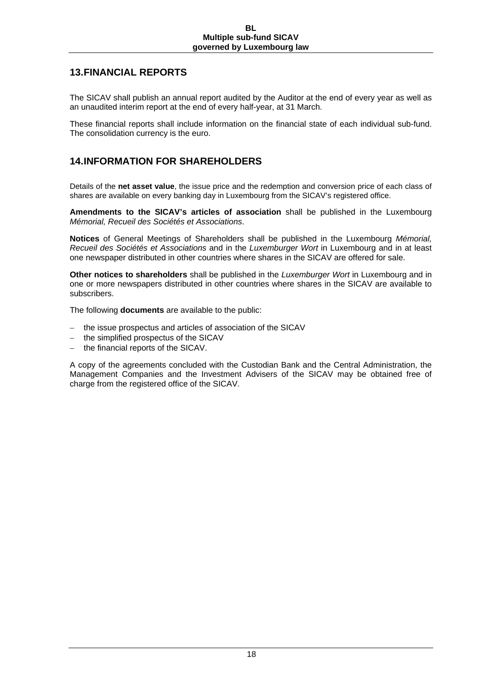#### **13. FINANCIAL REPORTS**

The SICAV shall publish an annual report audited by the Auditor at the end of every year as well as an unaudited interim report at the end of every half-year, at 31 March.

These financial reports shall include information on the financial state of each individual sub-fund. The consolidation currency is the euro.

#### **14. INFORMATION FOR SHAREHOLDERS**

Details of the **net asset value**, the issue price and the redemption and conversion price of each class of shares are available on every banking day in Luxembourg from the SICAV's registered office.

**Amendments to the SICAV's articles of association** shall be published in the Luxembourg *Mémorial, Recueil des Sociétés et Associations*.

**Notices** of General Meetings of Shareholders shall be published in the Luxembourg *Mémorial, Recueil des Sociétés et Associations* and in the *Luxemburger Wort* in Luxembourg and in at least one newspaper distributed in other countries where shares in the SICAV are offered for sale.

**Other notices to shareholders** shall be published in the *Luxemburger Wort* in Luxembourg and in one or more newspapers distributed in other countries where shares in the SICAV are available to subscribers.

The following **documents** are available to the public:

- the issue prospectus and articles of association of the SICAV
- − the simplified prospectus of the SICAV
- the financial reports of the SICAV.

A copy of the agreements concluded with the Custodian Bank and the Central Administration, the Management Companies and the Investment Advisers of the SICAV may be obtained free of charge from the registered office of the SICAV.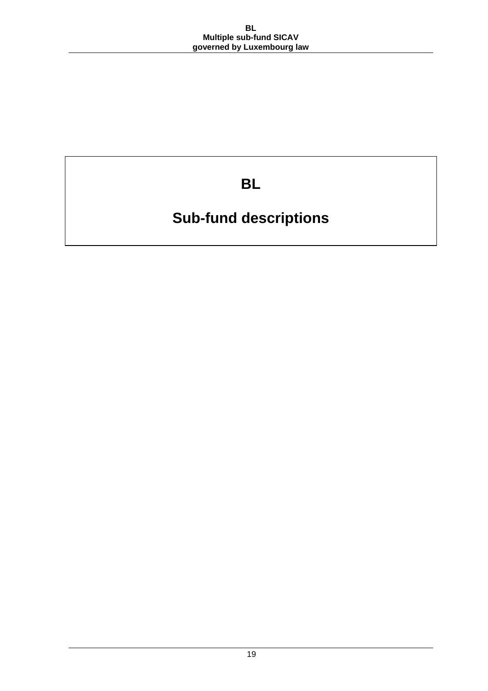# **BL**

# **Sub-fund descriptions**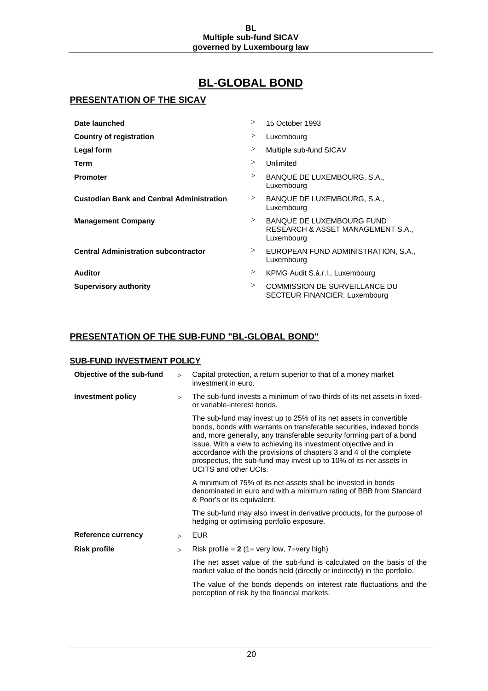### **BL-GLOBAL BOND**

### **PRESENTATION OF THE SICAV**

| Date launched                                    | >      | 15 October 1993                                                                     |
|--------------------------------------------------|--------|-------------------------------------------------------------------------------------|
| Country of registration                          | >      | Luxembourg                                                                          |
| Legal form                                       | >      | Multiple sub-fund SICAV                                                             |
| Term                                             | $\geq$ | Unlimited                                                                           |
| <b>Promoter</b>                                  | >      | BANQUE DE LUXEMBOURG, S.A.,<br>Luxembourg                                           |
| <b>Custodian Bank and Central Administration</b> | ➢      | BANQUE DE LUXEMBOURG, S.A.,<br>Luxembourg                                           |
| <b>Management Company</b>                        | >      | <b>BANQUE DE LUXEMBOURG FUND</b><br>RESEARCH & ASSET MANAGEMENT S.A.,<br>Luxembourg |
| <b>Central Administration subcontractor</b>      | ➢      | EUROPEAN FUND ADMINISTRATION, S.A.,<br>Luxembourg                                   |
| <b>Auditor</b>                                   | ➢      | KPMG Audit S.à.r.l., Luxembourg                                                     |
| <b>Supervisory authority</b>                     | >      | <b>COMMISSION DE SURVEILLANCE DU</b><br>SECTEUR FINANCIER, Luxembourg               |

#### **PRESENTATION OF THE SUB-FUND "BL-GLOBAL BOND"**

#### **SUB-FUND INVESTMENT POLICY**

| Objective of the sub-fund<br>$\geq$ |        | Capital protection, a return superior to that of a money market<br>investment in euro.                                                                                                                                                                                                                                                                                                                                                                      |  |  |
|-------------------------------------|--------|-------------------------------------------------------------------------------------------------------------------------------------------------------------------------------------------------------------------------------------------------------------------------------------------------------------------------------------------------------------------------------------------------------------------------------------------------------------|--|--|
| <b>Investment policy</b><br>$\geq$  |        | The sub-fund invests a minimum of two thirds of its net assets in fixed-<br>or variable-interest bonds.                                                                                                                                                                                                                                                                                                                                                     |  |  |
|                                     |        | The sub-fund may invest up to 25% of its net assets in convertible<br>bonds, bonds with warrants on transferable securities, indexed bonds<br>and, more generally, any transferable security forming part of a bond<br>issue. With a view to achieving its investment objective and in<br>accordance with the provisions of chapters 3 and 4 of the complete<br>prospectus, the sub-fund may invest up to 10% of its net assets in<br>UCITS and other UCIs. |  |  |
|                                     |        | A minimum of 75% of its net assets shall be invested in bonds<br>denominated in euro and with a minimum rating of BBB from Standard<br>& Poor's or its equivalent.                                                                                                                                                                                                                                                                                          |  |  |
|                                     |        | The sub-fund may also invest in derivative products, for the purpose of<br>hedging or optimising portfolio exposure.                                                                                                                                                                                                                                                                                                                                        |  |  |
| Reference currency                  | $\geq$ | <b>EUR</b>                                                                                                                                                                                                                                                                                                                                                                                                                                                  |  |  |
| Risk profile                        | $\geq$ | Risk profile = $2(1)$ very low, 7=very high)                                                                                                                                                                                                                                                                                                                                                                                                                |  |  |
|                                     |        | The net asset value of the sub-fund is calculated on the basis of the<br>market value of the bonds held (directly or indirectly) in the portfolio.                                                                                                                                                                                                                                                                                                          |  |  |
|                                     |        | The value of the bonds depends on interest rate fluctuations and the<br>perception of risk by the financial markets.                                                                                                                                                                                                                                                                                                                                        |  |  |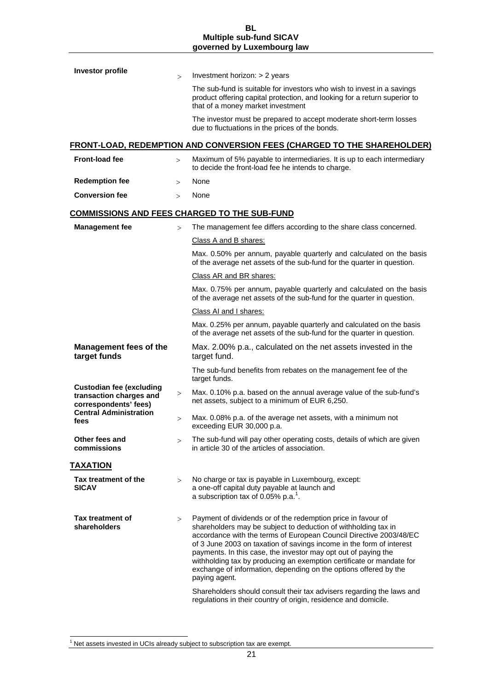| BL                             |
|--------------------------------|
| <b>Multiple sub-fund SICAV</b> |
| governed by Luxembourg law     |

| <b>Investor profile</b>                                                                                              | $\geq$   | Investment horizon: $> 2$ years                                                                                                                                                                                                                                                                                                                                                                                                                                                                                                                                                      |
|----------------------------------------------------------------------------------------------------------------------|----------|--------------------------------------------------------------------------------------------------------------------------------------------------------------------------------------------------------------------------------------------------------------------------------------------------------------------------------------------------------------------------------------------------------------------------------------------------------------------------------------------------------------------------------------------------------------------------------------|
|                                                                                                                      |          | The sub-fund is suitable for investors who wish to invest in a savings<br>product offering capital protection, and looking for a return superior to<br>that of a money market investment                                                                                                                                                                                                                                                                                                                                                                                             |
|                                                                                                                      |          | The investor must be prepared to accept moderate short-term losses<br>due to fluctuations in the prices of the bonds.                                                                                                                                                                                                                                                                                                                                                                                                                                                                |
|                                                                                                                      |          | FRONT-LOAD, REDEMPTION AND CONVERSION FEES (CHARGED TO THE SHAREHOLDER)                                                                                                                                                                                                                                                                                                                                                                                                                                                                                                              |
| <b>Front-load fee</b>                                                                                                | $\geq$   | Maximum of 5% payable to intermediaries. It is up to each intermediary<br>to decide the front-load fee he intends to charge.                                                                                                                                                                                                                                                                                                                                                                                                                                                         |
| <b>Redemption fee</b>                                                                                                | $\geq$   | None                                                                                                                                                                                                                                                                                                                                                                                                                                                                                                                                                                                 |
| <b>Conversion fee</b>                                                                                                | $\geq$   | None                                                                                                                                                                                                                                                                                                                                                                                                                                                                                                                                                                                 |
|                                                                                                                      |          | <b>COMMISSIONS AND FEES CHARGED TO THE SUB-FUND</b>                                                                                                                                                                                                                                                                                                                                                                                                                                                                                                                                  |
| <b>Management fee</b>                                                                                                | $\geq$   | The management fee differs according to the share class concerned.                                                                                                                                                                                                                                                                                                                                                                                                                                                                                                                   |
|                                                                                                                      |          | Class A and B shares:                                                                                                                                                                                                                                                                                                                                                                                                                                                                                                                                                                |
|                                                                                                                      |          | Max. 0.50% per annum, payable quarterly and calculated on the basis<br>of the average net assets of the sub-fund for the quarter in question.                                                                                                                                                                                                                                                                                                                                                                                                                                        |
|                                                                                                                      |          | Class AR and BR shares:                                                                                                                                                                                                                                                                                                                                                                                                                                                                                                                                                              |
|                                                                                                                      |          | Max. 0.75% per annum, payable quarterly and calculated on the basis<br>of the average net assets of the sub-fund for the quarter in question.                                                                                                                                                                                                                                                                                                                                                                                                                                        |
|                                                                                                                      |          | Class AI and I shares:                                                                                                                                                                                                                                                                                                                                                                                                                                                                                                                                                               |
|                                                                                                                      |          | Max. 0.25% per annum, payable quarterly and calculated on the basis<br>of the average net assets of the sub-fund for the quarter in question.                                                                                                                                                                                                                                                                                                                                                                                                                                        |
| <b>Management fees of the</b><br>target funds                                                                        |          | Max. 2.00% p.a., calculated on the net assets invested in the<br>target fund.                                                                                                                                                                                                                                                                                                                                                                                                                                                                                                        |
|                                                                                                                      |          | The sub-fund benefits from rebates on the management fee of the<br>target funds.                                                                                                                                                                                                                                                                                                                                                                                                                                                                                                     |
| <b>Custodian fee (excluding</b><br>transaction charges and<br>correspondents' fees)<br><b>Central Administration</b> | $\rm{>}$ | Max. 0.10% p.a. based on the annual average value of the sub-fund's<br>net assets, subject to a minimum of EUR 6,250.                                                                                                                                                                                                                                                                                                                                                                                                                                                                |
| fees                                                                                                                 | $\geq$   | Max. 0.08% p.a. of the average net assets, with a minimum not<br>exceeding EUR 30,000 p.a.                                                                                                                                                                                                                                                                                                                                                                                                                                                                                           |
| Other fees and<br>commissions                                                                                        | $\geq$   | The sub-fund will pay other operating costs, details of which are given<br>in article 30 of the articles of association.                                                                                                                                                                                                                                                                                                                                                                                                                                                             |
| <u>TAXATION</u>                                                                                                      |          |                                                                                                                                                                                                                                                                                                                                                                                                                                                                                                                                                                                      |
| Tax treatment of the<br><b>SICAV</b>                                                                                 | $\geq$   | No charge or tax is payable in Luxembourg, except:<br>a one-off capital duty payable at launch and<br>a subscription tax of 0.05% p.a. <sup>1</sup> .                                                                                                                                                                                                                                                                                                                                                                                                                                |
| <b>Tax treatment of</b><br>shareholders                                                                              | $\geq$   | Payment of dividends or of the redemption price in favour of<br>shareholders may be subject to deduction of withholding tax in<br>accordance with the terms of European Council Directive 2003/48/EC<br>of 3 June 2003 on taxation of savings income in the form of interest<br>payments. In this case, the investor may opt out of paying the<br>withholding tax by producing an exemption certificate or mandate for<br>exchange of information, depending on the options offered by the<br>paying agent.<br>Shareholders should consult their tax advisers regarding the laws and |
|                                                                                                                      |          | regulations in their country of origin, residence and domicile.                                                                                                                                                                                                                                                                                                                                                                                                                                                                                                                      |

1 Net assets invested in UCIs already subject to subscription tax are exempt.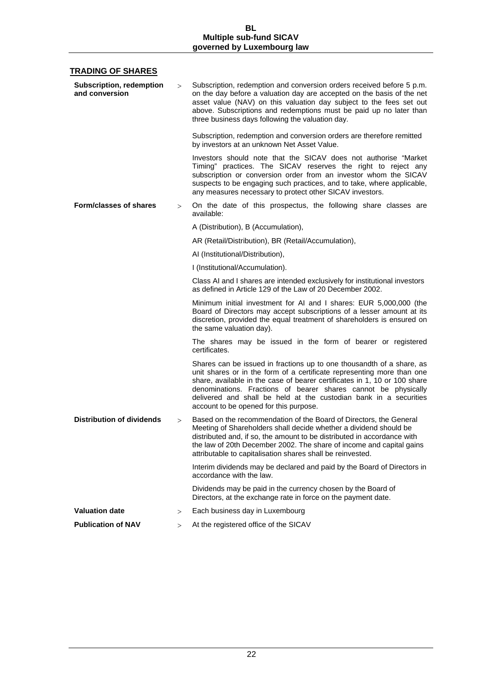### **TRADING OF SHARES**

| <b>Subscription, redemption</b><br>and conversion | $\geq$ | Subscription, redemption and conversion orders received before 5 p.m.<br>on the day before a valuation day are accepted on the basis of the net<br>asset value (NAV) on this valuation day subject to the fees set out<br>above. Subscriptions and redemptions must be paid up no later than<br>three business days following the valuation day.<br>Subscription, redemption and conversion orders are therefore remitted<br>by investors at an unknown Net Asset Value. |  |  |  |
|---------------------------------------------------|--------|--------------------------------------------------------------------------------------------------------------------------------------------------------------------------------------------------------------------------------------------------------------------------------------------------------------------------------------------------------------------------------------------------------------------------------------------------------------------------|--|--|--|
|                                                   |        | Investors should note that the SICAV does not authorise "Market<br>Timing" practices. The SICAV reserves the right to reject any<br>subscription or conversion order from an investor whom the SICAV<br>suspects to be engaging such practices, and to take, where applicable,<br>any measures necessary to protect other SICAV investors.                                                                                                                               |  |  |  |
| Form/classes of shares                            | >      | On the date of this prospectus, the following share classes are<br>available:                                                                                                                                                                                                                                                                                                                                                                                            |  |  |  |
|                                                   |        | A (Distribution), B (Accumulation),                                                                                                                                                                                                                                                                                                                                                                                                                                      |  |  |  |
|                                                   |        | AR (Retail/Distribution), BR (Retail/Accumulation),                                                                                                                                                                                                                                                                                                                                                                                                                      |  |  |  |
|                                                   |        | AI (Institutional/Distribution),                                                                                                                                                                                                                                                                                                                                                                                                                                         |  |  |  |
|                                                   |        | I (Institutional/Accumulation).                                                                                                                                                                                                                                                                                                                                                                                                                                          |  |  |  |
|                                                   |        | Class AI and I shares are intended exclusively for institutional investors<br>as defined in Article 129 of the Law of 20 December 2002.                                                                                                                                                                                                                                                                                                                                  |  |  |  |
|                                                   |        | Minimum initial investment for AI and I shares: EUR 5,000,000 (the<br>Board of Directors may accept subscriptions of a lesser amount at its<br>discretion, provided the equal treatment of shareholders is ensured on<br>the same valuation day).                                                                                                                                                                                                                        |  |  |  |
|                                                   |        | The shares may be issued in the form of bearer or registered<br>certificates.                                                                                                                                                                                                                                                                                                                                                                                            |  |  |  |
|                                                   |        | Shares can be issued in fractions up to one thousandth of a share, as<br>unit shares or in the form of a certificate representing more than one<br>share, available in the case of bearer certificates in 1, 10 or 100 share<br>denominations. Fractions of bearer shares cannot be physically<br>delivered and shall be held at the custodian bank in a securities<br>account to be opened for this purpose.                                                            |  |  |  |
| <b>Distribution of dividends</b><br>$\geq$        |        | Based on the recommendation of the Board of Directors, the General<br>Meeting of Shareholders shall decide whether a dividend should be<br>distributed and, if so, the amount to be distributed in accordance with<br>the law of 20th December 2002. The share of income and capital gains<br>attributable to capitalisation shares shall be reinvested.                                                                                                                 |  |  |  |
|                                                   |        | Interim dividends may be declared and paid by the Board of Directors in<br>accordance with the law.                                                                                                                                                                                                                                                                                                                                                                      |  |  |  |
|                                                   |        | Dividends may be paid in the currency chosen by the Board of<br>Directors, at the exchange rate in force on the payment date.                                                                                                                                                                                                                                                                                                                                            |  |  |  |
| <b>Valuation date</b>                             | $\geq$ | Each business day in Luxembourg                                                                                                                                                                                                                                                                                                                                                                                                                                          |  |  |  |
| <b>Publication of NAV</b>                         | $\geq$ | At the registered office of the SICAV                                                                                                                                                                                                                                                                                                                                                                                                                                    |  |  |  |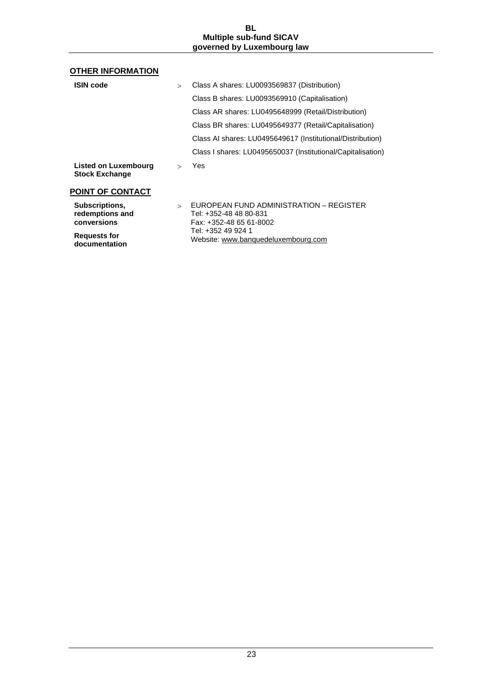### **OTHER INFORMATION**

**documentation** 

| <b>ISIN code</b>                                       | $\rightarrow$ | Class A shares: LU0093569837 (Distribution)                                                  |
|--------------------------------------------------------|---------------|----------------------------------------------------------------------------------------------|
|                                                        |               | Class B shares: LU0093569910 (Capitalisation)                                                |
|                                                        |               | Class AR shares: LU0495648999 (Retail/Distribution)                                          |
|                                                        |               | Class BR shares: LU0495649377 (Retail/Capitalisation)                                        |
|                                                        |               | Class AI shares: LU0495649617 (Institutional/Distribution)                                   |
|                                                        |               | Class I shares: LU0495650037 (Institutional/Capitalisation)                                  |
| Listed on Luxembourg<br><b>Stock Exchange</b>          | $\geq$        | <b>Yes</b>                                                                                   |
| <b>POINT OF CONTACT</b>                                |               |                                                                                              |
| Subscriptions,<br>redemptions and<br>conversions       | $\sim$        | EUROPEAN FUND ADMINISTRATION – REGISTER<br>Tel: +352-48 48 80-831<br>Fax: +352-48 65 61-8002 |
| <b>Requests for</b><br>- - - - - - - - - - - - - - - - |               | Tel: +352 49 924 1<br>Website: www.banquedeluxembourg.com                                    |

23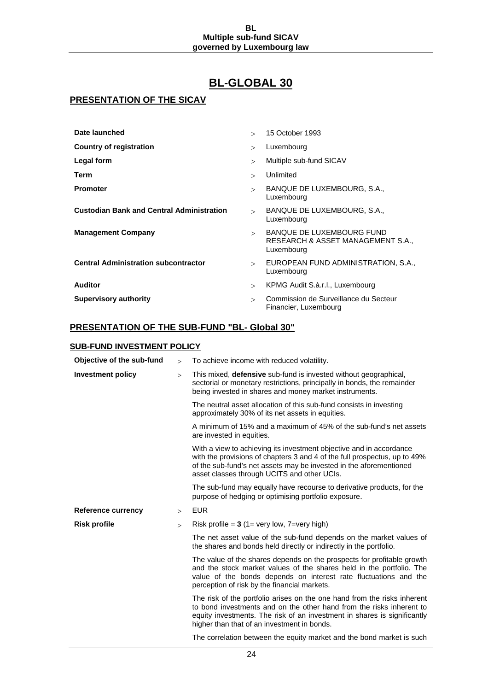### **BL-GLOBAL 30**

#### **PRESENTATION OF THE SICAV**

| Date launched                                    | $\rightarrow$ | 15 October 1993                                                                     |
|--------------------------------------------------|---------------|-------------------------------------------------------------------------------------|
| <b>Country of registration</b>                   | $\rightarrow$ | Luxembourg                                                                          |
| Legal form                                       | $\geq$        | Multiple sub-fund SICAV                                                             |
| Term                                             | $\rightarrow$ | Unlimited                                                                           |
| <b>Promoter</b>                                  | $\rightarrow$ | BANQUE DE LUXEMBOURG, S.A.,<br>Luxembourg                                           |
| <b>Custodian Bank and Central Administration</b> | $\geq$        | BANQUE DE LUXEMBOURG, S.A.,<br>Luxembourg                                           |
| <b>Management Company</b>                        | $\geq$        | <b>BANQUE DE LUXEMBOURG FUND</b><br>RESEARCH & ASSET MANAGEMENT S.A.,<br>Luxembourg |
| <b>Central Administration subcontractor</b>      | $\geq$        | EUROPEAN FUND ADMINISTRATION, S.A.,<br>Luxembourg                                   |
| <b>Auditor</b>                                   | $\geq$        | KPMG Audit S.à.r.l., Luxembourg                                                     |
| <b>Supervisory authority</b>                     | $\rightarrow$ | Commission de Surveillance du Secteur<br>Financier, Luxembourg                      |

### **PRESENTATION OF THE SUB-FUND "BL- Global 30"**

#### **SUB-FUND INVESTMENT POLICY**

| Objective of the sub-fund | $\mathbf{r}$ | To achieve income with reduced volatility.                                                                                                                                                                                                                                  |
|---------------------------|--------------|-----------------------------------------------------------------------------------------------------------------------------------------------------------------------------------------------------------------------------------------------------------------------------|
| <b>Investment policy</b>  | $\geq$       | This mixed, defensive sub-fund is invested without geographical,<br>sectorial or monetary restrictions, principally in bonds, the remainder<br>being invested in shares and money market instruments.                                                                       |
|                           |              | The neutral asset allocation of this sub-fund consists in investing<br>approximately 30% of its net assets in equities.                                                                                                                                                     |
|                           |              | A minimum of 15% and a maximum of 45% of the sub-fund's net assets<br>are invested in equities.                                                                                                                                                                             |
|                           |              | With a view to achieving its investment objective and in accordance<br>with the provisions of chapters 3 and 4 of the full prospectus, up to 49%<br>of the sub-fund's net assets may be invested in the aforementioned<br>asset classes through UCITS and other UCIs.       |
|                           |              | The sub-fund may equally have recourse to derivative products, for the<br>purpose of hedging or optimising portfolio exposure.                                                                                                                                              |
| <b>Reference currency</b> | $\geq$       | <b>EUR</b>                                                                                                                                                                                                                                                                  |
| <b>Risk profile</b>       | $\geq$       | Risk profile = $3(1)$ very low, 7=very high)                                                                                                                                                                                                                                |
|                           |              | The net asset value of the sub-fund depends on the market values of<br>the shares and bonds held directly or indirectly in the portfolio.                                                                                                                                   |
|                           |              | The value of the shares depends on the prospects for profitable growth<br>and the stock market values of the shares held in the portfolio. The<br>value of the bonds depends on interest rate fluctuations and the<br>perception of risk by the financial markets.          |
|                           |              | The risk of the portfolio arises on the one hand from the risks inherent<br>to bond investments and on the other hand from the risks inherent to<br>equity investments. The risk of an investment in shares is significantly<br>higher than that of an investment in bonds. |
|                           |              |                                                                                                                                                                                                                                                                             |

The correlation between the equity market and the bond market is such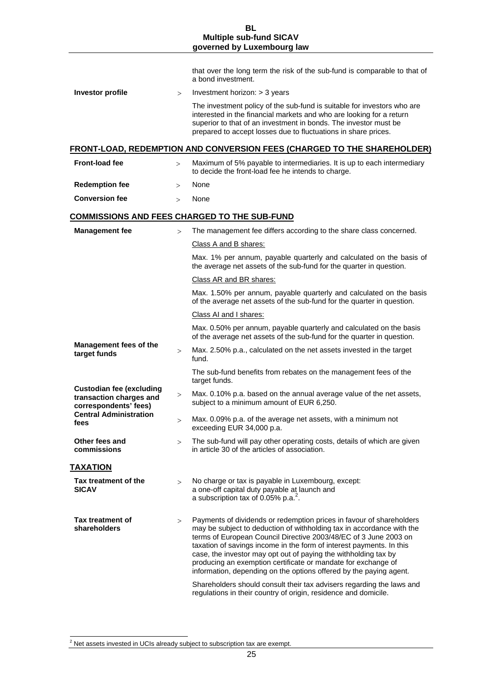|                                                                                                                              |        | <b>BL</b><br><b>Multiple sub-fund SICAV</b><br>governed by Luxembourg law                                                                                                                                                                                                                                                                                                                                                                                                                                                                                                    |
|------------------------------------------------------------------------------------------------------------------------------|--------|------------------------------------------------------------------------------------------------------------------------------------------------------------------------------------------------------------------------------------------------------------------------------------------------------------------------------------------------------------------------------------------------------------------------------------------------------------------------------------------------------------------------------------------------------------------------------|
|                                                                                                                              |        | that over the long term the risk of the sub-fund is comparable to that of<br>a bond investment.                                                                                                                                                                                                                                                                                                                                                                                                                                                                              |
| <b>Investor profile</b>                                                                                                      | $\geq$ | Investment horizon: $>$ 3 years                                                                                                                                                                                                                                                                                                                                                                                                                                                                                                                                              |
|                                                                                                                              |        | The investment policy of the sub-fund is suitable for investors who are<br>interested in the financial markets and who are looking for a return<br>superior to that of an investment in bonds. The investor must be<br>prepared to accept losses due to fluctuations in share prices.                                                                                                                                                                                                                                                                                        |
|                                                                                                                              |        | FRONT-LOAD, REDEMPTION AND CONVERSION FEES (CHARGED TO THE SHAREHOLDER)                                                                                                                                                                                                                                                                                                                                                                                                                                                                                                      |
| <b>Front-load fee</b>                                                                                                        | $\geq$ | Maximum of 5% payable to intermediaries. It is up to each intermediary<br>to decide the front-load fee he intends to charge.                                                                                                                                                                                                                                                                                                                                                                                                                                                 |
| <b>Redemption fee</b>                                                                                                        | $\geq$ | <b>None</b>                                                                                                                                                                                                                                                                                                                                                                                                                                                                                                                                                                  |
| <b>Conversion fee</b>                                                                                                        | $\geq$ | None                                                                                                                                                                                                                                                                                                                                                                                                                                                                                                                                                                         |
|                                                                                                                              |        | <b>COMMISSIONS AND FEES CHARGED TO THE SUB-FUND</b>                                                                                                                                                                                                                                                                                                                                                                                                                                                                                                                          |
| <b>Management fee</b>                                                                                                        | $\geq$ | The management fee differs according to the share class concerned.                                                                                                                                                                                                                                                                                                                                                                                                                                                                                                           |
|                                                                                                                              |        | Class A and B shares:                                                                                                                                                                                                                                                                                                                                                                                                                                                                                                                                                        |
|                                                                                                                              |        | Max. 1% per annum, payable quarterly and calculated on the basis of<br>the average net assets of the sub-fund for the quarter in question.                                                                                                                                                                                                                                                                                                                                                                                                                                   |
|                                                                                                                              |        | Class AR and BR shares:                                                                                                                                                                                                                                                                                                                                                                                                                                                                                                                                                      |
|                                                                                                                              |        | Max. 1.50% per annum, payable quarterly and calculated on the basis<br>of the average net assets of the sub-fund for the quarter in question.                                                                                                                                                                                                                                                                                                                                                                                                                                |
|                                                                                                                              |        | Class AI and I shares:                                                                                                                                                                                                                                                                                                                                                                                                                                                                                                                                                       |
|                                                                                                                              |        | Max. 0.50% per annum, payable quarterly and calculated on the basis<br>of the average net assets of the sub-fund for the quarter in question.                                                                                                                                                                                                                                                                                                                                                                                                                                |
| Management fees of the<br>target funds                                                                                       | $\geq$ | Max. 2.50% p.a., calculated on the net assets invested in the target<br>fund.                                                                                                                                                                                                                                                                                                                                                                                                                                                                                                |
|                                                                                                                              |        | The sub-fund benefits from rebates on the management fees of the<br>target funds.                                                                                                                                                                                                                                                                                                                                                                                                                                                                                            |
| <b>Custodian fee (excluding</b><br>transaction charges and<br>correspondents' fees)<br><b>Central Administration</b><br>fees | $\geq$ | Max. 0.10% p.a. based on the annual average value of the net assets,<br>subject to a minimum amount of EUR 6,250.                                                                                                                                                                                                                                                                                                                                                                                                                                                            |
|                                                                                                                              | $\geq$ | Max. 0.09% p.a. of the average net assets, with a minimum not<br>exceeding EUR 34,000 p.a.                                                                                                                                                                                                                                                                                                                                                                                                                                                                                   |
| Other fees and<br>commissions                                                                                                | >      | The sub-fund will pay other operating costs, details of which are given<br>in article 30 of the articles of association.                                                                                                                                                                                                                                                                                                                                                                                                                                                     |
| <b>TAXATION</b>                                                                                                              |        |                                                                                                                                                                                                                                                                                                                                                                                                                                                                                                                                                                              |
| Tax treatment of the<br><b>SICAV</b>                                                                                         | $\geq$ | No charge or tax is payable in Luxembourg, except:<br>a one-off capital duty payable at launch and<br>a subscription tax of 0.05% p.a. $^{2}$ .                                                                                                                                                                                                                                                                                                                                                                                                                              |
| <b>Tax treatment of</b><br>shareholders                                                                                      | $\geq$ | Payments of dividends or redemption prices in favour of shareholders<br>may be subject to deduction of withholding tax in accordance with the<br>terms of European Council Directive 2003/48/EC of 3 June 2003 on<br>taxation of savings income in the form of interest payments. In this<br>case, the investor may opt out of paying the withholding tax by<br>producing an exemption certificate or mandate for exchange of<br>information, depending on the options offered by the paying agent.<br>Shareholders should consult their tax advisers regarding the laws and |
|                                                                                                                              |        | regulations in their country of origin, residence and domicile.                                                                                                                                                                                                                                                                                                                                                                                                                                                                                                              |

 2 Net assets invested in UCIs already subject to subscription tax are exempt.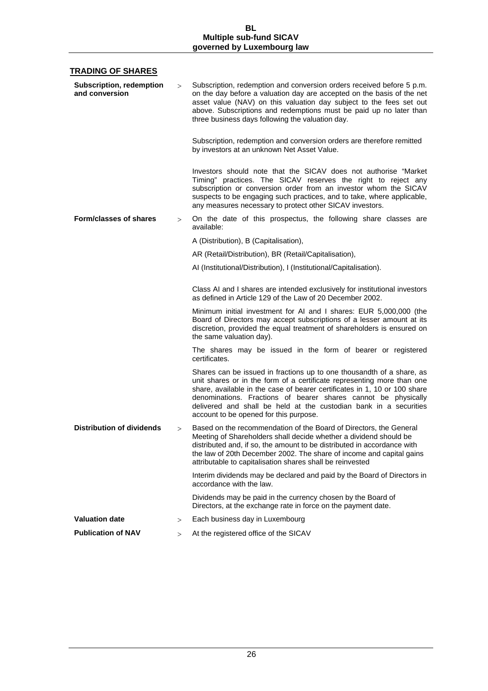### **TRADING OF SHARES**

| <b>Subscription, redemption</b><br>and conversion | $\geq$ | Subscription, redemption and conversion orders received before 5 p.m.<br>on the day before a valuation day are accepted on the basis of the net<br>asset value (NAV) on this valuation day subject to the fees set out<br>above. Subscriptions and redemptions must be paid up no later than<br>three business days following the valuation day.<br>Subscription, redemption and conversion orders are therefore remitted<br>by investors at an unknown Net Asset Value.<br>Investors should note that the SICAV does not authorise "Market"<br>Timing" practices. The SICAV reserves the right to reject any<br>subscription or conversion order from an investor whom the SICAV |
|---------------------------------------------------|--------|-----------------------------------------------------------------------------------------------------------------------------------------------------------------------------------------------------------------------------------------------------------------------------------------------------------------------------------------------------------------------------------------------------------------------------------------------------------------------------------------------------------------------------------------------------------------------------------------------------------------------------------------------------------------------------------|
|                                                   |        | suspects to be engaging such practices, and to take, where applicable,<br>any measures necessary to protect other SICAV investors.                                                                                                                                                                                                                                                                                                                                                                                                                                                                                                                                                |
| <b>Form/classes of shares</b>                     | >      | On the date of this prospectus, the following share classes are<br>available:                                                                                                                                                                                                                                                                                                                                                                                                                                                                                                                                                                                                     |
|                                                   |        | A (Distribution), B (Capitalisation),                                                                                                                                                                                                                                                                                                                                                                                                                                                                                                                                                                                                                                             |
|                                                   |        | AR (Retail/Distribution), BR (Retail/Capitalisation),                                                                                                                                                                                                                                                                                                                                                                                                                                                                                                                                                                                                                             |
|                                                   |        | Al (Institutional/Distribution), I (Institutional/Capitalisation).                                                                                                                                                                                                                                                                                                                                                                                                                                                                                                                                                                                                                |
|                                                   |        | Class AI and I shares are intended exclusively for institutional investors<br>as defined in Article 129 of the Law of 20 December 2002.                                                                                                                                                                                                                                                                                                                                                                                                                                                                                                                                           |
|                                                   |        | Minimum initial investment for AI and I shares: EUR 5,000,000 (the<br>Board of Directors may accept subscriptions of a lesser amount at its<br>discretion, provided the equal treatment of shareholders is ensured on<br>the same valuation day).                                                                                                                                                                                                                                                                                                                                                                                                                                 |
|                                                   |        | The shares may be issued in the form of bearer or registered<br>certificates.                                                                                                                                                                                                                                                                                                                                                                                                                                                                                                                                                                                                     |
|                                                   |        | Shares can be issued in fractions up to one thousandth of a share, as<br>unit shares or in the form of a certificate representing more than one<br>share, available in the case of bearer certificates in 1, 10 or 100 share<br>denominations. Fractions of bearer shares cannot be physically<br>delivered and shall be held at the custodian bank in a securities<br>account to be opened for this purpose.                                                                                                                                                                                                                                                                     |
| <b>Distribution of dividends</b>                  | >      | Based on the recommendation of the Board of Directors, the General<br>Meeting of Shareholders shall decide whether a dividend should be<br>distributed and, if so, the amount to be distributed in accordance with<br>the law of 20th December 2002. The share of income and capital gains<br>attributable to capitalisation shares shall be reinvested                                                                                                                                                                                                                                                                                                                           |
|                                                   |        | Interim dividends may be declared and paid by the Board of Directors in<br>accordance with the law.                                                                                                                                                                                                                                                                                                                                                                                                                                                                                                                                                                               |
|                                                   |        | Dividends may be paid in the currency chosen by the Board of<br>Directors, at the exchange rate in force on the payment date.                                                                                                                                                                                                                                                                                                                                                                                                                                                                                                                                                     |
| <b>Valuation date</b>                             | $\geq$ | Each business day in Luxembourg                                                                                                                                                                                                                                                                                                                                                                                                                                                                                                                                                                                                                                                   |
| <b>Publication of NAV</b>                         | $\geq$ | At the registered office of the SICAV                                                                                                                                                                                                                                                                                                                                                                                                                                                                                                                                                                                                                                             |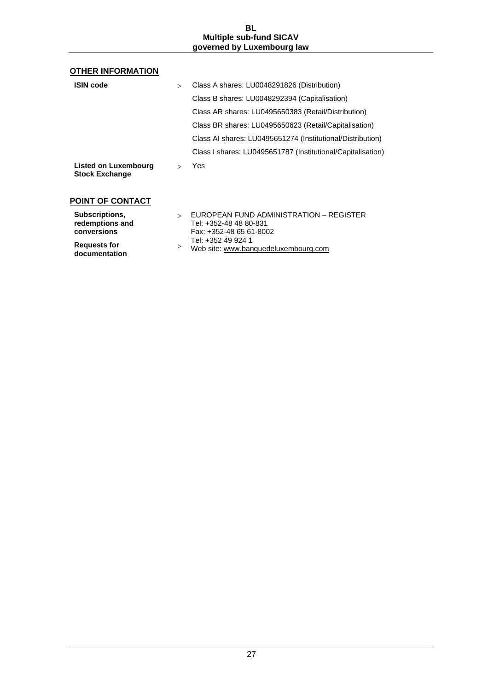### **OTHER INFORMATION**

| <b>ISIN code</b>                                     | $\geq$       | Class A shares: LU0048291826 (Distribution)                 |
|------------------------------------------------------|--------------|-------------------------------------------------------------|
|                                                      |              | Class B shares: LU0048292394 (Capitalisation)               |
|                                                      |              | Class AR shares: LU0495650383 (Retail/Distribution)         |
|                                                      |              | Class BR shares: LU0495650623 (Retail/Capitalisation)       |
|                                                      |              | Class AI shares: LU0495651274 (Institutional/Distribution)  |
|                                                      |              | Class I shares: LU0495651787 (Institutional/Capitalisation) |
| <b>Listed on Luxembourg</b><br><b>Stock Exchange</b> | $\mathbf{L}$ | Yes                                                         |
| POINT OF CONTACT                                     |              |                                                             |

## **Subscriptions,**

**redemptions and conversions** 

**Requests for documentation**  > EUROPEAN FUND ADMINISTRATION – REGISTER Tel: +352-48 48 80-831 Fax: +352-48 65 61-8002 > Not need to contribute the vertical vertical vertical vertical vertical vertical vertical vertical vertical vertical vertical vertical vertical vertical vertical vertical vertical vertical vertical vertical vertical vert Tel: +352 49 924 1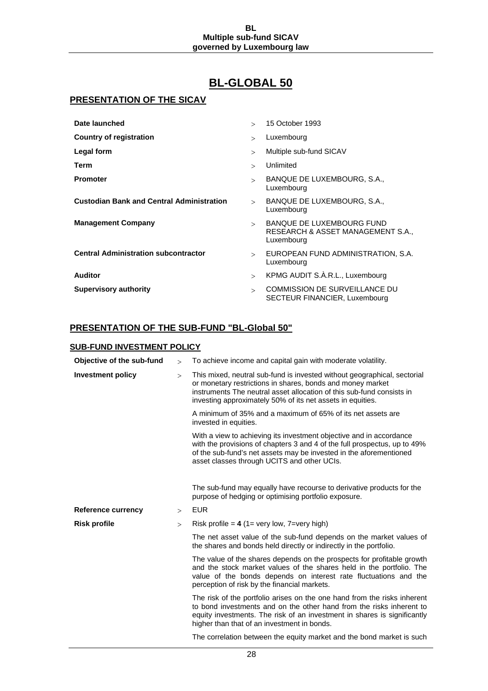### **BL-GLOBAL 50**

### **PRESENTATION OF THE SICAV**

| Date launched                                    | $\rightarrow$ | 15 October 1993                                                                     |
|--------------------------------------------------|---------------|-------------------------------------------------------------------------------------|
| <b>Country of registration</b>                   | $\geq$        | Luxembourg                                                                          |
| Legal form                                       | $\geq$        | Multiple sub-fund SICAV                                                             |
| <b>Term</b>                                      | $\rightarrow$ | Unlimited                                                                           |
| <b>Promoter</b>                                  | $\geq$        | BANQUE DE LUXEMBOURG, S.A.,<br>Luxembourg                                           |
| <b>Custodian Bank and Central Administration</b> | $\geq$        | BANQUE DE LUXEMBOURG, S.A.,<br>Luxembourg                                           |
| <b>Management Company</b>                        | $\sim$        | <b>BANQUE DE LUXEMBOURG FUND</b><br>RESEARCH & ASSET MANAGEMENT S.A.,<br>Luxembourg |
| <b>Central Administration subcontractor</b>      | $\geq$        | EUROPEAN FUND ADMINISTRATION, S.A.<br>Luxembourg                                    |
| <b>Auditor</b>                                   | $\geq$        | KPMG AUDIT S.A.R.L., Luxembourg                                                     |
| <b>Supervisory authority</b>                     | $\rightarrow$ | <b>COMMISSION DE SURVEILLANCE DU</b><br>SECTEUR FINANCIER, Luxembourg               |

#### **PRESENTATION OF THE SUB-FUND "BL-Global 50"**

#### **SUB-FUND INVESTMENT POLICY**

| Objective of the sub-fund | $\geq$ | To achieve income and capital gain with moderate volatility.                                                                                                                                                                                                                  |
|---------------------------|--------|-------------------------------------------------------------------------------------------------------------------------------------------------------------------------------------------------------------------------------------------------------------------------------|
| <b>Investment policy</b>  | $\geq$ | This mixed, neutral sub-fund is invested without geographical, sectorial<br>or monetary restrictions in shares, bonds and money market<br>instruments The neutral asset allocation of this sub-fund consists in<br>investing approximately 50% of its net assets in equities. |
|                           |        | A minimum of 35% and a maximum of 65% of its net assets are<br>invested in equities.                                                                                                                                                                                          |
|                           |        | With a view to achieving its investment objective and in accordance<br>with the provisions of chapters 3 and 4 of the full prospectus, up to 49%<br>of the sub-fund's net assets may be invested in the aforementioned<br>asset classes through UCITS and other UCIs.         |
|                           |        | The sub-fund may equally have recourse to derivative products for the<br>purpose of hedging or optimising portfolio exposure.                                                                                                                                                 |
| <b>Reference currency</b> | $\geq$ | <b>EUR</b>                                                                                                                                                                                                                                                                    |
| <b>Risk profile</b>       | $\geq$ | Risk profile = $4$ (1= very low, 7=very high)                                                                                                                                                                                                                                 |
|                           |        | The net asset value of the sub-fund depends on the market values of<br>the shares and bonds held directly or indirectly in the portfolio.                                                                                                                                     |
|                           |        | The value of the shares depends on the prospects for profitable growth<br>and the stock market values of the shares held in the portfolio. The<br>value of the bonds depends on interest rate fluctuations and the<br>perception of risk by the financial markets.            |
|                           |        | The risk of the portfolio arises on the one hand from the risks inherent<br>to bond investments and on the other hand from the risks inherent to<br>equity investments. The risk of an investment in shares is significantly<br>higher than that of an investment in bonds.   |
|                           |        | The correlation between the equity market and the bond market is such                                                                                                                                                                                                         |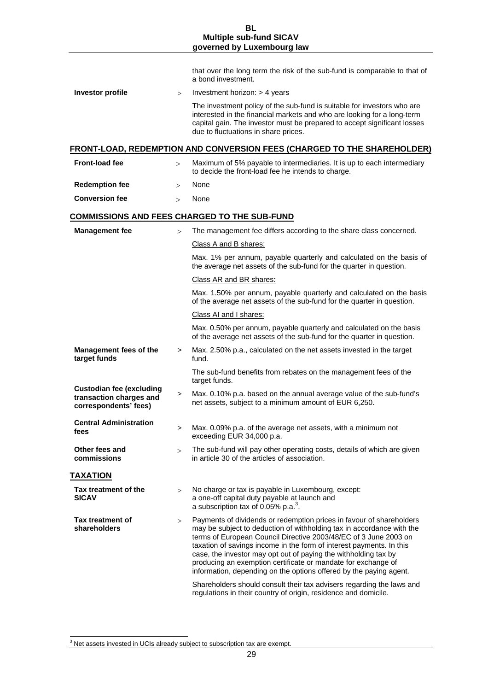|                                                                                     |        | BL<br><b>Multiple sub-fund SICAV</b><br>governed by Luxembourg law                                                                                                                                                                                                                                                                                                                                                                                                                                                                                                           |
|-------------------------------------------------------------------------------------|--------|------------------------------------------------------------------------------------------------------------------------------------------------------------------------------------------------------------------------------------------------------------------------------------------------------------------------------------------------------------------------------------------------------------------------------------------------------------------------------------------------------------------------------------------------------------------------------|
|                                                                                     |        |                                                                                                                                                                                                                                                                                                                                                                                                                                                                                                                                                                              |
|                                                                                     |        | that over the long term the risk of the sub-fund is comparable to that of<br>a bond investment.                                                                                                                                                                                                                                                                                                                                                                                                                                                                              |
| <b>Investor profile</b>                                                             | $\geq$ | Investment horizon: > 4 years                                                                                                                                                                                                                                                                                                                                                                                                                                                                                                                                                |
|                                                                                     |        | The investment policy of the sub-fund is suitable for investors who are<br>interested in the financial markets and who are looking for a long-term<br>capital gain. The investor must be prepared to accept significant losses<br>due to fluctuations in share prices.                                                                                                                                                                                                                                                                                                       |
|                                                                                     |        | <b>FRONT-LOAD, REDEMPTION AND CONVERSION FEES (CHARGED TO THE SHAREHOLDER)</b>                                                                                                                                                                                                                                                                                                                                                                                                                                                                                               |
| <b>Front-load fee</b>                                                               | $\geq$ | Maximum of 5% payable to intermediaries. It is up to each intermediary<br>to decide the front-load fee he intends to charge.                                                                                                                                                                                                                                                                                                                                                                                                                                                 |
| <b>Redemption fee</b>                                                               | $\geq$ | None                                                                                                                                                                                                                                                                                                                                                                                                                                                                                                                                                                         |
| <b>Conversion fee</b>                                                               | $\geq$ | None                                                                                                                                                                                                                                                                                                                                                                                                                                                                                                                                                                         |
|                                                                                     |        | <b>COMMISSIONS AND FEES CHARGED TO THE SUB-FUND</b>                                                                                                                                                                                                                                                                                                                                                                                                                                                                                                                          |
| <b>Management fee</b>                                                               | $\geq$ | The management fee differs according to the share class concerned.                                                                                                                                                                                                                                                                                                                                                                                                                                                                                                           |
|                                                                                     |        | Class A and B shares:                                                                                                                                                                                                                                                                                                                                                                                                                                                                                                                                                        |
|                                                                                     |        | Max. 1% per annum, payable quarterly and calculated on the basis of<br>the average net assets of the sub-fund for the quarter in question.                                                                                                                                                                                                                                                                                                                                                                                                                                   |
|                                                                                     |        | Class AR and BR shares:                                                                                                                                                                                                                                                                                                                                                                                                                                                                                                                                                      |
|                                                                                     |        | Max. 1.50% per annum, payable quarterly and calculated on the basis<br>of the average net assets of the sub-fund for the quarter in question.                                                                                                                                                                                                                                                                                                                                                                                                                                |
|                                                                                     |        | Class AI and I shares:                                                                                                                                                                                                                                                                                                                                                                                                                                                                                                                                                       |
|                                                                                     |        | Max. 0.50% per annum, payable quarterly and calculated on the basis<br>of the average net assets of the sub-fund for the quarter in question.                                                                                                                                                                                                                                                                                                                                                                                                                                |
| Management fees of the<br>target funds                                              | $\geq$ | Max. 2.50% p.a., calculated on the net assets invested in the target<br>fund.                                                                                                                                                                                                                                                                                                                                                                                                                                                                                                |
|                                                                                     |        | The sub-fund benefits from rebates on the management fees of the<br>target funds.                                                                                                                                                                                                                                                                                                                                                                                                                                                                                            |
| <b>Custodian fee (excluding</b><br>transaction charges and<br>correspondents' fees) | $\geq$ | Max. 0.10% p.a. based on the annual average value of the sub-fund's<br>net assets, subject to a minimum amount of EUR 6,250.                                                                                                                                                                                                                                                                                                                                                                                                                                                 |
| <b>Central Administration</b><br>fees                                               | $\geq$ | Max. 0.09% p.a. of the average net assets, with a minimum not<br>exceeding EUR 34,000 p.a.                                                                                                                                                                                                                                                                                                                                                                                                                                                                                   |
| Other fees and<br>commissions                                                       | $\geq$ | The sub-fund will pay other operating costs, details of which are given<br>in article 30 of the articles of association.                                                                                                                                                                                                                                                                                                                                                                                                                                                     |
| <b>TAXATION</b>                                                                     |        |                                                                                                                                                                                                                                                                                                                                                                                                                                                                                                                                                                              |
| Tax treatment of the<br><b>SICAV</b>                                                | $\geq$ | No charge or tax is payable in Luxembourg, except:<br>a one-off capital duty payable at launch and<br>a subscription tax of 0.05% p.a. $^3$ .                                                                                                                                                                                                                                                                                                                                                                                                                                |
| <b>Tax treatment of</b><br>shareholders                                             | >      | Payments of dividends or redemption prices in favour of shareholders<br>may be subject to deduction of withholding tax in accordance with the<br>terms of European Council Directive 2003/48/EC of 3 June 2003 on<br>taxation of savings income in the form of interest payments. In this<br>case, the investor may opt out of paying the withholding tax by<br>producing an exemption certificate or mandate for exchange of<br>information, depending on the options offered by the paying agent.<br>Shareholders should consult their tax advisers regarding the laws and |
|                                                                                     |        | regulations in their country of origin, residence and domicile.                                                                                                                                                                                                                                                                                                                                                                                                                                                                                                              |

 3 Net assets invested in UCIs already subject to subscription tax are exempt.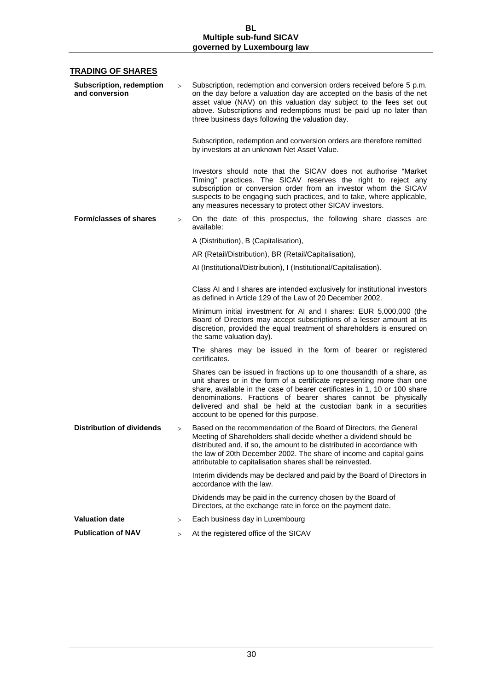### **TRADING OF SHARES**

| <b>Subscription, redemption</b><br>and conversion | $\geq$ | Subscription, redemption and conversion orders received before 5 p.m.<br>on the day before a valuation day are accepted on the basis of the net<br>asset value (NAV) on this valuation day subject to the fees set out<br>above. Subscriptions and redemptions must be paid up no later than<br>three business days following the valuation day.<br>Subscription, redemption and conversion orders are therefore remitted<br>by investors at an unknown Net Asset Value.<br>Investors should note that the SICAV does not authorise "Market"<br>Timing" practices. The SICAV reserves the right to reject any |
|---------------------------------------------------|--------|---------------------------------------------------------------------------------------------------------------------------------------------------------------------------------------------------------------------------------------------------------------------------------------------------------------------------------------------------------------------------------------------------------------------------------------------------------------------------------------------------------------------------------------------------------------------------------------------------------------|
|                                                   |        | subscription or conversion order from an investor whom the SICAV<br>suspects to be engaging such practices, and to take, where applicable,<br>any measures necessary to protect other SICAV investors.                                                                                                                                                                                                                                                                                                                                                                                                        |
| <b>Form/classes of shares</b>                     | >      | On the date of this prospectus, the following share classes are<br>available:                                                                                                                                                                                                                                                                                                                                                                                                                                                                                                                                 |
|                                                   |        | A (Distribution), B (Capitalisation),                                                                                                                                                                                                                                                                                                                                                                                                                                                                                                                                                                         |
|                                                   |        | AR (Retail/Distribution), BR (Retail/Capitalisation),                                                                                                                                                                                                                                                                                                                                                                                                                                                                                                                                                         |
|                                                   |        | Al (Institutional/Distribution), I (Institutional/Capitalisation).                                                                                                                                                                                                                                                                                                                                                                                                                                                                                                                                            |
|                                                   |        | Class AI and I shares are intended exclusively for institutional investors<br>as defined in Article 129 of the Law of 20 December 2002.                                                                                                                                                                                                                                                                                                                                                                                                                                                                       |
|                                                   |        | Minimum initial investment for AI and I shares: EUR 5,000,000 (the<br>Board of Directors may accept subscriptions of a lesser amount at its<br>discretion, provided the equal treatment of shareholders is ensured on<br>the same valuation day).                                                                                                                                                                                                                                                                                                                                                             |
|                                                   |        | The shares may be issued in the form of bearer or registered<br>certificates.                                                                                                                                                                                                                                                                                                                                                                                                                                                                                                                                 |
|                                                   |        | Shares can be issued in fractions up to one thousandth of a share, as<br>unit shares or in the form of a certificate representing more than one<br>share, available in the case of bearer certificates in 1, 10 or 100 share<br>denominations. Fractions of bearer shares cannot be physically<br>delivered and shall be held at the custodian bank in a securities<br>account to be opened for this purpose.                                                                                                                                                                                                 |
| <b>Distribution of dividends</b>                  | >      | Based on the recommendation of the Board of Directors, the General<br>Meeting of Shareholders shall decide whether a dividend should be<br>distributed and, if so, the amount to be distributed in accordance with<br>the law of 20th December 2002. The share of income and capital gains<br>attributable to capitalisation shares shall be reinvested.                                                                                                                                                                                                                                                      |
|                                                   |        | Interim dividends may be declared and paid by the Board of Directors in<br>accordance with the law.                                                                                                                                                                                                                                                                                                                                                                                                                                                                                                           |
|                                                   |        | Dividends may be paid in the currency chosen by the Board of<br>Directors, at the exchange rate in force on the payment date.                                                                                                                                                                                                                                                                                                                                                                                                                                                                                 |
| <b>Valuation date</b>                             | $\geq$ | Each business day in Luxembourg                                                                                                                                                                                                                                                                                                                                                                                                                                                                                                                                                                               |
| <b>Publication of NAV</b>                         | $\geq$ | At the registered office of the SICAV                                                                                                                                                                                                                                                                                                                                                                                                                                                                                                                                                                         |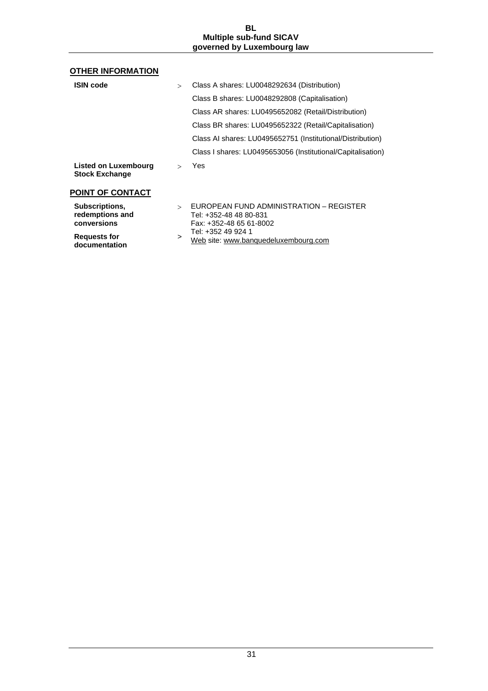### **OTHER INFORMATION**

| <b>ISIN code</b>                                 | $\geq$       | Class A shares: LU0048292634 (Distribution)                                                  |
|--------------------------------------------------|--------------|----------------------------------------------------------------------------------------------|
|                                                  |              | Class B shares: LU0048292808 (Capitalisation)                                                |
|                                                  |              | Class AR shares: LU0495652082 (Retail/Distribution)                                          |
|                                                  |              | Class BR shares: LU0495652322 (Retail/Capitalisation)                                        |
|                                                  |              | Class AI shares: LU0495652751 (Institutional/Distribution)                                   |
|                                                  |              | Class I shares: LU0495653056 (Institutional/Capitalisation)                                  |
| Listed on Luxembourg<br><b>Stock Exchange</b>    | $\mathbf{r}$ | Yes                                                                                          |
| <b>POINT OF CONTACT</b>                          |              |                                                                                              |
| Subscriptions,<br>redemptions and<br>conversions | $\sim$       | EUROPEAN FUND ADMINISTRATION – REGISTER<br>Tel: +352-48 48 80-831<br>Fax: +352-48 65 61-8002 |
| <b>Requests for</b><br>documentation             | >            | Tel: +352 49 924 1<br>Web site: www.banquedeluxembourg.com                                   |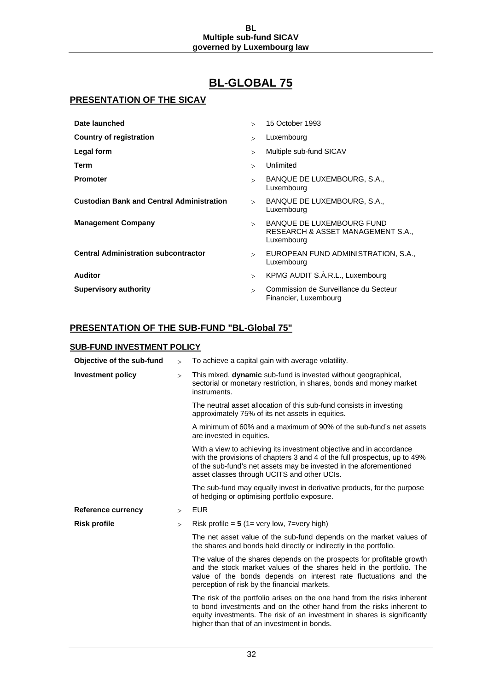### **BL-GLOBAL 75**

#### **PRESENTATION OF THE SICAV**

| Date launched                                    | $\check{}$    | 15 October 1993                                                                   |
|--------------------------------------------------|---------------|-----------------------------------------------------------------------------------|
| Country of registration                          | $\rightarrow$ | Luxembourg                                                                        |
| Legal form                                       | $\mathbf{L}$  | Multiple sub-fund SICAV                                                           |
| Term                                             | $\rightarrow$ | Unlimited                                                                         |
| <b>Promoter</b>                                  | $\rightarrow$ | BANQUE DE LUXEMBOURG, S.A.,<br>Luxembourg                                         |
| <b>Custodian Bank and Central Administration</b> | $\geq$        | BANQUE DE LUXEMBOURG, S.A.,<br>Luxembourg                                         |
| <b>Management Company</b>                        | $\rightarrow$ | <b>BANQUE DE LUXEMBOURG FUND</b><br>RESEARCH & ASSET MANAGEMENT S.A<br>Luxembourg |
| <b>Central Administration subcontractor</b>      | $\geq$        | EUROPEAN FUND ADMINISTRATION, S.A.,<br>Luxembourg                                 |
| <b>Auditor</b>                                   | $\rightarrow$ | KPMG AUDIT S.A.R.L., Luxembourg                                                   |
| <b>Supervisory authority</b>                     | $\mathbf{r}$  | Commission de Surveillance du Secteur<br>Financier, Luxembourg                    |

### **PRESENTATION OF THE SUB-FUND "BL-Global 75"**

#### **SUB-FUND INVESTMENT POLICY**

| Objective of the sub-fund | $\geq$ | To achieve a capital gain with average volatility.                                                                                                                                                                                                                          |
|---------------------------|--------|-----------------------------------------------------------------------------------------------------------------------------------------------------------------------------------------------------------------------------------------------------------------------------|
| <b>Investment policy</b>  |        | This mixed, <b>dynamic</b> sub-fund is invested without geographical,<br>sectorial or monetary restriction, in shares, bonds and money market<br>instruments.                                                                                                               |
|                           |        | The neutral asset allocation of this sub-fund consists in investing<br>approximately 75% of its net assets in equities.                                                                                                                                                     |
|                           |        | A minimum of 60% and a maximum of 90% of the sub-fund's net assets<br>are invested in equities.                                                                                                                                                                             |
|                           |        | With a view to achieving its investment objective and in accordance<br>with the provisions of chapters 3 and 4 of the full prospectus, up to 49%<br>of the sub-fund's net assets may be invested in the aforementioned<br>asset classes through UCITS and other UCIs.       |
|                           |        | The sub-fund may equally invest in derivative products, for the purpose<br>of hedging or optimising portfolio exposure.                                                                                                                                                     |
| <b>Reference currency</b> | $\geq$ | <b>EUR</b>                                                                                                                                                                                                                                                                  |
| <b>Risk profile</b>       | $\geq$ | Risk profile = $5(1)$ very low, 7=very high)                                                                                                                                                                                                                                |
|                           |        | The net asset value of the sub-fund depends on the market values of<br>the shares and bonds held directly or indirectly in the portfolio.                                                                                                                                   |
|                           |        | The value of the shares depends on the prospects for profitable growth<br>and the stock market values of the shares held in the portfolio. The<br>value of the bonds depends on interest rate fluctuations and the<br>perception of risk by the financial markets.          |
|                           |        | The risk of the portfolio arises on the one hand from the risks inherent<br>to bond investments and on the other hand from the risks inherent to<br>equity investments. The risk of an investment in shares is significantly<br>higher than that of an investment in bonds. |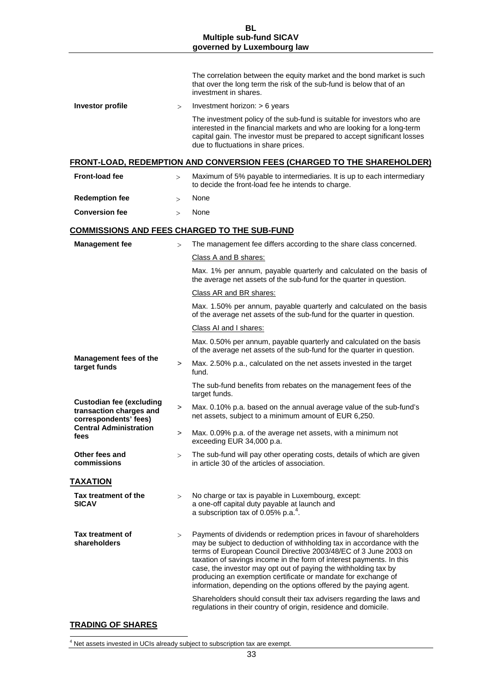|                                                                                     |        | <b>Multiple sub-fund SICAV</b><br>governed by Luxembourg law                                                                                                                                                                                                                                                                                                                                                                                                                                                                                                                 |
|-------------------------------------------------------------------------------------|--------|------------------------------------------------------------------------------------------------------------------------------------------------------------------------------------------------------------------------------------------------------------------------------------------------------------------------------------------------------------------------------------------------------------------------------------------------------------------------------------------------------------------------------------------------------------------------------|
|                                                                                     |        |                                                                                                                                                                                                                                                                                                                                                                                                                                                                                                                                                                              |
|                                                                                     |        | The correlation between the equity market and the bond market is such<br>that over the long term the risk of the sub-fund is below that of an<br>investment in shares.                                                                                                                                                                                                                                                                                                                                                                                                       |
| <b>Investor profile</b>                                                             | $\geq$ | Investment horizon: $> 6$ years                                                                                                                                                                                                                                                                                                                                                                                                                                                                                                                                              |
|                                                                                     |        | The investment policy of the sub-fund is suitable for investors who are<br>interested in the financial markets and who are looking for a long-term<br>capital gain. The investor must be prepared to accept significant losses<br>due to fluctuations in share prices.                                                                                                                                                                                                                                                                                                       |
|                                                                                     |        | <b>FRONT-LOAD, REDEMPTION AND CONVERSION FEES (CHARGED TO THE SHAREHOLDER)</b>                                                                                                                                                                                                                                                                                                                                                                                                                                                                                               |
| <b>Front-load fee</b>                                                               | $\geq$ | Maximum of 5% payable to intermediaries. It is up to each intermediary<br>to decide the front-load fee he intends to charge.                                                                                                                                                                                                                                                                                                                                                                                                                                                 |
| <b>Redemption fee</b>                                                               | $\geq$ | None                                                                                                                                                                                                                                                                                                                                                                                                                                                                                                                                                                         |
| <b>Conversion fee</b>                                                               | $\geq$ | None                                                                                                                                                                                                                                                                                                                                                                                                                                                                                                                                                                         |
|                                                                                     |        | <b>COMMISSIONS AND FEES CHARGED TO THE SUB-FUND</b>                                                                                                                                                                                                                                                                                                                                                                                                                                                                                                                          |
| <b>Management fee</b>                                                               | $\geq$ | The management fee differs according to the share class concerned.                                                                                                                                                                                                                                                                                                                                                                                                                                                                                                           |
|                                                                                     |        | Class A and B shares:                                                                                                                                                                                                                                                                                                                                                                                                                                                                                                                                                        |
|                                                                                     |        | Max. 1% per annum, payable quarterly and calculated on the basis of<br>the average net assets of the sub-fund for the quarter in question.                                                                                                                                                                                                                                                                                                                                                                                                                                   |
|                                                                                     |        | Class AR and BR shares:                                                                                                                                                                                                                                                                                                                                                                                                                                                                                                                                                      |
|                                                                                     |        | Max. 1.50% per annum, payable quarterly and calculated on the basis<br>of the average net assets of the sub-fund for the quarter in question.                                                                                                                                                                                                                                                                                                                                                                                                                                |
|                                                                                     |        | Class AI and I shares:                                                                                                                                                                                                                                                                                                                                                                                                                                                                                                                                                       |
|                                                                                     |        | Max. 0.50% per annum, payable quarterly and calculated on the basis<br>of the average net assets of the sub-fund for the quarter in question.                                                                                                                                                                                                                                                                                                                                                                                                                                |
| Management fees of the<br>target funds                                              | $\geq$ | Max. 2.50% p.a., calculated on the net assets invested in the target<br>fund.                                                                                                                                                                                                                                                                                                                                                                                                                                                                                                |
|                                                                                     |        | The sub-fund benefits from rebates on the management fees of the<br>target funds.                                                                                                                                                                                                                                                                                                                                                                                                                                                                                            |
| <b>Custodian fee (excluding</b><br>transaction charges and<br>correspondents' fees) | >      | Max. 0.10% p.a. based on the annual average value of the sub-fund's<br>net assets, subject to a minimum amount of EUR 6,250.                                                                                                                                                                                                                                                                                                                                                                                                                                                 |
| <b>Central Administration</b><br>fees                                               | $\geq$ | Max. 0.09% p.a. of the average net assets, with a minimum not<br>exceeding EUR 34,000 p.a.                                                                                                                                                                                                                                                                                                                                                                                                                                                                                   |
| Other fees and<br>commissions                                                       | $\geq$ | The sub-fund will pay other operating costs, details of which are given<br>in article 30 of the articles of association.                                                                                                                                                                                                                                                                                                                                                                                                                                                     |
| <b>TAXATION</b>                                                                     |        |                                                                                                                                                                                                                                                                                                                                                                                                                                                                                                                                                                              |
| Tax treatment of the<br><b>SICAV</b>                                                | $\geq$ | No charge or tax is payable in Luxembourg, except:<br>a one-off capital duty payable at launch and<br>a subscription tax of 0.05% p.a. <sup>4</sup> .                                                                                                                                                                                                                                                                                                                                                                                                                        |
| Tax treatment of<br>shareholders                                                    | $\geq$ | Payments of dividends or redemption prices in favour of shareholders<br>may be subject to deduction of withholding tax in accordance with the<br>terms of European Council Directive 2003/48/EC of 3 June 2003 on<br>taxation of savings income in the form of interest payments. In this<br>case, the investor may opt out of paying the withholding tax by<br>producing an exemption certificate or mandate for exchange of<br>information, depending on the options offered by the paying agent.<br>Shareholders should consult their tax advisers regarding the laws and |
|                                                                                     |        | regulations in their country of origin, residence and domicile.                                                                                                                                                                                                                                                                                                                                                                                                                                                                                                              |

**BL** 

#### **TRADING OF SHARES**

4 Net assets invested in UCIs already subject to subscription tax are exempt.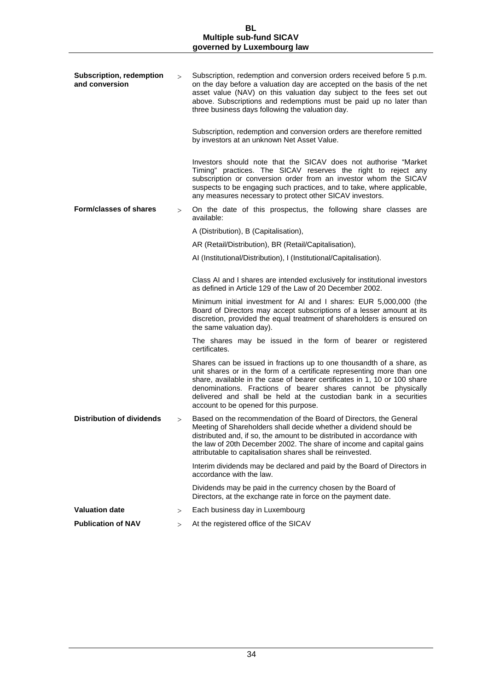| <b>Subscription, redemption</b><br>and conversion | $\geq$ | Subscription, redemption and conversion orders received before 5 p.m.<br>on the day before a valuation day are accepted on the basis of the net<br>asset value (NAV) on this valuation day subject to the fees set out<br>above. Subscriptions and redemptions must be paid up no later than<br>three business days following the valuation day.<br>Subscription, redemption and conversion orders are therefore remitted<br>by investors at an unknown Net Asset Value.<br>Investors should note that the SICAV does not authorise "Market"<br>Timing" practices. The SICAV reserves the right to reject any<br>subscription or conversion order from an investor whom the SICAV |
|---------------------------------------------------|--------|-----------------------------------------------------------------------------------------------------------------------------------------------------------------------------------------------------------------------------------------------------------------------------------------------------------------------------------------------------------------------------------------------------------------------------------------------------------------------------------------------------------------------------------------------------------------------------------------------------------------------------------------------------------------------------------|
|                                                   |        | suspects to be engaging such practices, and to take, where applicable,<br>any measures necessary to protect other SICAV investors.                                                                                                                                                                                                                                                                                                                                                                                                                                                                                                                                                |
| <b>Form/classes of shares</b>                     | >      | On the date of this prospectus, the following share classes are<br>available:                                                                                                                                                                                                                                                                                                                                                                                                                                                                                                                                                                                                     |
|                                                   |        | A (Distribution), B (Capitalisation),                                                                                                                                                                                                                                                                                                                                                                                                                                                                                                                                                                                                                                             |
|                                                   |        | AR (Retail/Distribution), BR (Retail/Capitalisation),                                                                                                                                                                                                                                                                                                                                                                                                                                                                                                                                                                                                                             |
|                                                   |        | Al (Institutional/Distribution), I (Institutional/Capitalisation).                                                                                                                                                                                                                                                                                                                                                                                                                                                                                                                                                                                                                |
|                                                   |        | Class AI and I shares are intended exclusively for institutional investors<br>as defined in Article 129 of the Law of 20 December 2002.                                                                                                                                                                                                                                                                                                                                                                                                                                                                                                                                           |
|                                                   |        | Minimum initial investment for AI and I shares: EUR 5,000,000 (the<br>Board of Directors may accept subscriptions of a lesser amount at its<br>discretion, provided the equal treatment of shareholders is ensured on<br>the same valuation day).                                                                                                                                                                                                                                                                                                                                                                                                                                 |
|                                                   |        | The shares may be issued in the form of bearer or registered<br>certificates.                                                                                                                                                                                                                                                                                                                                                                                                                                                                                                                                                                                                     |
|                                                   |        | Shares can be issued in fractions up to one thousandth of a share, as<br>unit shares or in the form of a certificate representing more than one<br>share, available in the case of bearer certificates in 1, 10 or 100 share<br>denominations. Fractions of bearer shares cannot be physically<br>delivered and shall be held at the custodian bank in a securities<br>account to be opened for this purpose.                                                                                                                                                                                                                                                                     |
| <b>Distribution of dividends</b>                  | $\geq$ | Based on the recommendation of the Board of Directors, the General<br>Meeting of Shareholders shall decide whether a dividend should be<br>distributed and, if so, the amount to be distributed in accordance with<br>the law of 20th December 2002. The share of income and capital gains<br>attributable to capitalisation shares shall be reinvested.                                                                                                                                                                                                                                                                                                                          |
|                                                   |        | Interim dividends may be declared and paid by the Board of Directors in<br>accordance with the law.                                                                                                                                                                                                                                                                                                                                                                                                                                                                                                                                                                               |
|                                                   |        | Dividends may be paid in the currency chosen by the Board of<br>Directors, at the exchange rate in force on the payment date.                                                                                                                                                                                                                                                                                                                                                                                                                                                                                                                                                     |
| <b>Valuation date</b>                             | $\geq$ | Each business day in Luxembourg                                                                                                                                                                                                                                                                                                                                                                                                                                                                                                                                                                                                                                                   |
| <b>Publication of NAV</b>                         | $\geq$ | At the registered office of the SICAV                                                                                                                                                                                                                                                                                                                                                                                                                                                                                                                                                                                                                                             |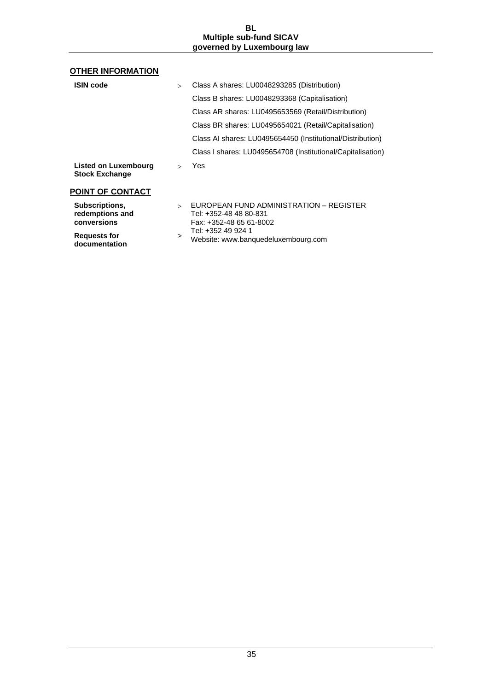### **OTHER INFORMATION**

**documentation** 

| <b>ISIN code</b>                                 | $\rightarrow$ | Class A shares: LU0048293285 (Distribution)                                                  |
|--------------------------------------------------|---------------|----------------------------------------------------------------------------------------------|
|                                                  |               | Class B shares: LU0048293368 (Capitalisation)                                                |
|                                                  |               | Class AR shares: LU0495653569 (Retail/Distribution)                                          |
|                                                  |               | Class BR shares: LU0495654021 (Retail/Capitalisation)                                        |
|                                                  |               | Class AI shares: LU0495654450 (Institutional/Distribution)                                   |
|                                                  |               | Class I shares: LU0495654708 (Institutional/Capitalisation)                                  |
| Listed on Luxembourg<br><b>Stock Exchange</b>    | $\geq$        | Yes                                                                                          |
| <b>POINT OF CONTACT</b>                          |               |                                                                                              |
| Subscriptions,<br>redemptions and<br>conversions | $\sim$        | EUROPEAN FUND ADMINISTRATION – REGISTER<br>Tel: +352-48 48 80-831<br>Fax: +352-48 65 61-8002 |
| <b>Requests for</b><br>.                         | ⋗             | Tel: +352 49 924 1<br>Website: www.banquedeluxembourg.com                                    |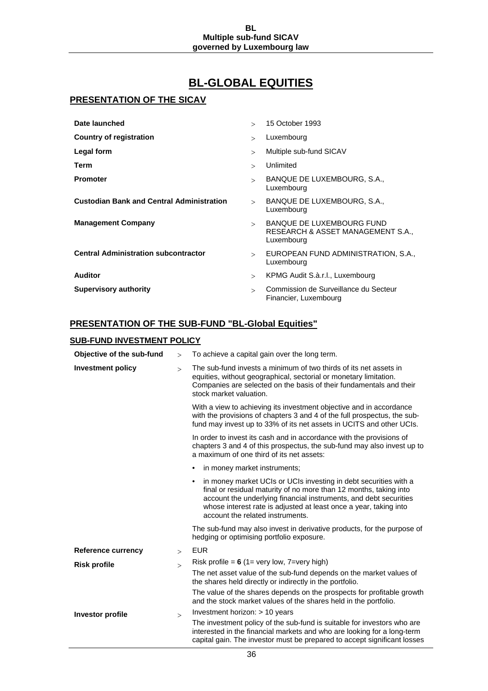### **BL-GLOBAL EQUITIES**

### **PRESENTATION OF THE SICAV**

| Date launched                                    | $\mathbf{v}$  | 15 October 1993                                                                     |
|--------------------------------------------------|---------------|-------------------------------------------------------------------------------------|
| <b>Country of registration</b>                   | $\rightarrow$ | Luxembourg                                                                          |
| Legal form                                       | $\rightarrow$ | Multiple sub-fund SICAV                                                             |
| <b>Term</b>                                      | $\rightarrow$ | Unlimited                                                                           |
| <b>Promoter</b>                                  | $\rightarrow$ | BANQUE DE LUXEMBOURG, S.A.,<br>Luxembourg                                           |
| <b>Custodian Bank and Central Administration</b> | $\geq$        | BANQUE DE LUXEMBOURG, S.A.,<br>Luxembourg                                           |
| <b>Management Company</b>                        | $\sim$        | <b>BANQUE DE LUXEMBOURG FUND</b><br>RESEARCH & ASSET MANAGEMENT S.A.,<br>Luxembourg |
| <b>Central Administration subcontractor</b>      | $\geq$        | EUROPEAN FUND ADMINISTRATION, S.A.,<br>Luxembourg                                   |
| <b>Auditor</b>                                   | $\geq$        | KPMG Audit S.a.r.l., Luxembourg                                                     |
| <b>Supervisory authority</b>                     | $\rightarrow$ | Commission de Surveillance du Secteur<br>Financier, Luxembourg                      |

### **PRESENTATION OF THE SUB-FUND "BL-Global Equities"**

#### **SUB-FUND INVESTMENT POLICY**

| Objective of the sub-fund     | $\geq$ | To achieve a capital gain over the long term.                                                                                                                                                                                                                                                                                    |
|-------------------------------|--------|----------------------------------------------------------------------------------------------------------------------------------------------------------------------------------------------------------------------------------------------------------------------------------------------------------------------------------|
| <b>Investment policy</b>      | $\geq$ | The sub-fund invests a minimum of two thirds of its net assets in<br>equities, without geographical, sectorial or monetary limitation.<br>Companies are selected on the basis of their fundamentals and their<br>stock market valuation.                                                                                         |
|                               |        | With a view to achieving its investment objective and in accordance<br>with the provisions of chapters 3 and 4 of the full prospectus, the sub-<br>fund may invest up to 33% of its net assets in UCITS and other UCIs.                                                                                                          |
|                               |        | In order to invest its cash and in accordance with the provisions of<br>chapters 3 and 4 of this prospectus, the sub-fund may also invest up to<br>a maximum of one third of its net assets:                                                                                                                                     |
|                               |        | in money market instruments;<br>٠                                                                                                                                                                                                                                                                                                |
|                               |        | in money market UCIs or UCIs investing in debt securities with a<br>$\bullet$<br>final or residual maturity of no more than 12 months, taking into<br>account the underlying financial instruments, and debt securities<br>whose interest rate is adjusted at least once a year, taking into<br>account the related instruments. |
|                               |        | The sub-fund may also invest in derivative products, for the purpose of<br>hedging or optimising portfolio exposure.                                                                                                                                                                                                             |
| Reference currency            | $\geq$ | <b>EUR</b>                                                                                                                                                                                                                                                                                                                       |
| <b>Risk profile</b><br>$\geq$ |        | Risk profile = $6(1)$ very low, 7=very high)                                                                                                                                                                                                                                                                                     |
|                               |        | The net asset value of the sub-fund depends on the market values of<br>the shares held directly or indirectly in the portfolio.                                                                                                                                                                                                  |
|                               |        | The value of the shares depends on the prospects for profitable growth<br>and the stock market values of the shares held in the portfolio.                                                                                                                                                                                       |
| <b>Investor profile</b>       | $\geq$ | Investment horizon: > 10 years                                                                                                                                                                                                                                                                                                   |
|                               |        | The investment policy of the sub-fund is suitable for investors who are<br>interested in the financial markets and who are looking for a long-term<br>capital gain. The investor must be prepared to accept significant losses                                                                                                   |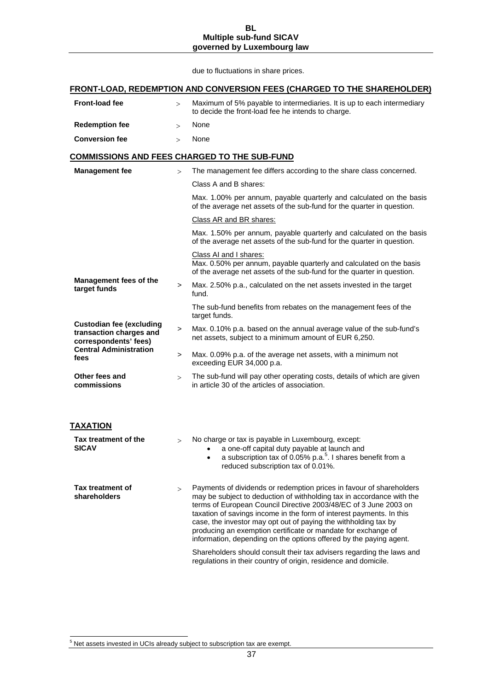due to fluctuations in share prices.

## **FRONT-LOAD, REDEMPTION AND CONVERSION FEES (CHARGED TO THE SHAREHOLDER)**

| Front-load fee                                                                                                                                         | $\geq$ | Maximum of 5% payable to intermediaries. It is up to each intermediary<br>to decide the front-load fee he intends to charge.                                                                                                                                                                                                                                                                                                                                                                                                                                                                                                                    |  |
|--------------------------------------------------------------------------------------------------------------------------------------------------------|--------|-------------------------------------------------------------------------------------------------------------------------------------------------------------------------------------------------------------------------------------------------------------------------------------------------------------------------------------------------------------------------------------------------------------------------------------------------------------------------------------------------------------------------------------------------------------------------------------------------------------------------------------------------|--|
| <b>Redemption fee</b>                                                                                                                                  | $\geq$ | None                                                                                                                                                                                                                                                                                                                                                                                                                                                                                                                                                                                                                                            |  |
| <b>Conversion fee</b>                                                                                                                                  | $\geq$ | None                                                                                                                                                                                                                                                                                                                                                                                                                                                                                                                                                                                                                                            |  |
|                                                                                                                                                        |        | <b>COMMISSIONS AND FEES CHARGED TO THE SUB-FUND</b>                                                                                                                                                                                                                                                                                                                                                                                                                                                                                                                                                                                             |  |
| <b>Management fee</b>                                                                                                                                  | $\geq$ | The management fee differs according to the share class concerned.                                                                                                                                                                                                                                                                                                                                                                                                                                                                                                                                                                              |  |
|                                                                                                                                                        |        | Class A and B shares:                                                                                                                                                                                                                                                                                                                                                                                                                                                                                                                                                                                                                           |  |
|                                                                                                                                                        |        | Max. 1.00% per annum, payable quarterly and calculated on the basis<br>of the average net assets of the sub-fund for the quarter in question.                                                                                                                                                                                                                                                                                                                                                                                                                                                                                                   |  |
|                                                                                                                                                        |        | Class AR and BR shares:                                                                                                                                                                                                                                                                                                                                                                                                                                                                                                                                                                                                                         |  |
|                                                                                                                                                        |        | Max. 1.50% per annum, payable quarterly and calculated on the basis<br>of the average net assets of the sub-fund for the quarter in question.                                                                                                                                                                                                                                                                                                                                                                                                                                                                                                   |  |
|                                                                                                                                                        |        | Class AI and I shares:<br>Max. 0.50% per annum, payable quarterly and calculated on the basis<br>of the average net assets of the sub-fund for the quarter in question.                                                                                                                                                                                                                                                                                                                                                                                                                                                                         |  |
| Management fees of the<br>target funds                                                                                                                 | $\geq$ | Max. 2.50% p.a., calculated on the net assets invested in the target<br>fund.                                                                                                                                                                                                                                                                                                                                                                                                                                                                                                                                                                   |  |
|                                                                                                                                                        |        | The sub-fund benefits from rebates on the management fees of the<br>target funds.                                                                                                                                                                                                                                                                                                                                                                                                                                                                                                                                                               |  |
| <b>Custodian fee (excluding</b><br>$\, > \,$<br>transaction charges and<br>correspondents' fees)<br><b>Central Administration</b><br>$\, > \,$<br>fees |        | Max. 0.10% p.a. based on the annual average value of the sub-fund's<br>net assets, subject to a minimum amount of EUR 6,250.                                                                                                                                                                                                                                                                                                                                                                                                                                                                                                                    |  |
|                                                                                                                                                        |        | Max. 0.09% p.a. of the average net assets, with a minimum not<br>exceeding EUR 34,000 p.a.                                                                                                                                                                                                                                                                                                                                                                                                                                                                                                                                                      |  |
| Other fees and<br>commissions                                                                                                                          | $\geq$ | The sub-fund will pay other operating costs, details of which are given<br>in article 30 of the articles of association.                                                                                                                                                                                                                                                                                                                                                                                                                                                                                                                        |  |
|                                                                                                                                                        |        |                                                                                                                                                                                                                                                                                                                                                                                                                                                                                                                                                                                                                                                 |  |
| TAXATION                                                                                                                                               |        |                                                                                                                                                                                                                                                                                                                                                                                                                                                                                                                                                                                                                                                 |  |
| Tax treatment of the<br><b>SICAV</b>                                                                                                                   | $\geq$ | No charge or tax is payable in Luxembourg, except:<br>a one-off capital duty payable at launch and<br>a subscription tax of 0.05% p.a. <sup>5</sup> . I shares benefit from a<br>$\bullet$<br>reduced subscription tax of 0.01%.                                                                                                                                                                                                                                                                                                                                                                                                                |  |
| <b>Tax treatment of</b><br>shareholders                                                                                                                | $\geq$ | Payments of dividends or redemption prices in favour of shareholders<br>may be subject to deduction of withholding tax in accordance with the<br>terms of European Council Directive 2003/48/EC of 3 June 2003 on<br>taxation of savings income in the form of interest payments. In this<br>case, the investor may opt out of paying the withholding tax by<br>producing an exemption certificate or mandate for exchange of<br>information, depending on the options offered by the paying agent.<br>Shareholders should consult their tax advisers regarding the laws and<br>regulations in their country of origin, residence and domicile. |  |

 5 Net assets invested in UCIs already subject to subscription tax are exempt.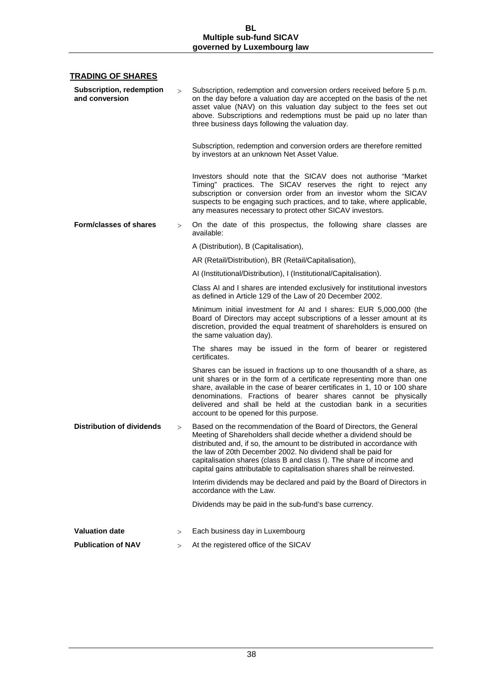# **TRADING OF SHARES**

| <b>Subscription, redemption</b><br>and conversion | $\geq$ | Subscription, redemption and conversion orders received before 5 p.m.<br>on the day before a valuation day are accepted on the basis of the net<br>asset value (NAV) on this valuation day subject to the fees set out<br>above. Subscriptions and redemptions must be paid up no later than<br>three business days following the valuation day.<br>Subscription, redemption and conversion orders are therefore remitted<br>by investors at an unknown Net Asset Value.<br>Investors should note that the SICAV does not authorise "Market"<br>Timing" practices. The SICAV reserves the right to reject any<br>subscription or conversion order from an investor whom the SICAV<br>suspects to be engaging such practices, and to take, where applicable,<br>any measures necessary to protect other SICAV investors. |
|---------------------------------------------------|--------|-------------------------------------------------------------------------------------------------------------------------------------------------------------------------------------------------------------------------------------------------------------------------------------------------------------------------------------------------------------------------------------------------------------------------------------------------------------------------------------------------------------------------------------------------------------------------------------------------------------------------------------------------------------------------------------------------------------------------------------------------------------------------------------------------------------------------|
| <b>Form/classes of shares</b>                     | $\geq$ | On the date of this prospectus, the following share classes are<br>available:                                                                                                                                                                                                                                                                                                                                                                                                                                                                                                                                                                                                                                                                                                                                           |
|                                                   |        | A (Distribution), B (Capitalisation),                                                                                                                                                                                                                                                                                                                                                                                                                                                                                                                                                                                                                                                                                                                                                                                   |
|                                                   |        | AR (Retail/Distribution), BR (Retail/Capitalisation),                                                                                                                                                                                                                                                                                                                                                                                                                                                                                                                                                                                                                                                                                                                                                                   |
|                                                   |        | AI (Institutional/Distribution), I (Institutional/Capitalisation).                                                                                                                                                                                                                                                                                                                                                                                                                                                                                                                                                                                                                                                                                                                                                      |
|                                                   |        | Class AI and I shares are intended exclusively for institutional investors<br>as defined in Article 129 of the Law of 20 December 2002.                                                                                                                                                                                                                                                                                                                                                                                                                                                                                                                                                                                                                                                                                 |
|                                                   |        | Minimum initial investment for AI and I shares: EUR 5,000,000 (the<br>Board of Directors may accept subscriptions of a lesser amount at its<br>discretion, provided the equal treatment of shareholders is ensured on<br>the same valuation day).                                                                                                                                                                                                                                                                                                                                                                                                                                                                                                                                                                       |
|                                                   |        | The shares may be issued in the form of bearer or registered<br>certificates.                                                                                                                                                                                                                                                                                                                                                                                                                                                                                                                                                                                                                                                                                                                                           |
|                                                   |        | Shares can be issued in fractions up to one thousandth of a share, as<br>unit shares or in the form of a certificate representing more than one<br>share, available in the case of bearer certificates in 1, 10 or 100 share<br>denominations. Fractions of bearer shares cannot be physically<br>delivered and shall be held at the custodian bank in a securities<br>account to be opened for this purpose.                                                                                                                                                                                                                                                                                                                                                                                                           |
| <b>Distribution of dividends</b>                  | $\geq$ | Based on the recommendation of the Board of Directors, the General<br>Meeting of Shareholders shall decide whether a dividend should be<br>distributed and, if so, the amount to be distributed in accordance with<br>the law of 20th December 2002. No dividend shall be paid for<br>capitalisation shares (class B and class I). The share of income and<br>capital gains attributable to capitalisation shares shall be reinvested.                                                                                                                                                                                                                                                                                                                                                                                  |
|                                                   |        | Interim dividends may be declared and paid by the Board of Directors in<br>accordance with the Law.                                                                                                                                                                                                                                                                                                                                                                                                                                                                                                                                                                                                                                                                                                                     |
|                                                   |        | Dividends may be paid in the sub-fund's base currency.                                                                                                                                                                                                                                                                                                                                                                                                                                                                                                                                                                                                                                                                                                                                                                  |
|                                                   |        |                                                                                                                                                                                                                                                                                                                                                                                                                                                                                                                                                                                                                                                                                                                                                                                                                         |
| <b>Valuation date</b>                             | $\geq$ | Each business day in Luxembourg                                                                                                                                                                                                                                                                                                                                                                                                                                                                                                                                                                                                                                                                                                                                                                                         |
| <b>Publication of NAV</b>                         | $\geq$ | At the registered office of the SICAV                                                                                                                                                                                                                                                                                                                                                                                                                                                                                                                                                                                                                                                                                                                                                                                   |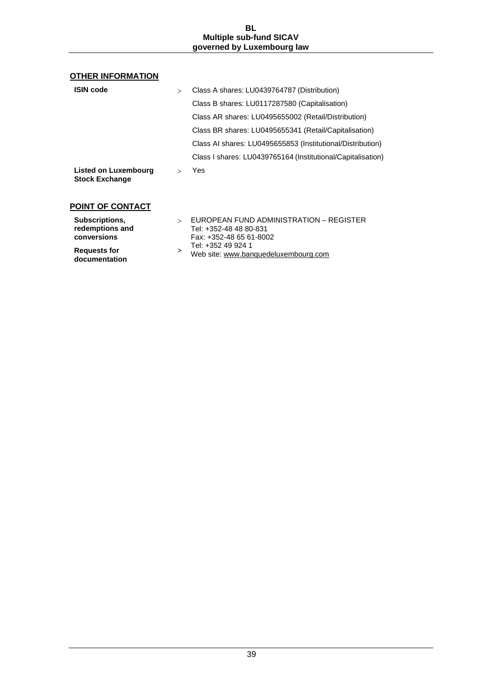# **OTHER INFORMATION**

| <b>ISIN code</b>                                 | $\geq$        | Class A shares: LU0439764787 (Distribution)                                                  |  |
|--------------------------------------------------|---------------|----------------------------------------------------------------------------------------------|--|
|                                                  |               | Class B shares: LU0117287580 (Capitalisation)                                                |  |
|                                                  |               | Class AR shares: LU0495655002 (Retail/Distribution)                                          |  |
|                                                  |               | Class BR shares: LU0495655341 (Retail/Capitalisation)                                        |  |
|                                                  |               | Class AI shares: LU0495655853 (Institutional/Distribution)                                   |  |
|                                                  |               | Class I shares: LU0439765164 (Institutional/Capitalisation)                                  |  |
| Listed on Luxembourg<br><b>Stock Exchange</b>    | $\geq$        | Yes                                                                                          |  |
| <b>POINT OF CONTACT</b>                          |               |                                                                                              |  |
| Subscriptions,<br>redemptions and<br>conversions | $\rightarrow$ | EUROPEAN FUND ADMINISTRATION - REGISTER<br>Tel: +352-48 48 80-831<br>Fax: +352-48 65 61-8002 |  |
| <b>Requests for</b><br>documentation             | >             | Tel: +352 49 924 1<br>Web site: www.banquedeluxembourg.com                                   |  |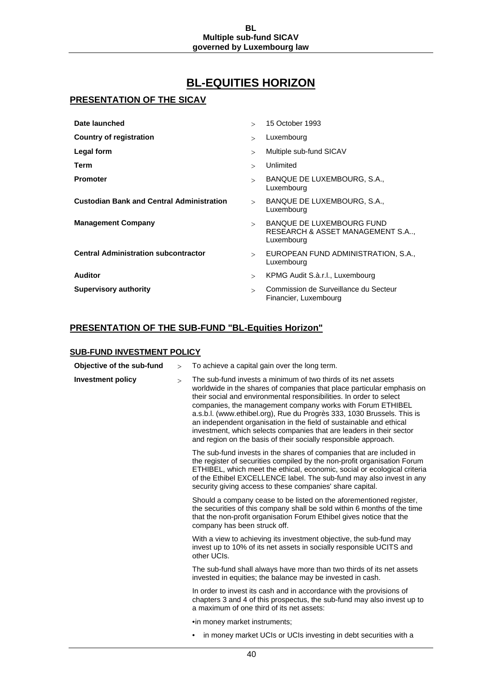# **BL-EQUITIES HORIZON**

# **PRESENTATION OF THE SICAV**

| Date launched                                    | $\overline{\phantom{0}}$ | 15 October 1993                                                                   |
|--------------------------------------------------|--------------------------|-----------------------------------------------------------------------------------|
| <b>Country of registration</b>                   | $\geq$                   | Luxembourg                                                                        |
| Legal form                                       | $\geq$                   | Multiple sub-fund SICAV                                                           |
| Term                                             | $\rightarrow$            | Unlimited                                                                         |
| <b>Promoter</b>                                  | $\rightarrow$            | BANQUE DE LUXEMBOURG, S.A.,<br>Luxembourg                                         |
| <b>Custodian Bank and Central Administration</b> | $\geq$                   | BANQUE DE LUXEMBOURG, S.A.,<br>Luxembourg                                         |
| <b>Management Company</b>                        | $\rightarrow$            | <b>BANQUE DE LUXEMBOURG FUND</b><br>RESEARCH & ASSET MANAGEMENT S.A<br>Luxembourg |
| <b>Central Administration subcontractor</b>      | $\geq$                   | EUROPEAN FUND ADMINISTRATION, S.A.,<br>Luxembourg                                 |
| Auditor                                          | $\geq$                   | KPMG Audit S.à.r.l., Luxembourg                                                   |
| <b>Supervisory authority</b>                     | $\mathbf{r}$             | Commission de Surveillance du Secteur<br>Financier, Luxembourg                    |

## **PRESENTATION OF THE SUB-FUND "BL-Equities Horizon"**

| Objective of the sub-fund          | $\geq$ | To achieve a capital gain over the long term.                                                                                                                                                                                                                                                                                                                                                                                                                                                                                                                             |
|------------------------------------|--------|---------------------------------------------------------------------------------------------------------------------------------------------------------------------------------------------------------------------------------------------------------------------------------------------------------------------------------------------------------------------------------------------------------------------------------------------------------------------------------------------------------------------------------------------------------------------------|
| <b>Investment policy</b><br>$\geq$ |        | The sub-fund invests a minimum of two thirds of its net assets<br>worldwide in the shares of companies that place particular emphasis on<br>their social and environmental responsibilities. In order to select<br>companies, the management company works with Forum ETHIBEL<br>a.s.b.l. (www.ethibel.org), Rue du Progrès 333, 1030 Brussels. This is<br>an independent organisation in the field of sustainable and ethical<br>investment, which selects companies that are leaders in their sector<br>and region on the basis of their socially responsible approach. |
|                                    |        | The sub-fund invests in the shares of companies that are included in<br>the register of securities compiled by the non-profit organisation Forum<br>ETHIBEL, which meet the ethical, economic, social or ecological criteria<br>of the Ethibel EXCELLENCE label. The sub-fund may also invest in any<br>security giving access to these companies' share capital.                                                                                                                                                                                                         |
|                                    |        | Should a company cease to be listed on the aforementioned register,<br>the securities of this company shall be sold within 6 months of the time<br>that the non-profit organisation Forum Ethibel gives notice that the<br>company has been struck off.                                                                                                                                                                                                                                                                                                                   |
|                                    |        | With a view to achieving its investment objective, the sub-fund may<br>invest up to 10% of its net assets in socially responsible UCITS and<br>other UCIs.                                                                                                                                                                                                                                                                                                                                                                                                                |
|                                    |        | The sub-fund shall always have more than two thirds of its net assets<br>invested in equities; the balance may be invested in cash.                                                                                                                                                                                                                                                                                                                                                                                                                                       |
|                                    |        | In order to invest its cash and in accordance with the provisions of<br>chapters 3 and 4 of this prospectus, the sub-fund may also invest up to<br>a maximum of one third of its net assets:                                                                                                                                                                                                                                                                                                                                                                              |
|                                    |        | •in money market instruments;                                                                                                                                                                                                                                                                                                                                                                                                                                                                                                                                             |
|                                    |        | in money market UCIs or UCIs investing in debt securities with a<br>٠                                                                                                                                                                                                                                                                                                                                                                                                                                                                                                     |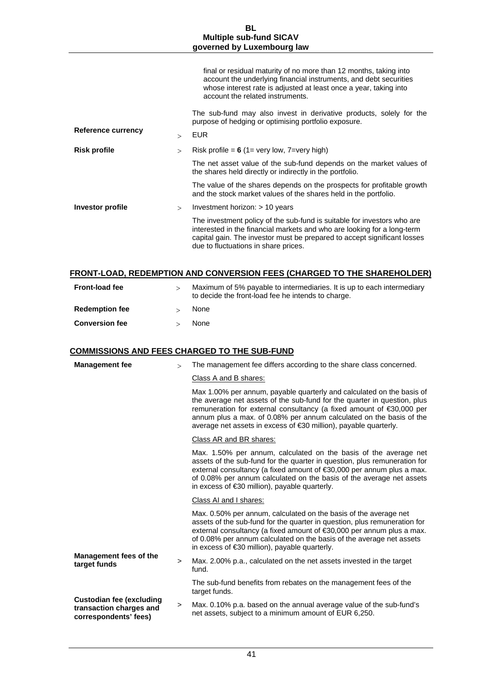|                           |              | final or residual maturity of no more than 12 months, taking into<br>account the underlying financial instruments, and debt securities<br>whose interest rate is adjusted at least once a year, taking into<br>account the related instruments.                        |
|---------------------------|--------------|------------------------------------------------------------------------------------------------------------------------------------------------------------------------------------------------------------------------------------------------------------------------|
|                           |              | The sub-fund may also invest in derivative products, solely for the<br>purpose of hedging or optimising portfolio exposure.                                                                                                                                            |
| <b>Reference currency</b> | $\mathbf{r}$ | <b>EUR</b>                                                                                                                                                                                                                                                             |
| Risk profile              | $\geq$       | Risk profile = $6(1)$ very low, 7=very high)                                                                                                                                                                                                                           |
|                           |              | The net asset value of the sub-fund depends on the market values of<br>the shares held directly or indirectly in the portfolio.                                                                                                                                        |
|                           |              | The value of the shares depends on the prospects for profitable growth<br>and the stock market values of the shares held in the portfolio.                                                                                                                             |
| Investor profile          | $\geq$       | Investment horizon: $> 10$ years                                                                                                                                                                                                                                       |
|                           |              | The investment policy of the sub-fund is suitable for investors who are<br>interested in the financial markets and who are looking for a long-term<br>capital gain. The investor must be prepared to accept significant losses<br>due to fluctuations in share prices. |
|                           |              |                                                                                                                                                                                                                                                                        |

# **FRONT-LOAD, REDEMPTION AND CONVERSION FEES (CHARGED TO THE SHAREHOLDER)**

| <b>Front-load fee</b> | Maximum of 5% payable to intermediaries. It is up to each intermediary<br>to decide the front-load fee he intends to charge. |
|-----------------------|------------------------------------------------------------------------------------------------------------------------------|
| <b>Redemption fee</b> | <b>None</b>                                                                                                                  |
| <b>Conversion fee</b> | <b>None</b>                                                                                                                  |

## **COMMISSIONS AND FEES CHARGED TO THE SUB-FUND**

| <b>Management fee</b>                                                               | $\geq$ | The management fee differs according to the share class concerned.                                                                                                                                                                                                                                                                                                   |
|-------------------------------------------------------------------------------------|--------|----------------------------------------------------------------------------------------------------------------------------------------------------------------------------------------------------------------------------------------------------------------------------------------------------------------------------------------------------------------------|
|                                                                                     |        | Class A and B shares:                                                                                                                                                                                                                                                                                                                                                |
|                                                                                     |        | Max 1.00% per annum, payable quarterly and calculated on the basis of<br>the average net assets of the sub-fund for the quarter in question, plus<br>remuneration for external consultancy (a fixed amount of €30,000 per<br>annum plus a max. of 0.08% per annum calculated on the basis of the<br>average net assets in excess of €30 million), payable quarterly. |
|                                                                                     |        | Class AR and BR shares:                                                                                                                                                                                                                                                                                                                                              |
|                                                                                     |        | Max. 1.50% per annum, calculated on the basis of the average net<br>assets of the sub-fund for the quarter in question, plus remuneration for<br>external consultancy (a fixed amount of €30,000 per annum plus a max.<br>of 0.08% per annum calculated on the basis of the average net assets<br>in excess of $\epsilon$ 30 million), payable quarterly.            |
|                                                                                     |        | Class AI and I shares:                                                                                                                                                                                                                                                                                                                                               |
|                                                                                     |        | Max. 0.50% per annum, calculated on the basis of the average net<br>assets of the sub-fund for the quarter in question, plus remuneration for<br>external consultancy (a fixed amount of €30,000 per annum plus a max.<br>of 0.08% per annum calculated on the basis of the average net assets<br>in excess of $\epsilon$ 30 million), payable quarterly.            |
| Management fees of the<br>target funds                                              | $\geq$ | Max. 2.00% p.a., calculated on the net assets invested in the target<br>fund.                                                                                                                                                                                                                                                                                        |
|                                                                                     |        | The sub-fund benefits from rebates on the management fees of the<br>target funds.                                                                                                                                                                                                                                                                                    |
| <b>Custodian fee (excluding</b><br>transaction charges and<br>correspondents' fees) | $\geq$ | Max. 0.10% p.a. based on the annual average value of the sub-fund's<br>net assets, subject to a minimum amount of EUR 6,250.                                                                                                                                                                                                                                         |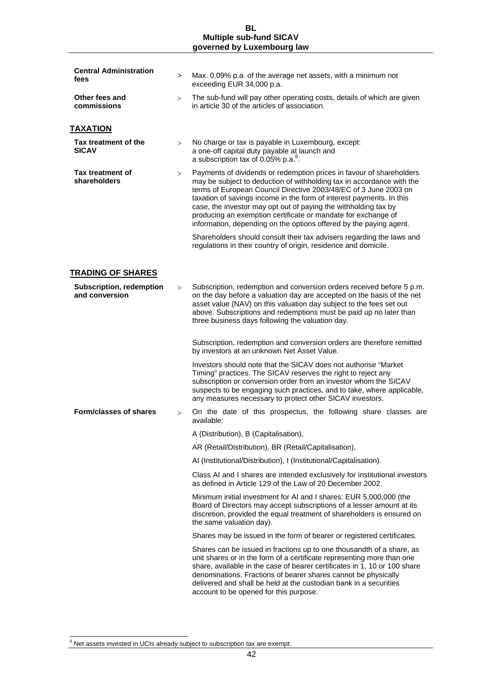| <b>Central Administration</b><br>fees             | $\,>$  | Max. 0.09% p.a. of the average net assets, with a minimum not<br>exceeding EUR 34,000 p.a.                                                                                                                                                                                                                                                                                                                                                                                                          |  |
|---------------------------------------------------|--------|-----------------------------------------------------------------------------------------------------------------------------------------------------------------------------------------------------------------------------------------------------------------------------------------------------------------------------------------------------------------------------------------------------------------------------------------------------------------------------------------------------|--|
| Other fees and<br>commissions                     | $\geq$ | The sub-fund will pay other operating costs, details of which are given<br>in article 30 of the articles of association.                                                                                                                                                                                                                                                                                                                                                                            |  |
| <b>TAXATION</b>                                   |        |                                                                                                                                                                                                                                                                                                                                                                                                                                                                                                     |  |
| Tax treatment of the<br><b>SICAV</b>              | $\geq$ | No charge or tax is payable in Luxembourg, except:<br>a one-off capital duty payable at launch and<br>a subscription tax of 0.05% p.a. <sup>6</sup> .                                                                                                                                                                                                                                                                                                                                               |  |
| <b>Tax treatment of</b><br>shareholders           | $\geq$ | Payments of dividends or redemption prices in favour of shareholders<br>may be subject to deduction of withholding tax in accordance with the<br>terms of European Council Directive 2003/48/EC of 3 June 2003 on<br>taxation of savings income in the form of interest payments. In this<br>case, the investor may opt out of paying the withholding tax by<br>producing an exemption certificate or mandate for exchange of<br>information, depending on the options offered by the paying agent. |  |
|                                                   |        | Shareholders should consult their tax advisers regarding the laws and<br>regulations in their country of origin, residence and domicile.                                                                                                                                                                                                                                                                                                                                                            |  |
| <b>TRADING OF SHARES</b>                          |        |                                                                                                                                                                                                                                                                                                                                                                                                                                                                                                     |  |
| <b>Subscription, redemption</b><br>and conversion | $\geq$ | Subscription, redemption and conversion orders received before 5 p.m.<br>on the day before a valuation day are accepted on the basis of the net<br>asset value (NAV) on this valuation day subject to the fees set out<br>above. Subscriptions and redemptions must be paid up no later than<br>three business days following the valuation day.                                                                                                                                                    |  |
|                                                   |        | Subscription, redemption and conversion orders are therefore remitted<br>by investors at an unknown Net Asset Value.                                                                                                                                                                                                                                                                                                                                                                                |  |
|                                                   |        | Investors should note that the SICAV does not authorise "Market"<br>Timing" practices. The SICAV reserves the right to reject any<br>subscription or conversion order from an investor whom the SICAV<br>suspects to be engaging such practices, and to take, where applicable,<br>any measures necessary to protect other SICAV investors.                                                                                                                                                         |  |
| <b>Form/classes of shares</b>                     | $\geq$ | On the date of this prospectus, the following share classes are<br>available:                                                                                                                                                                                                                                                                                                                                                                                                                       |  |
|                                                   |        | A (Distribution), B (Capitalisation),                                                                                                                                                                                                                                                                                                                                                                                                                                                               |  |
|                                                   |        | AR (Retail/Distribution), BR (Retail/Capitalisation),                                                                                                                                                                                                                                                                                                                                                                                                                                               |  |
|                                                   |        | AI (Institutional/Distribution), I (Institutional/Capitalisation).                                                                                                                                                                                                                                                                                                                                                                                                                                  |  |
|                                                   |        | Class AI and I shares are intended exclusively for institutional investors<br>as defined in Article 129 of the Law of 20 December 2002.                                                                                                                                                                                                                                                                                                                                                             |  |
|                                                   |        | Minimum initial investment for AI and I shares: EUR 5,000,000 (the<br>Board of Directors may accept subscriptions of a lesser amount at its<br>discretion, provided the equal treatment of shareholders is ensured on<br>the same valuation day).                                                                                                                                                                                                                                                   |  |
|                                                   |        | Shares may be issued in the form of bearer or registered certificates.                                                                                                                                                                                                                                                                                                                                                                                                                              |  |
|                                                   |        | Shares can be issued in fractions up to one thousandth of a share, as<br>unit shares or in the form of a certificate representing more than one<br>share, available in the case of bearer certificates in 1, 10 or 100 share<br>denominations. Fractions of bearer shares cannot be physically<br>delivered and shall be held at the custodian bank in a securities<br>account to be opened for this purpose.                                                                                       |  |

 6 Net assets invested in UCIs already subject to subscription tax are exempt.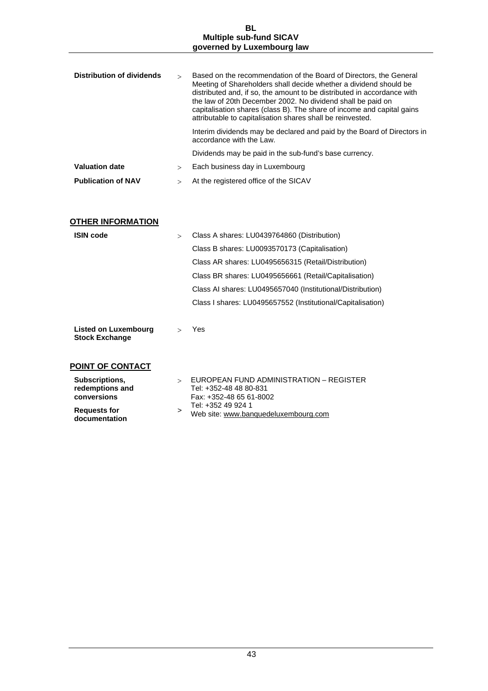| Distribution of dividends | $\geq$ | Based on the recommendation of the Board of Directors, the General<br>Meeting of Shareholders shall decide whether a dividend should be<br>distributed and, if so, the amount to be distributed in accordance with<br>the law of 20th December 2002. No dividend shall be paid on<br>capitalisation shares (class B). The share of income and capital gains<br>attributable to capitalisation shares shall be reinvested. |  |
|---------------------------|--------|---------------------------------------------------------------------------------------------------------------------------------------------------------------------------------------------------------------------------------------------------------------------------------------------------------------------------------------------------------------------------------------------------------------------------|--|
|                           |        | Interim dividends may be declared and paid by the Board of Directors in<br>accordance with the Law.                                                                                                                                                                                                                                                                                                                       |  |
|                           |        | Dividends may be paid in the sub-fund's base currency.                                                                                                                                                                                                                                                                                                                                                                    |  |
| <b>Valuation date</b>     | $\geq$ | Each business day in Luxembourg                                                                                                                                                                                                                                                                                                                                                                                           |  |
| <b>Publication of NAV</b> | ↘      | At the registered office of the SICAV                                                                                                                                                                                                                                                                                                                                                                                     |  |

## **OTHER INFORMATION**

**Requests for documentation** 

| <b>ISIN code</b>                                     | $\geq$        | Class A shares: LU0439764860 (Distribution)                                                  |  |
|------------------------------------------------------|---------------|----------------------------------------------------------------------------------------------|--|
|                                                      |               | Class B shares: LU0093570173 (Capitalisation)                                                |  |
|                                                      |               | Class AR shares: LU0495656315 (Retail/Distribution)                                          |  |
|                                                      |               | Class BR shares: LU0495656661 (Retail/Capitalisation)                                        |  |
|                                                      |               | Class AI shares: LU0495657040 (Institutional/Distribution)                                   |  |
|                                                      |               | Class I shares: LU0495657552 (Institutional/Capitalisation)                                  |  |
|                                                      |               |                                                                                              |  |
| <b>Listed on Luxembourg</b><br><b>Stock Exchange</b> | $\rightarrow$ | Yes                                                                                          |  |
|                                                      |               |                                                                                              |  |
| <b>POINT OF CONTACT</b>                              |               |                                                                                              |  |
| Subscriptions,<br>redemptions and<br>conversions     | $\geq$        | EUROPEAN FUND ADMINISTRATION - REGISTER<br>Tel: +352-48 48 80-831<br>Fax: +352-48 65 61-8002 |  |

- 
- <sup>&</sup>gt;Tel: +352 49 924 1 Web site: www.banquedeluxembourg.com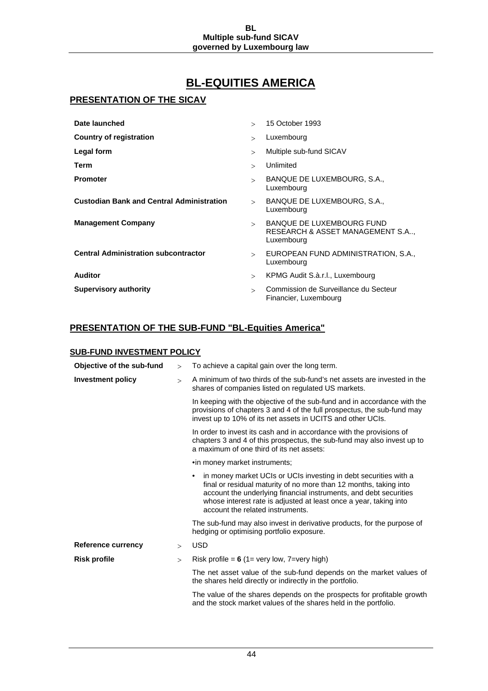# **BL-EQUITIES AMERICA**

# **PRESENTATION OF THE SICAV**

| Date launched                                    | $\rightarrow$ | 15 October 1993                                                            |
|--------------------------------------------------|---------------|----------------------------------------------------------------------------|
| <b>Country of registration</b>                   | $\geq$        | Luxembourg                                                                 |
| Legal form                                       | $\geq$        | Multiple sub-fund SICAV                                                    |
| Term                                             | $\rightarrow$ | Unlimited                                                                  |
| <b>Promoter</b>                                  | $\sim$        | BANQUE DE LUXEMBOURG, S.A.,<br>Luxembourg                                  |
| <b>Custodian Bank and Central Administration</b> | $\geq$        | BANQUE DE LUXEMBOURG, S.A.,<br>Luxembourg                                  |
| <b>Management Company</b>                        | $\sim$        | BANQUE DE LUXEMBOURG FUND<br>RESEARCH & ASSET MANAGEMENT S.A<br>Luxembourg |
| <b>Central Administration subcontractor</b>      | $\geq$        | EUROPEAN FUND ADMINISTRATION, S.A.,<br>Luxembourg                          |
| <b>Auditor</b>                                   | $\geq$        | KPMG Audit S.à.r.l., Luxembourg                                            |
| <b>Supervisory authority</b>                     | $\rightarrow$ | Commission de Surveillance du Secteur<br>Financier, Luxembourg             |

## **PRESENTATION OF THE SUB-FUND "BL-Equities America"**

| $\geq$ | To achieve a capital gain over the long term.                                                                                                                                                                                                                                                                                    |
|--------|----------------------------------------------------------------------------------------------------------------------------------------------------------------------------------------------------------------------------------------------------------------------------------------------------------------------------------|
| $\geq$ | A minimum of two thirds of the sub-fund's net assets are invested in the<br>shares of companies listed on regulated US markets.                                                                                                                                                                                                  |
|        | In keeping with the objective of the sub-fund and in accordance with the<br>provisions of chapters 3 and 4 of the full prospectus, the sub-fund may<br>invest up to 10% of its net assets in UCITS and other UCIs.                                                                                                               |
|        | In order to invest its cash and in accordance with the provisions of<br>chapters 3 and 4 of this prospectus, the sub-fund may also invest up to<br>a maximum of one third of its net assets:                                                                                                                                     |
|        | •in money market instruments;                                                                                                                                                                                                                                                                                                    |
|        | in money market UCIs or UCIs investing in debt securities with a<br>$\bullet$<br>final or residual maturity of no more than 12 months, taking into<br>account the underlying financial instruments, and debt securities<br>whose interest rate is adjusted at least once a year, taking into<br>account the related instruments. |
|        | The sub-fund may also invest in derivative products, for the purpose of<br>hedging or optimising portfolio exposure.                                                                                                                                                                                                             |
| $\geq$ | <b>USD</b>                                                                                                                                                                                                                                                                                                                       |
| $\geq$ | Risk profile = $6(1)$ very low, 7=very high)                                                                                                                                                                                                                                                                                     |
|        | The net asset value of the sub-fund depends on the market values of<br>the shares held directly or indirectly in the portfolio.                                                                                                                                                                                                  |
|        | The value of the shares depends on the prospects for profitable growth<br>and the stock market values of the shares held in the portfolio.                                                                                                                                                                                       |
|        |                                                                                                                                                                                                                                                                                                                                  |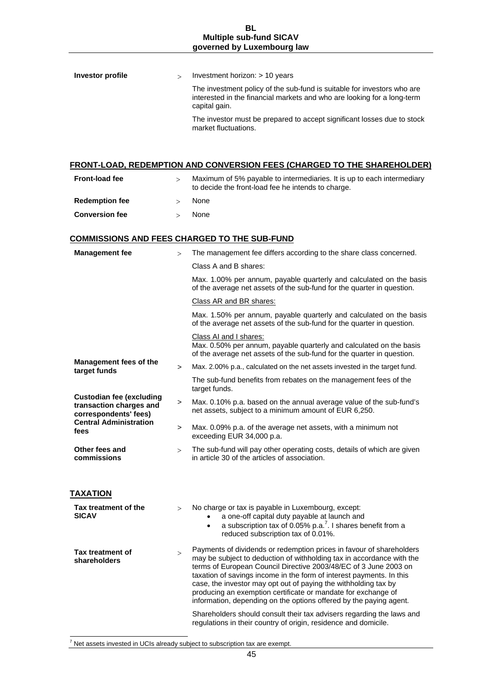**Investor profile**  $\longrightarrow$  Investment horizon: > 10 years

The investment policy of the sub-fund is suitable for investors who are interested in the financial markets and who are looking for a long-term capital gain.

The investor must be prepared to accept significant losses due to stock market fluctuations.

### **FRONT-LOAD, REDEMPTION AND CONVERSION FEES (CHARGED TO THE SHAREHOLDER)**

| <b>Front-load fee</b> | Maximum of 5% payable to intermediaries. It is up to each intermediary<br>to decide the front-load fee he intends to charge. |
|-----------------------|------------------------------------------------------------------------------------------------------------------------------|
| <b>Redemption fee</b> | <b>None</b>                                                                                                                  |
| <b>Conversion fee</b> | None                                                                                                                         |

### **COMMISSIONS AND FEES CHARGED TO THE SUB-FUND**

| <b>Management fee</b>                                                               | $\geq$ | The management fee differs according to the share class concerned.                                                                                                                                                                                                                                                                                                                                                                                                                                  |
|-------------------------------------------------------------------------------------|--------|-----------------------------------------------------------------------------------------------------------------------------------------------------------------------------------------------------------------------------------------------------------------------------------------------------------------------------------------------------------------------------------------------------------------------------------------------------------------------------------------------------|
|                                                                                     |        | Class A and B shares:                                                                                                                                                                                                                                                                                                                                                                                                                                                                               |
|                                                                                     |        | Max. 1.00% per annum, payable quarterly and calculated on the basis<br>of the average net assets of the sub-fund for the quarter in question.                                                                                                                                                                                                                                                                                                                                                       |
|                                                                                     |        | Class AR and BR shares:                                                                                                                                                                                                                                                                                                                                                                                                                                                                             |
|                                                                                     |        | Max. 1.50% per annum, payable quarterly and calculated on the basis<br>of the average net assets of the sub-fund for the quarter in question.                                                                                                                                                                                                                                                                                                                                                       |
|                                                                                     |        | Class AI and I shares:<br>Max. 0.50% per annum, payable quarterly and calculated on the basis<br>of the average net assets of the sub-fund for the quarter in question.                                                                                                                                                                                                                                                                                                                             |
| <b>Management fees of the</b><br>target funds                                       | $\geq$ | Max. 2.00% p.a., calculated on the net assets invested in the target fund.                                                                                                                                                                                                                                                                                                                                                                                                                          |
|                                                                                     |        | The sub-fund benefits from rebates on the management fees of the<br>target funds.                                                                                                                                                                                                                                                                                                                                                                                                                   |
| <b>Custodian fee (excluding</b><br>transaction charges and<br>correspondents' fees) | $\geq$ | Max. 0.10% p.a. based on the annual average value of the sub-fund's<br>net assets, subject to a minimum amount of EUR 6,250.                                                                                                                                                                                                                                                                                                                                                                        |
| <b>Central Administration</b><br>fees                                               | $\geq$ | Max. 0.09% p.a. of the average net assets, with a minimum not<br>exceeding EUR 34,000 p.a.                                                                                                                                                                                                                                                                                                                                                                                                          |
| Other fees and<br>commissions                                                       | $\geq$ | The sub-fund will pay other operating costs, details of which are given<br>in article 30 of the articles of association.                                                                                                                                                                                                                                                                                                                                                                            |
|                                                                                     |        |                                                                                                                                                                                                                                                                                                                                                                                                                                                                                                     |
| <b>TAXATION</b>                                                                     |        |                                                                                                                                                                                                                                                                                                                                                                                                                                                                                                     |
| Tax treatment of the<br><b>SICAV</b>                                                | $\geq$ | No charge or tax is payable in Luxembourg, except:<br>a one-off capital duty payable at launch and<br>a subscription tax of 0.05% p.a. <sup>7</sup> . I shares benefit from a<br>reduced subscription tax of 0.01%.                                                                                                                                                                                                                                                                                 |
| <b>Tax treatment of</b><br>shareholders                                             | $\geq$ | Payments of dividends or redemption prices in favour of shareholders<br>may be subject to deduction of withholding tax in accordance with the<br>terms of European Council Directive 2003/48/EC of 3 June 2003 on<br>taxation of savings income in the form of interest payments. In this<br>case, the investor may opt out of paying the withholding tax by<br>producing an exemption certificate or mandate for exchange of<br>information, depending on the options offered by the paying agent. |
|                                                                                     |        | Shareholders should consult their tax advisers regarding the laws and<br>regulations in their country of origin, residence and domicile.                                                                                                                                                                                                                                                                                                                                                            |

7 Net assets invested in UCIs already subject to subscription tax are exempt.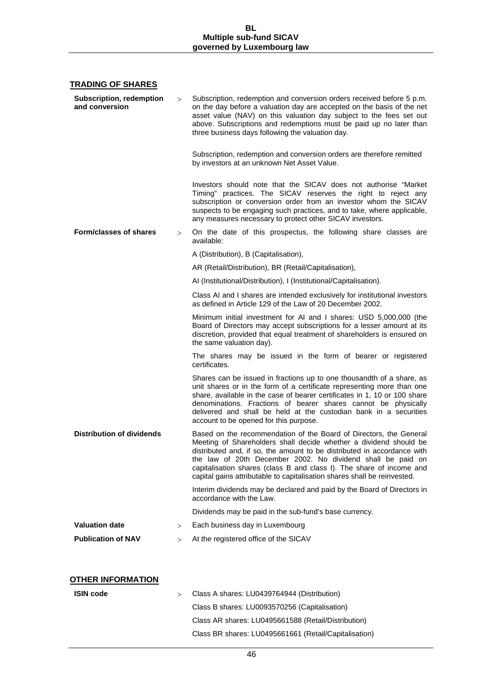# **TRADING OF SHARES**

| <b>Subscription, redemption</b><br>and conversion | $\geq$ | Subscription, redemption and conversion orders received before 5 p.m.<br>on the day before a valuation day are accepted on the basis of the net<br>asset value (NAV) on this valuation day subject to the fees set out<br>above. Subscriptions and redemptions must be paid up no later than<br>three business days following the valuation day.<br>Subscription, redemption and conversion orders are therefore remitted<br>by investors at an unknown Net Asset Value.<br>Investors should note that the SICAV does not authorise "Market"<br>Timing" practices. The SICAV reserves the right to reject any<br>subscription or conversion order from an investor whom the SICAV<br>suspects to be engaging such practices, and to take, where applicable,<br>any measures necessary to protect other SICAV investors. |
|---------------------------------------------------|--------|-------------------------------------------------------------------------------------------------------------------------------------------------------------------------------------------------------------------------------------------------------------------------------------------------------------------------------------------------------------------------------------------------------------------------------------------------------------------------------------------------------------------------------------------------------------------------------------------------------------------------------------------------------------------------------------------------------------------------------------------------------------------------------------------------------------------------|
| <b>Form/classes of shares</b>                     | $\geq$ | On the date of this prospectus, the following share classes are<br>available:                                                                                                                                                                                                                                                                                                                                                                                                                                                                                                                                                                                                                                                                                                                                           |
|                                                   |        | A (Distribution), B (Capitalisation),                                                                                                                                                                                                                                                                                                                                                                                                                                                                                                                                                                                                                                                                                                                                                                                   |
|                                                   |        | AR (Retail/Distribution), BR (Retail/Capitalisation),                                                                                                                                                                                                                                                                                                                                                                                                                                                                                                                                                                                                                                                                                                                                                                   |
|                                                   |        | AI (Institutional/Distribution), I (Institutional/Capitalisation).                                                                                                                                                                                                                                                                                                                                                                                                                                                                                                                                                                                                                                                                                                                                                      |
|                                                   |        | Class AI and I shares are intended exclusively for institutional investors<br>as defined in Article 129 of the Law of 20 December 2002.                                                                                                                                                                                                                                                                                                                                                                                                                                                                                                                                                                                                                                                                                 |
|                                                   |        | Minimum initial investment for AI and I shares: USD 5,000,000 (the<br>Board of Directors may accept subscriptions for a lesser amount at its<br>discretion, provided that equal treatment of shareholders is ensured on<br>the same valuation day).                                                                                                                                                                                                                                                                                                                                                                                                                                                                                                                                                                     |
|                                                   |        | The shares may be issued in the form of bearer or registered<br>certificates.                                                                                                                                                                                                                                                                                                                                                                                                                                                                                                                                                                                                                                                                                                                                           |
|                                                   |        | Shares can be issued in fractions up to one thousandth of a share, as<br>unit shares or in the form of a certificate representing more than one<br>share, available in the case of bearer certificates in 1, 10 or 100 share<br>denominations. Fractions of bearer shares cannot be physically<br>delivered and shall be held at the custodian bank in a securities<br>account to be opened for this purpose.                                                                                                                                                                                                                                                                                                                                                                                                           |
| <b>Distribution of dividends</b>                  |        | Based on the recommendation of the Board of Directors, the General<br>Meeting of Shareholders shall decide whether a dividend should be<br>distributed and, if so, the amount to be distributed in accordance with<br>the law of 20th December 2002. No dividend shall be paid on<br>capitalisation shares (class B and class I). The share of income and<br>capital gains attributable to capitalisation shares shall be reinvested.                                                                                                                                                                                                                                                                                                                                                                                   |
|                                                   |        | Interim dividends may be declared and paid by the Board of Directors in<br>accordance with the Law.                                                                                                                                                                                                                                                                                                                                                                                                                                                                                                                                                                                                                                                                                                                     |
|                                                   |        | Dividends may be paid in the sub-fund's base currency.                                                                                                                                                                                                                                                                                                                                                                                                                                                                                                                                                                                                                                                                                                                                                                  |
| <b>Valuation date</b>                             | $\geq$ | Each business day in Luxembourg                                                                                                                                                                                                                                                                                                                                                                                                                                                                                                                                                                                                                                                                                                                                                                                         |
| <b>Publication of NAV</b>                         | $\geq$ | At the registered office of the SICAV                                                                                                                                                                                                                                                                                                                                                                                                                                                                                                                                                                                                                                                                                                                                                                                   |

## **OTHER INFORMATION**

| <b>ISIN code</b> | Class A shares: LU0439764944 (Distribution)           |
|------------------|-------------------------------------------------------|
|                  | Class B shares: LU0093570256 (Capitalisation)         |
|                  | Class AR shares: LU0495661588 (Retail/Distribution)   |
|                  | Class BR shares: LU0495661661 (Retail/Capitalisation) |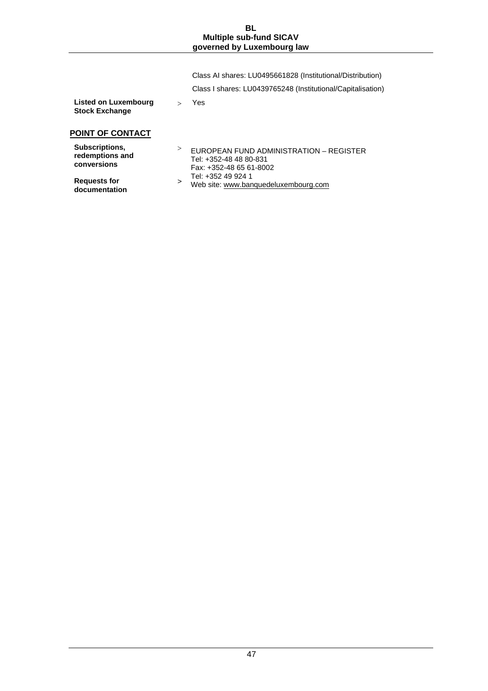Class AI shares: LU0495661828 (Institutional/Distribution) Class I shares: LU0439765248 (Institutional/Capitalisation)

**Listed on Luxembourg Stock Exchange** 

> Yes

# **POINT OF CONTACT**

| <b>Subscriptions,</b><br>redemptions and<br>conversions | EUROPEAN FUND ADMINISTRATION - REGISTER<br>Tel: +352-48 48 80-831<br>Fax: +352-48 65 61-8002 |
|---------------------------------------------------------|----------------------------------------------------------------------------------------------|
| <b>Requests for</b><br>documentation                    | Tel: +352 49 924 1<br>Web site: www.banquedeluxembourg.com                                   |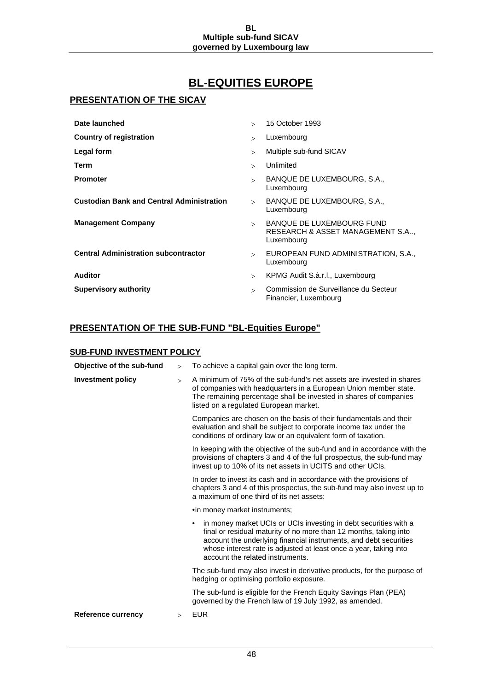# **BL-EQUITIES EUROPE**

# **PRESENTATION OF THE SICAV**

| Date launched                                    | $\rightarrow$            | 15 October 1993                                                            |
|--------------------------------------------------|--------------------------|----------------------------------------------------------------------------|
| <b>Country of registration</b>                   | $\geq$                   | Luxembourg                                                                 |
| Legal form                                       | $\mathbf{r}$             | Multiple sub-fund SICAV                                                    |
| Term                                             | $\rightarrow$            | Unlimited                                                                  |
| <b>Promoter</b>                                  | $\overline{\phantom{a}}$ | BANQUE DE LUXEMBOURG, S.A.,<br>Luxembourg                                  |
| <b>Custodian Bank and Central Administration</b> | $\geq$                   | BANQUE DE LUXEMBOURG, S.A.,<br>Luxembourg                                  |
| <b>Management Company</b>                        | $\sim$                   | BANQUE DE LUXEMBOURG FUND<br>RESEARCH & ASSET MANAGEMENT S.A<br>Luxembourg |
| <b>Central Administration subcontractor</b>      | $\geq$                   | EUROPEAN FUND ADMINISTRATION, S.A.,<br>Luxembourg                          |
| <b>Auditor</b>                                   | $\rightarrow$            | KPMG Audit S.à.r.l., Luxembourg                                            |
| <b>Supervisory authority</b>                     | $\mathbf{r}$             | Commission de Surveillance du Secteur<br>Financier, Luxembourg             |

## **PRESENTATION OF THE SUB-FUND "BL-Equities Europe"**

| Objective of the sub-fund | $\geq$ | To achieve a capital gain over the long term.                                                                                                                                                                                                                                                                       |
|---------------------------|--------|---------------------------------------------------------------------------------------------------------------------------------------------------------------------------------------------------------------------------------------------------------------------------------------------------------------------|
| <b>Investment policy</b>  | $\geq$ | A minimum of 75% of the sub-fund's net assets are invested in shares<br>of companies with headquarters in a European Union member state.<br>The remaining percentage shall be invested in shares of companies<br>listed on a regulated European market.                                                             |
|                           |        | Companies are chosen on the basis of their fundamentals and their<br>evaluation and shall be subject to corporate income tax under the<br>conditions of ordinary law or an equivalent form of taxation.                                                                                                             |
|                           |        | In keeping with the objective of the sub-fund and in accordance with the<br>provisions of chapters 3 and 4 of the full prospectus, the sub-fund may<br>invest up to 10% of its net assets in UCITS and other UCIs.                                                                                                  |
|                           |        | In order to invest its cash and in accordance with the provisions of<br>chapters 3 and 4 of this prospectus, the sub-fund may also invest up to<br>a maximum of one third of its net assets:                                                                                                                        |
|                           |        | •in money market instruments;                                                                                                                                                                                                                                                                                       |
|                           |        | in money market UCIs or UCIs investing in debt securities with a<br>final or residual maturity of no more than 12 months, taking into<br>account the underlying financial instruments, and debt securities<br>whose interest rate is adjusted at least once a year, taking into<br>account the related instruments. |
|                           |        | The sub-fund may also invest in derivative products, for the purpose of<br>hedging or optimising portfolio exposure.                                                                                                                                                                                                |
|                           |        | The sub-fund is eligible for the French Equity Savings Plan (PEA)<br>governed by the French law of 19 July 1992, as amended.                                                                                                                                                                                        |
| <b>Reference currency</b> | $\geq$ | <b>EUR</b>                                                                                                                                                                                                                                                                                                          |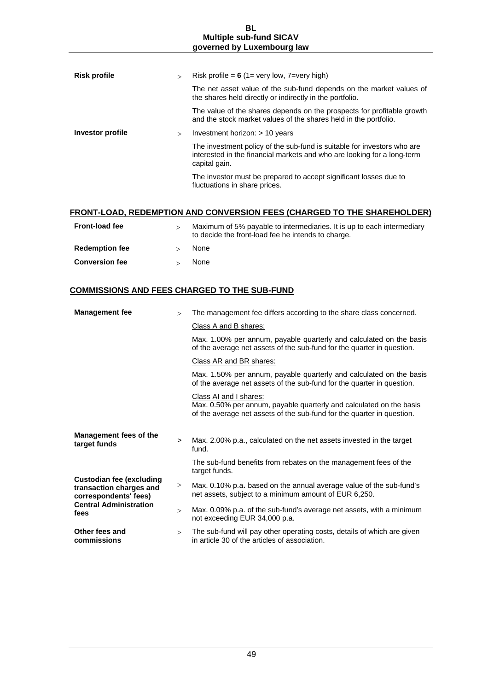| Risk profile     | $\mathbf{r}$ | Risk profile = $6(1)$ very low, 7=very high)                                                                                                                        |
|------------------|--------------|---------------------------------------------------------------------------------------------------------------------------------------------------------------------|
|                  |              | The net asset value of the sub-fund depends on the market values of<br>the shares held directly or indirectly in the portfolio.                                     |
|                  |              | The value of the shares depends on the prospects for profitable growth<br>and the stock market values of the shares held in the portfolio.                          |
| Investor profile | $\geq$       | Investment horizon: $> 10$ years                                                                                                                                    |
|                  |              | The investment policy of the sub-fund is suitable for investors who are<br>interested in the financial markets and who are looking for a long-term<br>capital gain. |
|                  |              | The investor must be prepared to accept significant losses due to<br>fluctuations in share prices.                                                                  |
|                  |              |                                                                                                                                                                     |

# **FRONT-LOAD, REDEMPTION AND CONVERSION FEES (CHARGED TO THE SHAREHOLDER)**

| <b>Front-load fee</b> | Maximum of 5% payable to intermediaries. It is up to each intermediary<br>to decide the front-load fee he intends to charge. |
|-----------------------|------------------------------------------------------------------------------------------------------------------------------|
| <b>Redemption fee</b> | None                                                                                                                         |
| <b>Conversion fee</b> | None                                                                                                                         |

## **COMMISSIONS AND FEES CHARGED TO THE SUB-FUND**

| <b>Management fee</b>                                                                                                        | $\geq$   | The management fee differs according to the share class concerned.                                                                                                      |
|------------------------------------------------------------------------------------------------------------------------------|----------|-------------------------------------------------------------------------------------------------------------------------------------------------------------------------|
|                                                                                                                              |          | Class A and B shares:                                                                                                                                                   |
|                                                                                                                              |          | Max. 1.00% per annum, payable quarterly and calculated on the basis<br>of the average net assets of the sub-fund for the quarter in question.                           |
|                                                                                                                              |          | Class AR and BR shares:                                                                                                                                                 |
|                                                                                                                              |          | Max. 1.50% per annum, payable quarterly and calculated on the basis<br>of the average net assets of the sub-fund for the quarter in question.                           |
|                                                                                                                              |          | Class AI and I shares:<br>Max. 0.50% per annum, payable quarterly and calculated on the basis<br>of the average net assets of the sub-fund for the quarter in question. |
| Management fees of the<br>target funds                                                                                       | $\geq$   | Max. 2.00% p.a., calculated on the net assets invested in the target<br>fund.                                                                                           |
|                                                                                                                              |          | The sub-fund benefits from rebates on the management fees of the<br>target funds.                                                                                       |
| <b>Custodian fee (excluding</b><br>transaction charges and<br>correspondents' fees)<br><b>Central Administration</b><br>fees | $\rm{>}$ | Max. 0.10% p.a. based on the annual average value of the sub-fund's<br>net assets, subject to a minimum amount of EUR 6,250.                                            |
|                                                                                                                              | $\geq$   | Max. 0.09% p.a. of the sub-fund's average net assets, with a minimum<br>not exceeding EUR 34,000 p.a.                                                                   |
| Other fees and<br>commissions                                                                                                | $\geq$   | The sub-fund will pay other operating costs, details of which are given<br>in article 30 of the articles of association.                                                |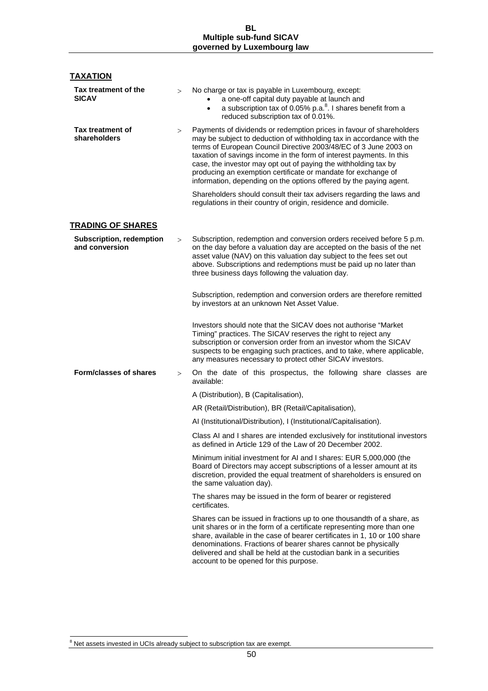| TAXATION                                          |        |                                                                                                                                                                                                                                                                                                                                                                                                                                                                                                     |
|---------------------------------------------------|--------|-----------------------------------------------------------------------------------------------------------------------------------------------------------------------------------------------------------------------------------------------------------------------------------------------------------------------------------------------------------------------------------------------------------------------------------------------------------------------------------------------------|
| Tax treatment of the<br><b>SICAV</b>              | $\geq$ | No charge or tax is payable in Luxembourg, except:<br>a one-off capital duty payable at launch and<br>a subscription tax of 0.05% p.a. <sup>8</sup> . I shares benefit from a<br>$\bullet$<br>reduced subscription tax of 0.01%.                                                                                                                                                                                                                                                                    |
| <b>Tax treatment of</b><br>shareholders           | $\geq$ | Payments of dividends or redemption prices in favour of shareholders<br>may be subject to deduction of withholding tax in accordance with the<br>terms of European Council Directive 2003/48/EC of 3 June 2003 on<br>taxation of savings income in the form of interest payments. In this<br>case, the investor may opt out of paying the withholding tax by<br>producing an exemption certificate or mandate for exchange of<br>information, depending on the options offered by the paying agent. |
|                                                   |        | Shareholders should consult their tax advisers regarding the laws and<br>regulations in their country of origin, residence and domicile.                                                                                                                                                                                                                                                                                                                                                            |
| <b>TRADING OF SHARES</b>                          |        |                                                                                                                                                                                                                                                                                                                                                                                                                                                                                                     |
| <b>Subscription, redemption</b><br>and conversion | $\geq$ | Subscription, redemption and conversion orders received before 5 p.m.<br>on the day before a valuation day are accepted on the basis of the net<br>asset value (NAV) on this valuation day subject to the fees set out<br>above. Subscriptions and redemptions must be paid up no later than<br>three business days following the valuation day.                                                                                                                                                    |
|                                                   |        | Subscription, redemption and conversion orders are therefore remitted<br>by investors at an unknown Net Asset Value.                                                                                                                                                                                                                                                                                                                                                                                |
|                                                   |        | Investors should note that the SICAV does not authorise "Market"<br>Timing" practices. The SICAV reserves the right to reject any<br>subscription or conversion order from an investor whom the SICAV<br>suspects to be engaging such practices, and to take, where applicable,<br>any measures necessary to protect other SICAV investors.                                                                                                                                                         |
| <b>Form/classes of shares</b>                     | $\geq$ | On the date of this prospectus, the following share classes are<br>available:                                                                                                                                                                                                                                                                                                                                                                                                                       |
|                                                   |        | A (Distribution), B (Capitalisation),                                                                                                                                                                                                                                                                                                                                                                                                                                                               |
|                                                   |        | AR (Retail/Distribution), BR (Retail/Capitalisation),                                                                                                                                                                                                                                                                                                                                                                                                                                               |
|                                                   |        | Al (Institutional/Distribution), I (Institutional/Capitalisation).                                                                                                                                                                                                                                                                                                                                                                                                                                  |
|                                                   |        | Class AI and I shares are intended exclusively for institutional investors<br>as defined in Article 129 of the Law of 20 December 2002.                                                                                                                                                                                                                                                                                                                                                             |
|                                                   |        | Minimum initial investment for AI and I shares: EUR 5,000,000 (the<br>Board of Directors may accept subscriptions of a lesser amount at its<br>discretion, provided the equal treatment of shareholders is ensured on<br>the same valuation day).                                                                                                                                                                                                                                                   |
|                                                   |        | The shares may be issued in the form of bearer or registered<br>certificates.                                                                                                                                                                                                                                                                                                                                                                                                                       |
|                                                   |        | Shares can be issued in fractions up to one thousandth of a share, as<br>unit shares or in the form of a certificate representing more than one<br>share, available in the case of bearer certificates in 1, 10 or 100 share<br>denominations. Fractions of bearer shares cannot be physically<br>delivered and shall be held at the custodian bank in a securities<br>account to be opened for this purpose.                                                                                       |

 8 Net assets invested in UCIs already subject to subscription tax are exempt.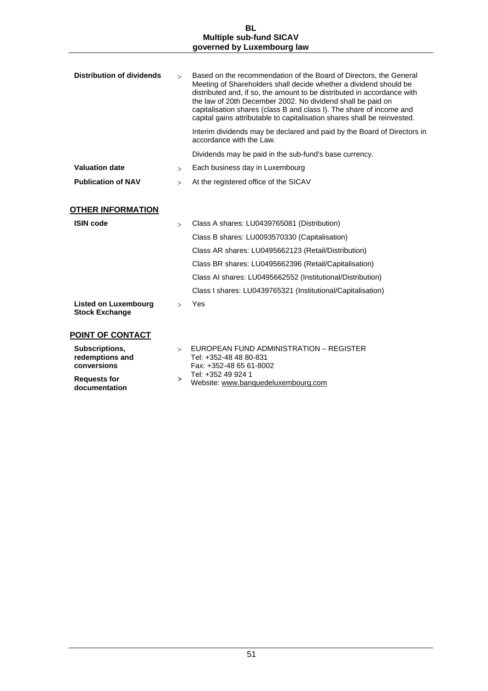| <b>Distribution of dividends</b>                     | $\geq$       | Based on the recommendation of the Board of Directors, the General<br>Meeting of Shareholders shall decide whether a dividend should be<br>distributed and, if so, the amount to be distributed in accordance with<br>the law of 20th December 2002. No dividend shall be paid on<br>capitalisation shares (class B and class I). The share of income and<br>capital gains attributable to capitalisation shares shall be reinvested. |
|------------------------------------------------------|--------------|---------------------------------------------------------------------------------------------------------------------------------------------------------------------------------------------------------------------------------------------------------------------------------------------------------------------------------------------------------------------------------------------------------------------------------------|
|                                                      |              | Interim dividends may be declared and paid by the Board of Directors in<br>accordance with the Law.                                                                                                                                                                                                                                                                                                                                   |
|                                                      |              | Dividends may be paid in the sub-fund's base currency.                                                                                                                                                                                                                                                                                                                                                                                |
| <b>Valuation date</b>                                | $\geq$       | Each business day in Luxembourg                                                                                                                                                                                                                                                                                                                                                                                                       |
| <b>Publication of NAV</b>                            | $\mathbf{r}$ | At the registered office of the SICAV                                                                                                                                                                                                                                                                                                                                                                                                 |
| <b>OTHER INFORMATION</b>                             |              |                                                                                                                                                                                                                                                                                                                                                                                                                                       |
| <b>ISIN code</b>                                     | $\geq$       | Class A shares: LU0439765081 (Distribution)                                                                                                                                                                                                                                                                                                                                                                                           |
|                                                      |              | Class B shares: LU0093570330 (Capitalisation)                                                                                                                                                                                                                                                                                                                                                                                         |
|                                                      |              | Class AR shares: LU0495662123 (Retail/Distribution)                                                                                                                                                                                                                                                                                                                                                                                   |
|                                                      |              | Class BR shares: LU0495662396 (Retail/Capitalisation)                                                                                                                                                                                                                                                                                                                                                                                 |
|                                                      |              | Class AI shares: LU0495662552 (Institutional/Distribution)                                                                                                                                                                                                                                                                                                                                                                            |
|                                                      |              | Class I shares: LU0439765321 (Institutional/Capitalisation)                                                                                                                                                                                                                                                                                                                                                                           |
| <b>Listed on Luxembourg</b><br><b>Stock Exchange</b> | $\geq$       | Yes                                                                                                                                                                                                                                                                                                                                                                                                                                   |
| POINT OF CONTACT                                     |              |                                                                                                                                                                                                                                                                                                                                                                                                                                       |
| Subscriptions,<br>redemptions and<br>conversions     | $\geq$       | EUROPEAN FUND ADMINISTRATION - REGISTER<br>Tel: +352-48 48 80-831<br>Fax: +352-48 65 61-8002                                                                                                                                                                                                                                                                                                                                          |
| <b>Requests for</b>                                  | $\, > \,$    | Tel: +352 49 924 1<br>Website: www.banquedeluxembourg.com                                                                                                                                                                                                                                                                                                                                                                             |

**documentation**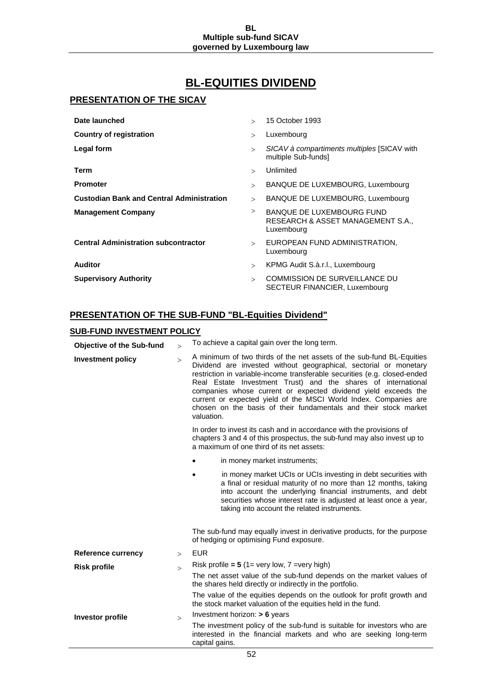# **BL-EQUITIES DIVIDEND**

# **PRESENTATION OF THE SICAV**

| Date launched                                    | $\rightarrow$ | 15 October 1993                                                              |
|--------------------------------------------------|---------------|------------------------------------------------------------------------------|
| <b>Country of registration</b>                   | $\mathbf{r}$  | Luxembourg                                                                   |
| Legal form                                       | $\rightarrow$ | SICAV à compartiments multiples [SICAV with<br>multiple Sub-funds]           |
| Term                                             | $\mathbf{r}$  | Unlimited                                                                    |
| <b>Promoter</b>                                  | $\mathbf{r}$  | BANQUE DE LUXEMBOURG, Luxembourg                                             |
| <b>Custodian Bank and Central Administration</b> | $\mathbf{r}$  | BANQUE DE LUXEMBOURG, Luxembourg                                             |
| <b>Management Company</b>                        | >             | BANQUE DE LUXEMBOURG FUND<br>RESEARCH & ASSET MANAGEMENT S.A.,<br>Luxembourg |
| <b>Central Administration subcontractor</b>      | $\geq$        | EUROPEAN FUND ADMINISTRATION,<br>Luxembourg                                  |
| <b>Auditor</b>                                   | $\geq$        | KPMG Audit S.à.r.l., Luxembourg                                              |
| <b>Supervisory Authority</b>                     | $\rightarrow$ | <b>COMMISSION DE SURVEILLANCE DU</b><br>SECTEUR FINANCIER, Luxembourg        |

# **PRESENTATION OF THE SUB-FUND "BL-Equities Dividend"**

| <b>Objective of the Sub-fund</b> | $\geq$ | To achieve a capital gain over the long term.                                                                                                                                                                                                                                                                                                                                                                                                                                                                    |
|----------------------------------|--------|------------------------------------------------------------------------------------------------------------------------------------------------------------------------------------------------------------------------------------------------------------------------------------------------------------------------------------------------------------------------------------------------------------------------------------------------------------------------------------------------------------------|
| <b>Investment policy</b>         | $\geq$ | A minimum of two thirds of the net assets of the sub-fund BL-Equities<br>Dividend are invested without geographical, sectorial or monetary<br>restriction in variable-income transferable securities (e.g. closed-ended<br>Real Estate Investment Trust) and the shares of international<br>companies whose current or expected dividend yield exceeds the<br>current or expected yield of the MSCI World Index. Companies are<br>chosen on the basis of their fundamentals and their stock market<br>valuation. |
|                                  |        | In order to invest its cash and in accordance with the provisions of<br>chapters 3 and 4 of this prospectus, the sub-fund may also invest up to<br>a maximum of one third of its net assets:                                                                                                                                                                                                                                                                                                                     |
|                                  |        | in money market instruments;<br>$\bullet$                                                                                                                                                                                                                                                                                                                                                                                                                                                                        |
|                                  |        | in money market UCIs or UCIs investing in debt securities with<br>$\bullet$<br>a final or residual maturity of no more than 12 months, taking<br>into account the underlying financial instruments, and debt<br>securities whose interest rate is adjusted at least once a year,<br>taking into account the related instruments.                                                                                                                                                                                 |
|                                  |        | The sub-fund may equally invest in derivative products, for the purpose<br>of hedging or optimising Fund exposure.                                                                                                                                                                                                                                                                                                                                                                                               |
| Reference currency               | $\geq$ | <b>EUR</b>                                                                                                                                                                                                                                                                                                                                                                                                                                                                                                       |
| <b>Risk profile</b>              | $\geq$ | Risk profile = $5(1)$ very low, $7$ =very high)                                                                                                                                                                                                                                                                                                                                                                                                                                                                  |
|                                  |        | The net asset value of the sub-fund depends on the market values of<br>the shares held directly or indirectly in the portfolio.                                                                                                                                                                                                                                                                                                                                                                                  |
|                                  |        | The value of the equities depends on the outlook for profit growth and<br>the stock market valuation of the equities held in the fund.                                                                                                                                                                                                                                                                                                                                                                           |
| <b>Investor profile</b>          | $\geq$ | Investment horizon: $> 6$ years                                                                                                                                                                                                                                                                                                                                                                                                                                                                                  |
|                                  |        | The investment policy of the sub-fund is suitable for investors who are<br>interested in the financial markets and who are seeking long-term<br>capital gains.                                                                                                                                                                                                                                                                                                                                                   |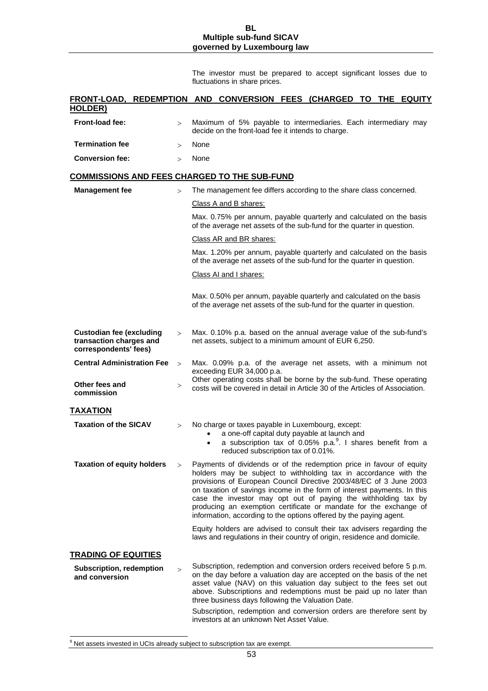The investor must be prepared to accept significant losses due to fluctuations in share prices.

## **FRONT-LOAD, REDEMPTION AND CONVERSION FEES (CHARGED TO THE EQUITY HOLDER) Front-load fee:** > Maximum of 5% payable to intermediaries. Each intermediary may decide on the front-load fee it intends to charge. **Termination fee** > None **Conversion fee:** > None **COMMISSIONS AND FEES CHARGED TO THE SUB-FUND Management fee** > The management fee differs according to the share class concerned. Class A and B shares: Max. 0.75% per annum, payable quarterly and calculated on the basis of the average net assets of the sub-fund for the quarter in question. Class AR and BR shares: Max. 1.20% per annum, payable quarterly and calculated on the basis of the average net assets of the sub-fund for the quarter in question. Class AI and I shares: Max. 0.50% per annum, payable quarterly and calculated on the basis of the average net assets of the sub-fund for the quarter in question. **Custodian fee (excluding transaction charges and correspondents' fees)**  $>$  Max. 0.10% p.a. based on the annual average value of the sub-fund's net assets, subject to a minimum amount of EUR 6,250. **Central Administration Fee** > Max. 0.09% p.a. of the average net assets, with a minimum not exceeding EUR 34,000 p.a. **Other fees and commission** Other operating costs shall be borne by the sub-fund. These operating costs will be covered in detail in Article 30 of the Articles of Association. **TAXATION Taxation of the SICAV** > No charge or taxes payable in Luxembourg, except: • a one-off capital duty payable at launch and • a subscription tax of  $0.05\%$  p.a.<sup>9</sup>. I shares benefit from a reduced subscription tax of 0.01%. **Taxation of equity holders** > Payments of dividends or of the redemption price in favour of equity holders may be subject to withholding tax in accordance with the provisions of European Council Directive 2003/48/EC of 3 June 2003 on taxation of savings income in the form of interest payments. In this case the investor may opt out of paying the withholding tax by producing an exemption certificate or mandate for the exchange of information, according to the options offered by the paying agent. Equity holders are advised to consult their tax advisers regarding the laws and regulations in their country of origin, residence and domicile. **TRADING OF EQUITIES Subscription, redemption and conversion**  Subscription, redemption and conversion orders received before 5 p.m. on the day before a valuation day are accepted on the basis of the net asset value (NAV) on this valuation day subject to the fees set out above. Subscriptions and redemptions must be paid up no later than three business days following the Valuation Date.

Subscription, redemption and conversion orders are therefore sent by investors at an unknown Net Asset Value.

l <sup>9</sup> Net assets invested in UCIs already subject to subscription tax are exempt.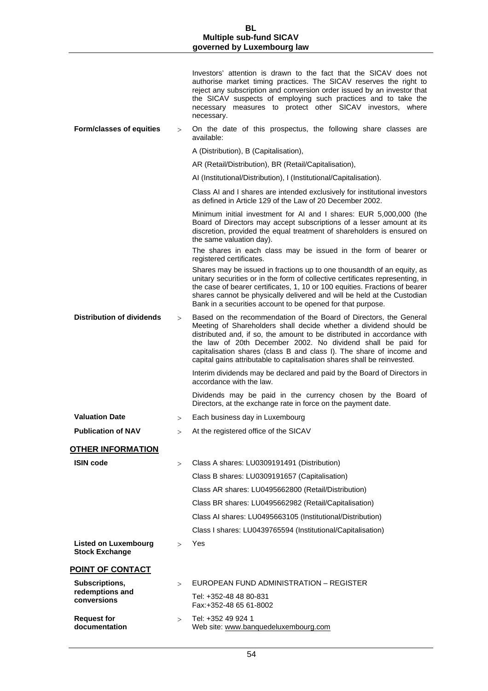|                                                      |        | Investors' attention is drawn to the fact that the SICAV does not<br>authorise market timing practices. The SICAV reserves the right to<br>reject any subscription and conversion order issued by an investor that<br>the SICAV suspects of employing such practices and to take the<br>necessary measures to protect other SICAV investors, where<br>necessary.                                                                       |
|------------------------------------------------------|--------|----------------------------------------------------------------------------------------------------------------------------------------------------------------------------------------------------------------------------------------------------------------------------------------------------------------------------------------------------------------------------------------------------------------------------------------|
| <b>Form/classes of equities</b>                      | >      | On the date of this prospectus, the following share classes are<br>available:                                                                                                                                                                                                                                                                                                                                                          |
|                                                      |        | A (Distribution), B (Capitalisation),                                                                                                                                                                                                                                                                                                                                                                                                  |
|                                                      |        | AR (Retail/Distribution), BR (Retail/Capitalisation),                                                                                                                                                                                                                                                                                                                                                                                  |
|                                                      |        | Al (Institutional/Distribution), I (Institutional/Capitalisation).                                                                                                                                                                                                                                                                                                                                                                     |
|                                                      |        | Class AI and I shares are intended exclusively for institutional investors<br>as defined in Article 129 of the Law of 20 December 2002.                                                                                                                                                                                                                                                                                                |
|                                                      |        | Minimum initial investment for AI and I shares: EUR 5,000,000 (the<br>Board of Directors may accept subscriptions of a lesser amount at its<br>discretion, provided the equal treatment of shareholders is ensured on<br>the same valuation day).                                                                                                                                                                                      |
|                                                      |        | The shares in each class may be issued in the form of bearer or<br>registered certificates.                                                                                                                                                                                                                                                                                                                                            |
|                                                      |        | Shares may be issued in fractions up to one thousandth of an equity, as<br>unitary securities or in the form of collective certificates representing, in<br>the case of bearer certificates, 1, 10 or 100 equities. Fractions of bearer<br>shares cannot be physically delivered and will be held at the Custodian<br>Bank in a securities account to be opened for that purpose.                                                      |
| <b>Distribution of dividends</b>                     | $\geq$ | Based on the recommendation of the Board of Directors, the General<br>Meeting of Shareholders shall decide whether a dividend should be<br>distributed and, if so, the amount to be distributed in accordance with<br>the law of 20th December 2002. No dividend shall be paid for<br>capitalisation shares (class B and class I). The share of income and<br>capital gains attributable to capitalisation shares shall be reinvested. |
|                                                      |        | Interim dividends may be declared and paid by the Board of Directors in<br>accordance with the law.                                                                                                                                                                                                                                                                                                                                    |
|                                                      |        | Dividends may be paid in the currency chosen by the Board of<br>Directors, at the exchange rate in force on the payment date.                                                                                                                                                                                                                                                                                                          |
| <b>Valuation Date</b>                                | >      | Each business day in Luxembourg                                                                                                                                                                                                                                                                                                                                                                                                        |
| <b>Publication of NAV</b>                            | $\geq$ | At the registered office of the SICAV                                                                                                                                                                                                                                                                                                                                                                                                  |
| OTHER INFORMATION                                    |        |                                                                                                                                                                                                                                                                                                                                                                                                                                        |
| <b>ISIN code</b>                                     | $\geq$ | Class A shares: LU0309191491 (Distribution)                                                                                                                                                                                                                                                                                                                                                                                            |
|                                                      |        | Class B shares: LU0309191657 (Capitalisation)                                                                                                                                                                                                                                                                                                                                                                                          |
|                                                      |        | Class AR shares: LU0495662800 (Retail/Distribution)                                                                                                                                                                                                                                                                                                                                                                                    |
|                                                      |        | Class BR shares: LU0495662982 (Retail/Capitalisation)                                                                                                                                                                                                                                                                                                                                                                                  |
|                                                      |        | Class AI shares: LU0495663105 (Institutional/Distribution)                                                                                                                                                                                                                                                                                                                                                                             |
|                                                      |        | Class I shares: LU0439765594 (Institutional/Capitalisation)                                                                                                                                                                                                                                                                                                                                                                            |
| <b>Listed on Luxembourg</b><br><b>Stock Exchange</b> | $\geq$ | Yes                                                                                                                                                                                                                                                                                                                                                                                                                                    |
| <b>POINT OF CONTACT</b>                              |        |                                                                                                                                                                                                                                                                                                                                                                                                                                        |
| Subscriptions,                                       | $\geq$ | EUROPEAN FUND ADMINISTRATION - REGISTER                                                                                                                                                                                                                                                                                                                                                                                                |
| redemptions and<br>conversions                       |        | Tel: +352-48 48 80-831<br>Fax:+352-48 65 61-8002                                                                                                                                                                                                                                                                                                                                                                                       |
| <b>Request for</b><br>documentation                  | $\geq$ | Tel: +352 49 924 1<br>Web site: www.banquedeluxembourg.com                                                                                                                                                                                                                                                                                                                                                                             |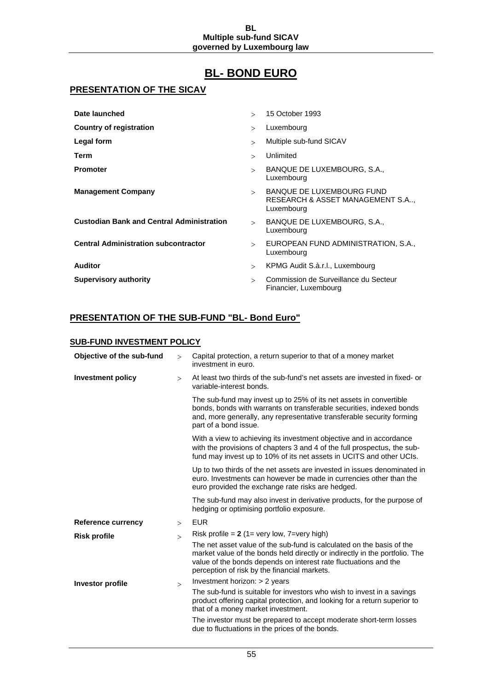# **BL- BOND EURO**

# **PRESENTATION OF THE SICAV**

| Date launched                                    | $\rightarrow$ | 15 October 1993                                                                   |
|--------------------------------------------------|---------------|-----------------------------------------------------------------------------------|
| <b>Country of registration</b>                   | $\geq$        | Luxembourg                                                                        |
| Legal form                                       | $\geq$        | Multiple sub-fund SICAV                                                           |
| Term                                             | $\rightarrow$ | Unlimited                                                                         |
| <b>Promoter</b>                                  | $\sim$        | BANQUE DE LUXEMBOURG, S.A.,<br>Luxembourg                                         |
| <b>Management Company</b>                        | $\geq$        | <b>BANQUE DE LUXEMBOURG FUND</b><br>RESEARCH & ASSET MANAGEMENT S.A<br>Luxembourg |
| <b>Custodian Bank and Central Administration</b> | $\geq$        | BANQUE DE LUXEMBOURG, S.A.,<br>Luxembourg                                         |
| <b>Central Administration subcontractor</b>      | $\geq$        | EUROPEAN FUND ADMINISTRATION, S.A.,<br>Luxembourg                                 |
| <b>Auditor</b>                                   | $\rightarrow$ | KPMG Audit S.à.r.l., Luxembourg                                                   |
| <b>Supervisory authority</b>                     | $\rightarrow$ | Commission de Surveillance du Secteur<br>Financier, Luxembourg                    |

## **PRESENTATION OF THE SUB-FUND "BL- Bond Euro"**

| Objective of the sub-fund | $\geq$        | Capital protection, a return superior to that of a money market<br>investment in euro.                                                                                                                                                                                   |
|---------------------------|---------------|--------------------------------------------------------------------------------------------------------------------------------------------------------------------------------------------------------------------------------------------------------------------------|
| <b>Investment policy</b>  | $\geq$        | At least two thirds of the sub-fund's net assets are invested in fixed- or<br>variable-interest bonds.                                                                                                                                                                   |
|                           |               | The sub-fund may invest up to 25% of its net assets in convertible<br>bonds, bonds with warrants on transferable securities, indexed bonds<br>and, more generally, any representative transferable security forming<br>part of a bond issue.                             |
|                           |               | With a view to achieving its investment objective and in accordance<br>with the provisions of chapters 3 and 4 of the full prospectus, the sub-<br>fund may invest up to 10% of its net assets in UCITS and other UCIs.                                                  |
|                           |               | Up to two thirds of the net assets are invested in issues denominated in<br>euro. Investments can however be made in currencies other than the<br>euro provided the exchange rate risks are hedged.                                                                      |
|                           |               | The sub-fund may also invest in derivative products, for the purpose of<br>hedging or optimising portfolio exposure.                                                                                                                                                     |
| <b>Reference currency</b> | $\geq$        | <b>EUR</b>                                                                                                                                                                                                                                                               |
| <b>Risk profile</b>       | $\geq$        | Risk profile = $2(1)$ very low, 7=very high)                                                                                                                                                                                                                             |
|                           |               | The net asset value of the sub-fund is calculated on the basis of the<br>market value of the bonds held directly or indirectly in the portfolio. The<br>value of the bonds depends on interest rate fluctuations and the<br>perception of risk by the financial markets. |
| <b>Investor profile</b>   | $\rightarrow$ | Investment horizon: $> 2$ years                                                                                                                                                                                                                                          |
|                           |               | The sub-fund is suitable for investors who wish to invest in a savings<br>product offering capital protection, and looking for a return superior to<br>that of a money market investment.                                                                                |
|                           |               | The investor must be prepared to accept moderate short-term losses<br>due to fluctuations in the prices of the bonds.                                                                                                                                                    |
|                           |               |                                                                                                                                                                                                                                                                          |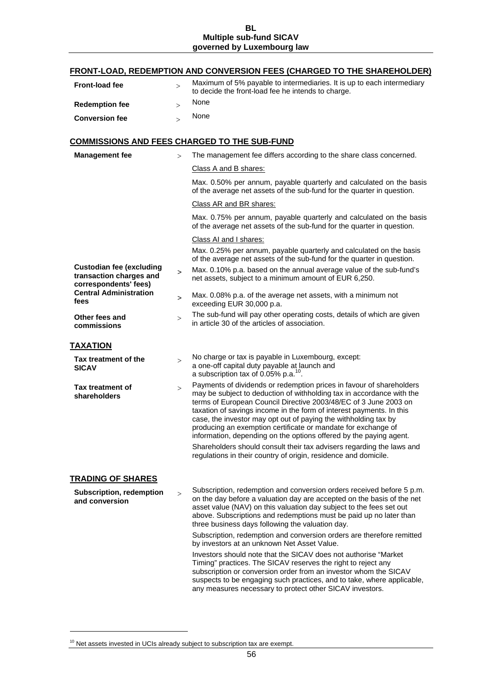|                                                  |              | FRONT-LOAD, REDEMPTION AND CONVERSION FEES (CHARGED TO THE SHAREHOLDER)                                                                                                                                                                                                                                                                                                                                                                                                                                                                                                      |
|--------------------------------------------------|--------------|------------------------------------------------------------------------------------------------------------------------------------------------------------------------------------------------------------------------------------------------------------------------------------------------------------------------------------------------------------------------------------------------------------------------------------------------------------------------------------------------------------------------------------------------------------------------------|
| <b>Front-load fee</b>                            | $\geq$       | Maximum of 5% payable to intermediaries. It is up to each intermediary<br>to decide the front-load fee he intends to charge.                                                                                                                                                                                                                                                                                                                                                                                                                                                 |
| <b>Redemption fee</b>                            | $\geq$       | None                                                                                                                                                                                                                                                                                                                                                                                                                                                                                                                                                                         |
| <b>Conversion fee</b>                            | $\mathbf{L}$ | None                                                                                                                                                                                                                                                                                                                                                                                                                                                                                                                                                                         |
|                                                  |              | <b>COMMISSIONS AND FEES CHARGED TO THE SUB-FUND</b>                                                                                                                                                                                                                                                                                                                                                                                                                                                                                                                          |
| <b>Management fee</b>                            | $\geq$       | The management fee differs according to the share class concerned.                                                                                                                                                                                                                                                                                                                                                                                                                                                                                                           |
|                                                  |              | Class A and B shares:                                                                                                                                                                                                                                                                                                                                                                                                                                                                                                                                                        |
|                                                  |              | Max. 0.50% per annum, payable quarterly and calculated on the basis<br>of the average net assets of the sub-fund for the quarter in question.                                                                                                                                                                                                                                                                                                                                                                                                                                |
|                                                  |              | Class AR and BR shares:                                                                                                                                                                                                                                                                                                                                                                                                                                                                                                                                                      |
|                                                  |              | Max. 0.75% per annum, payable quarterly and calculated on the basis<br>of the average net assets of the sub-fund for the quarter in question.                                                                                                                                                                                                                                                                                                                                                                                                                                |
|                                                  |              | Class AI and I shares:                                                                                                                                                                                                                                                                                                                                                                                                                                                                                                                                                       |
| <b>Custodian fee (excluding</b>                  |              | Max. 0.25% per annum, payable quarterly and calculated on the basis<br>of the average net assets of the sub-fund for the quarter in question.                                                                                                                                                                                                                                                                                                                                                                                                                                |
| transaction charges and<br>correspondents' fees) | $\, > \,$    | Max. 0.10% p.a. based on the annual average value of the sub-fund's<br>net assets, subject to a minimum amount of EUR 6,250.                                                                                                                                                                                                                                                                                                                                                                                                                                                 |
| <b>Central Administration</b><br>fees            | $\geq$       | Max. 0.08% p.a. of the average net assets, with a minimum not<br>exceeding EUR 30,000 p.a.                                                                                                                                                                                                                                                                                                                                                                                                                                                                                   |
| Other fees and<br>commissions                    | $\geq$       | The sub-fund will pay other operating costs, details of which are given<br>in article 30 of the articles of association.                                                                                                                                                                                                                                                                                                                                                                                                                                                     |
| <b>TAXATION</b>                                  |              |                                                                                                                                                                                                                                                                                                                                                                                                                                                                                                                                                                              |
| Tax treatment of the<br><b>SICAV</b>             | $\geq$       | No charge or tax is payable in Luxembourg, except:<br>a one-off capital duty payable at launch and<br>a subscription tax of 0.05% p.a. <sup>10</sup> .                                                                                                                                                                                                                                                                                                                                                                                                                       |
| Tax treatment of<br>shareholders                 | $\geq$       | Payments of dividends or redemption prices in favour of shareholders<br>may be subject to deduction of withholding tax in accordance with the<br>terms of European Council Directive 2003/48/EC of 3 June 2003 on<br>taxation of savings income in the form of interest payments. In this<br>case, the investor may opt out of paying the withholding tax by<br>producing an exemption certificate or mandate for exchange of<br>information, depending on the options offered by the paying agent.<br>Shareholders should consult their tax advisers regarding the laws and |
|                                                  |              | regulations in their country of origin, residence and domicile.                                                                                                                                                                                                                                                                                                                                                                                                                                                                                                              |
| <b>TRADING OF SHARES</b>                         |              |                                                                                                                                                                                                                                                                                                                                                                                                                                                                                                                                                                              |
| Subscription, redemption<br>and conversion       | $\geq$       | Subscription, redemption and conversion orders received before 5 p.m.<br>on the day before a valuation day are accepted on the basis of the net<br>asset value (NAV) on this valuation day subject to the fees set out<br>above. Subscriptions and redemptions must be paid up no later than<br>three business days following the valuation day.                                                                                                                                                                                                                             |
|                                                  |              | Subscription, redemption and conversion orders are therefore remitted<br>by investors at an unknown Net Asset Value.                                                                                                                                                                                                                                                                                                                                                                                                                                                         |
|                                                  |              | Investors should note that the SICAV does not authorise "Market"<br>Timing" practices. The SICAV reserves the right to reject any<br>subscription or conversion order from an investor whom the SICAV<br>suspects to be engaging such practices, and to take, where applicable,<br>any measures necessary to protect other SICAV investors.                                                                                                                                                                                                                                  |

l

 $10$  Net assets invested in UCIs already subject to subscription tax are exempt.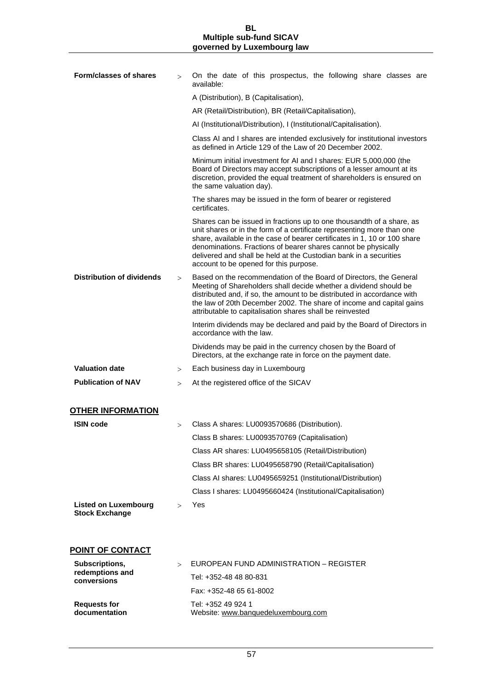| <b>Form/classes of shares</b>                        | $\geq$ | On the date of this prospectus, the following share classes are<br>available:                                                                                                                                                                                                                                                                                                                                 |
|------------------------------------------------------|--------|---------------------------------------------------------------------------------------------------------------------------------------------------------------------------------------------------------------------------------------------------------------------------------------------------------------------------------------------------------------------------------------------------------------|
|                                                      |        | A (Distribution), B (Capitalisation),                                                                                                                                                                                                                                                                                                                                                                         |
|                                                      |        | AR (Retail/Distribution), BR (Retail/Capitalisation),                                                                                                                                                                                                                                                                                                                                                         |
|                                                      |        | AI (Institutional/Distribution), I (Institutional/Capitalisation).                                                                                                                                                                                                                                                                                                                                            |
|                                                      |        | Class AI and I shares are intended exclusively for institutional investors<br>as defined in Article 129 of the Law of 20 December 2002.                                                                                                                                                                                                                                                                       |
|                                                      |        | Minimum initial investment for AI and I shares: EUR 5,000,000 (the<br>Board of Directors may accept subscriptions of a lesser amount at its<br>discretion, provided the equal treatment of shareholders is ensured on<br>the same valuation day).                                                                                                                                                             |
|                                                      |        | The shares may be issued in the form of bearer or registered<br>certificates.                                                                                                                                                                                                                                                                                                                                 |
|                                                      |        | Shares can be issued in fractions up to one thousandth of a share, as<br>unit shares or in the form of a certificate representing more than one<br>share, available in the case of bearer certificates in 1, 10 or 100 share<br>denominations. Fractions of bearer shares cannot be physically<br>delivered and shall be held at the Custodian bank in a securities<br>account to be opened for this purpose. |
| <b>Distribution of dividends</b>                     | $\geq$ | Based on the recommendation of the Board of Directors, the General<br>Meeting of Shareholders shall decide whether a dividend should be<br>distributed and, if so, the amount to be distributed in accordance with<br>the law of 20th December 2002. The share of income and capital gains<br>attributable to capitalisation shares shall be reinvested                                                       |
|                                                      |        | Interim dividends may be declared and paid by the Board of Directors in<br>accordance with the law.                                                                                                                                                                                                                                                                                                           |
|                                                      |        | Dividends may be paid in the currency chosen by the Board of<br>Directors, at the exchange rate in force on the payment date.                                                                                                                                                                                                                                                                                 |
| <b>Valuation date</b>                                | $\geq$ | Each business day in Luxembourg                                                                                                                                                                                                                                                                                                                                                                               |
| <b>Publication of NAV</b>                            | $\geq$ | At the registered office of the SICAV                                                                                                                                                                                                                                                                                                                                                                         |
| <b>OTHER INFORMATION</b>                             |        |                                                                                                                                                                                                                                                                                                                                                                                                               |
| <b>ISIN code</b>                                     | $\geq$ | Class A shares: LU0093570686 (Distribution).                                                                                                                                                                                                                                                                                                                                                                  |
|                                                      |        | Class B shares: LU0093570769 (Capitalisation)                                                                                                                                                                                                                                                                                                                                                                 |
|                                                      |        | Class AR shares: LU0495658105 (Retail/Distribution)                                                                                                                                                                                                                                                                                                                                                           |
|                                                      |        | Class BR shares: LU0495658790 (Retail/Capitalisation)                                                                                                                                                                                                                                                                                                                                                         |
|                                                      |        | Class AI shares: LU0495659251 (Institutional/Distribution)                                                                                                                                                                                                                                                                                                                                                    |
|                                                      |        | Class I shares: LU0495660424 (Institutional/Capitalisation)                                                                                                                                                                                                                                                                                                                                                   |
| <b>Listed on Luxembourg</b><br><b>Stock Exchange</b> | $\geq$ | Yes                                                                                                                                                                                                                                                                                                                                                                                                           |
| POINT OF CONTACT                                     |        |                                                                                                                                                                                                                                                                                                                                                                                                               |
| Subscriptions,                                       | $\geq$ | EUROPEAN FUND ADMINISTRATION – REGISTER                                                                                                                                                                                                                                                                                                                                                                       |
| redemptions and<br>conversions                       |        | Tel: +352-48 48 80-831                                                                                                                                                                                                                                                                                                                                                                                        |
|                                                      |        | Fax: +352-48 65 61-8002                                                                                                                                                                                                                                                                                                                                                                                       |
| <b>Requests for</b><br>documentation                 |        | Tel: +352 49 924 1<br>Website: www.banquedeluxembourg.com                                                                                                                                                                                                                                                                                                                                                     |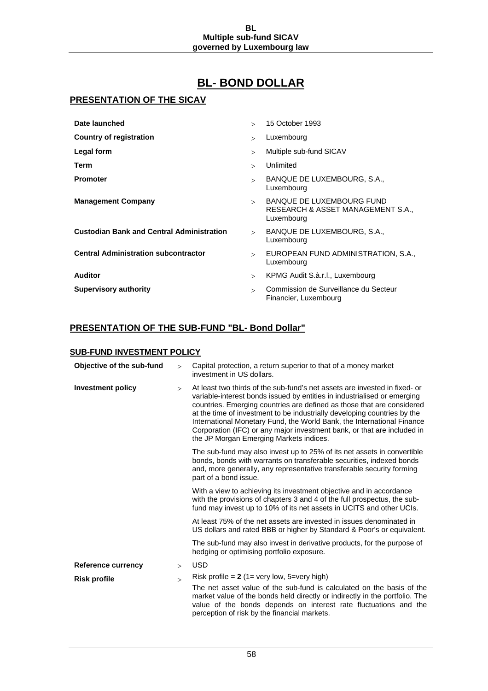# **BL- BOND DOLLAR**

# **PRESENTATION OF THE SICAV**

| Date launched                                    | $\rightarrow$ | 15 October 1993                                                                     |
|--------------------------------------------------|---------------|-------------------------------------------------------------------------------------|
| Country of registration                          | $\geq$        | Luxembourg                                                                          |
| Legal form                                       | $\mathbf{r}$  | Multiple sub-fund SICAV                                                             |
| Term                                             | $\rightarrow$ | Unlimited                                                                           |
| <b>Promoter</b>                                  | $\rightarrow$ | BANQUE DE LUXEMBOURG, S.A.,<br>Luxembourg                                           |
| <b>Management Company</b>                        | $\geq$        | <b>BANQUE DE LUXEMBOURG FUND</b><br>RESEARCH & ASSET MANAGEMENT S.A.,<br>Luxembourg |
| <b>Custodian Bank and Central Administration</b> | $\geq$        | BANQUE DE LUXEMBOURG, S.A.,<br>Luxembourg                                           |
| <b>Central Administration subcontractor</b>      | $\geq$        | EUROPEAN FUND ADMINISTRATION, S.A.,<br>Luxembourg                                   |
| <b>Auditor</b>                                   | $\geq$        | KPMG Audit S.a.r.l., Luxembourg                                                     |
| <b>Supervisory authority</b>                     | $\rightarrow$ | Commission de Surveillance du Secteur<br>Financier, Luxembourg                      |

## **PRESENTATION OF THE SUB-FUND "BL- Bond Dollar"**

| Objective of the sub-fund | $\geq$ | Capital protection, a return superior to that of a money market<br>investment in US dollars.                                                                                                                                                                                                                                                                                                                                                                                                                 |
|---------------------------|--------|--------------------------------------------------------------------------------------------------------------------------------------------------------------------------------------------------------------------------------------------------------------------------------------------------------------------------------------------------------------------------------------------------------------------------------------------------------------------------------------------------------------|
| <b>Investment policy</b>  | $\geq$ | At least two thirds of the sub-fund's net assets are invested in fixed- or<br>variable-interest bonds issued by entities in industrialised or emerging<br>countries. Emerging countries are defined as those that are considered<br>at the time of investment to be industrially developing countries by the<br>International Monetary Fund, the World Bank, the International Finance<br>Corporation (IFC) or any major investment bank, or that are included in<br>the JP Morgan Emerging Markets indices. |
|                           |        | The sub-fund may also invest up to 25% of its net assets in convertible<br>bonds, bonds with warrants on transferable securities, indexed bonds<br>and, more generally, any representative transferable security forming<br>part of a bond issue.                                                                                                                                                                                                                                                            |
|                           |        | With a view to achieving its investment objective and in accordance<br>with the provisions of chapters 3 and 4 of the full prospectus, the sub-<br>fund may invest up to 10% of its net assets in UCITS and other UCIs.                                                                                                                                                                                                                                                                                      |
|                           |        | At least 75% of the net assets are invested in issues denominated in<br>US dollars and rated BBB or higher by Standard & Poor's or equivalent.                                                                                                                                                                                                                                                                                                                                                               |
|                           |        | The sub-fund may also invest in derivative products, for the purpose of<br>hedging or optimising portfolio exposure.                                                                                                                                                                                                                                                                                                                                                                                         |
| Reference currency        | >      | <b>USD</b>                                                                                                                                                                                                                                                                                                                                                                                                                                                                                                   |
| <b>Risk profile</b>       | $\geq$ | Risk profile = $2(1)$ very low, 5=very high)                                                                                                                                                                                                                                                                                                                                                                                                                                                                 |
|                           |        | The net asset value of the sub-fund is calculated on the basis of the<br>market value of the bonds held directly or indirectly in the portfolio. The<br>value of the bonds depends on interest rate fluctuations and the<br>perception of risk by the financial markets.                                                                                                                                                                                                                                     |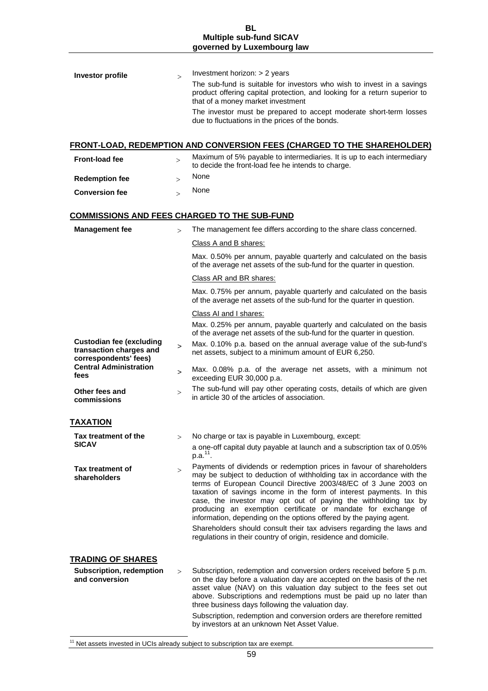| <b>Investor profile</b>                                                             | $\mathbf{r}$ | Investment horizon: $> 2$ years                                                                                                                                                                                                                                                                                                                                                                                                                                                                                                                                                                                                                 |
|-------------------------------------------------------------------------------------|--------------|-------------------------------------------------------------------------------------------------------------------------------------------------------------------------------------------------------------------------------------------------------------------------------------------------------------------------------------------------------------------------------------------------------------------------------------------------------------------------------------------------------------------------------------------------------------------------------------------------------------------------------------------------|
|                                                                                     |              | The sub-fund is suitable for investors who wish to invest in a savings<br>product offering capital protection, and looking for a return superior to<br>that of a money market investment                                                                                                                                                                                                                                                                                                                                                                                                                                                        |
|                                                                                     |              | The investor must be prepared to accept moderate short-term losses<br>due to fluctuations in the prices of the bonds.                                                                                                                                                                                                                                                                                                                                                                                                                                                                                                                           |
|                                                                                     |              | <b>FRONT-LOAD, REDEMPTION AND CONVERSION FEES (CHARGED TO THE SHAREHOLDER)</b>                                                                                                                                                                                                                                                                                                                                                                                                                                                                                                                                                                  |
| <b>Front-load fee</b>                                                               | $\geq$       | Maximum of 5% payable to intermediaries. It is up to each intermediary<br>to decide the front-load fee he intends to charge.                                                                                                                                                                                                                                                                                                                                                                                                                                                                                                                    |
| <b>Redemption fee</b>                                                               | $\geq$       | None                                                                                                                                                                                                                                                                                                                                                                                                                                                                                                                                                                                                                                            |
| <b>Conversion fee</b>                                                               | $\geq$       | None                                                                                                                                                                                                                                                                                                                                                                                                                                                                                                                                                                                                                                            |
|                                                                                     |              | <b>COMMISSIONS AND FEES CHARGED TO THE SUB-FUND</b>                                                                                                                                                                                                                                                                                                                                                                                                                                                                                                                                                                                             |
| <b>Management fee</b>                                                               | $\geq$       | The management fee differs according to the share class concerned.                                                                                                                                                                                                                                                                                                                                                                                                                                                                                                                                                                              |
|                                                                                     |              | Class A and B shares:                                                                                                                                                                                                                                                                                                                                                                                                                                                                                                                                                                                                                           |
|                                                                                     |              | Max. 0.50% per annum, payable quarterly and calculated on the basis<br>of the average net assets of the sub-fund for the quarter in question.                                                                                                                                                                                                                                                                                                                                                                                                                                                                                                   |
|                                                                                     |              | Class AR and BR shares:                                                                                                                                                                                                                                                                                                                                                                                                                                                                                                                                                                                                                         |
|                                                                                     |              | Max. 0.75% per annum, payable quarterly and calculated on the basis<br>of the average net assets of the sub-fund for the quarter in question.                                                                                                                                                                                                                                                                                                                                                                                                                                                                                                   |
|                                                                                     |              | Class AI and I shares:                                                                                                                                                                                                                                                                                                                                                                                                                                                                                                                                                                                                                          |
|                                                                                     |              | Max. 0.25% per annum, payable quarterly and calculated on the basis<br>of the average net assets of the sub-fund for the quarter in question.                                                                                                                                                                                                                                                                                                                                                                                                                                                                                                   |
| <b>Custodian fee (excluding</b><br>transaction charges and<br>correspondents' fees) | $\geq$       | Max. 0.10% p.a. based on the annual average value of the sub-fund's<br>net assets, subject to a minimum amount of EUR 6,250.                                                                                                                                                                                                                                                                                                                                                                                                                                                                                                                    |
| <b>Central Administration</b><br>fees                                               | $\geq$       | Max. 0.08% p.a. of the average net assets, with a minimum not<br>exceeding EUR 30,000 p.a.                                                                                                                                                                                                                                                                                                                                                                                                                                                                                                                                                      |
| Other fees and<br>commissions                                                       | $\geq$       | The sub-fund will pay other operating costs, details of which are given<br>in article 30 of the articles of association.                                                                                                                                                                                                                                                                                                                                                                                                                                                                                                                        |
| <b>TAXATION</b>                                                                     |              |                                                                                                                                                                                                                                                                                                                                                                                                                                                                                                                                                                                                                                                 |
| Tax treatment of the                                                                | $\rm{>}$     | No charge or tax is payable in Luxembourg, except:                                                                                                                                                                                                                                                                                                                                                                                                                                                                                                                                                                                              |
| <b>SICAV</b>                                                                        |              | a one-off capital duty payable at launch and a subscription tax of 0.05%<br>$p.a.11$ .                                                                                                                                                                                                                                                                                                                                                                                                                                                                                                                                                          |
| <b>Tax treatment of</b><br>shareholders                                             | $\geq$       | Payments of dividends or redemption prices in favour of shareholders<br>may be subject to deduction of withholding tax in accordance with the<br>terms of European Council Directive 2003/48/EC of 3 June 2003 on<br>taxation of savings income in the form of interest payments. In this<br>case, the investor may opt out of paying the withholding tax by<br>producing an exemption certificate or mandate for exchange of<br>information, depending on the options offered by the paying agent.<br>Shareholders should consult their tax advisers regarding the laws and<br>regulations in their country of origin, residence and domicile. |
| <b>TRADING OF SHARES</b>                                                            |              |                                                                                                                                                                                                                                                                                                                                                                                                                                                                                                                                                                                                                                                 |
| <b>Subscription, redemption</b><br>and conversion                                   | $\geq$       | Subscription, redemption and conversion orders received before 5 p.m.<br>on the day before a valuation day are accepted on the basis of the net<br>asset value (NAV) on this valuation day subject to the fees set out<br>above. Subscriptions and redemptions must be paid up no later than<br>three business days following the valuation day.                                                                                                                                                                                                                                                                                                |
|                                                                                     |              | Subscription, redemption and conversion orders are therefore remitted<br>by investors at an unknown Net Asset Value.                                                                                                                                                                                                                                                                                                                                                                                                                                                                                                                            |

l  $11$  Net assets invested in UCIs already subject to subscription tax are exempt.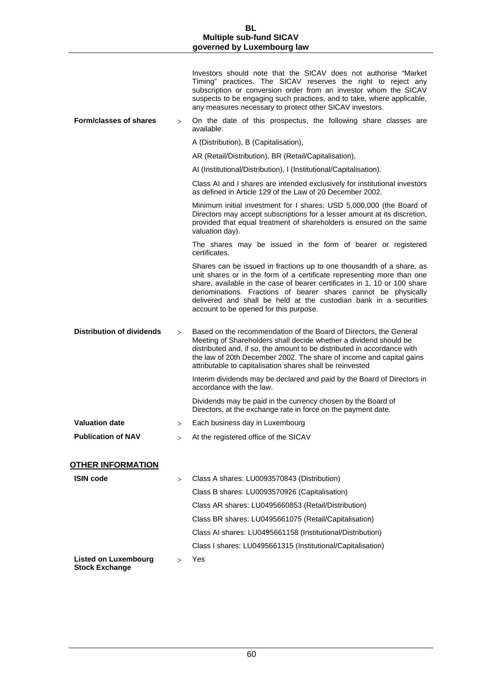|                                                      |        | Investors should note that the SICAV does not authorise "Market"<br>Timing" practices. The SICAV reserves the right to reject any<br>subscription or conversion order from an investor whom the SICAV<br>suspects to be engaging such practices, and to take, where applicable,<br>any measures necessary to protect other SICAV investors.                                                                   |
|------------------------------------------------------|--------|---------------------------------------------------------------------------------------------------------------------------------------------------------------------------------------------------------------------------------------------------------------------------------------------------------------------------------------------------------------------------------------------------------------|
| <b>Form/classes of shares</b>                        | >      | On the date of this prospectus, the following share classes are<br>available:                                                                                                                                                                                                                                                                                                                                 |
|                                                      |        | A (Distribution), B (Capitalisation),                                                                                                                                                                                                                                                                                                                                                                         |
|                                                      |        | AR (Retail/Distribution), BR (Retail/Capitalisation),                                                                                                                                                                                                                                                                                                                                                         |
|                                                      |        | Al (Institutional/Distribution), I (Institutional/Capitalisation).                                                                                                                                                                                                                                                                                                                                            |
|                                                      |        | Class AI and I shares are intended exclusively for institutional investors<br>as defined in Article 129 of the Law of 20 December 2002.                                                                                                                                                                                                                                                                       |
|                                                      |        | Minimum initial investment for I shares: USD 5,000,000 (the Board of<br>Directors may accept subscriptions for a lesser amount at its discretion,<br>provided that equal treatment of shareholders is ensured on the same<br>valuation day).                                                                                                                                                                  |
|                                                      |        | The shares may be issued in the form of bearer or registered<br>certificates.                                                                                                                                                                                                                                                                                                                                 |
|                                                      |        | Shares can be issued in fractions up to one thousandth of a share, as<br>unit shares or in the form of a certificate representing more than one<br>share, available in the case of bearer certificates in 1, 10 or 100 share<br>denominations. Fractions of bearer shares cannot be physically<br>delivered and shall be held at the custodian bank in a securities<br>account to be opened for this purpose. |
| <b>Distribution of dividends</b>                     | $\geq$ | Based on the recommendation of the Board of Directors, the General<br>Meeting of Shareholders shall decide whether a dividend should be<br>distributed and, if so, the amount to be distributed in accordance with<br>the law of 20th December 2002. The share of income and capital gains<br>attributable to capitalisation shares shall be reinvested                                                       |
|                                                      |        | Interim dividends may be declared and paid by the Board of Directors in<br>accordance with the law.                                                                                                                                                                                                                                                                                                           |
|                                                      |        | Dividends may be paid in the currency chosen by the Board of<br>Directors, at the exchange rate in force on the payment date.                                                                                                                                                                                                                                                                                 |
| <b>Valuation date</b>                                | $\geq$ | Each business day in Luxembourg                                                                                                                                                                                                                                                                                                                                                                               |
| <b>Publication of NAV</b>                            | $\geq$ | At the registered office of the SICAV                                                                                                                                                                                                                                                                                                                                                                         |
| <b>OTHER INFORMATION</b>                             |        |                                                                                                                                                                                                                                                                                                                                                                                                               |
| <b>ISIN code</b>                                     | $\geq$ | Class A shares: LU0093570843 (Distribution)                                                                                                                                                                                                                                                                                                                                                                   |
|                                                      |        | Class B shares: LU0093570926 (Capitalisation)                                                                                                                                                                                                                                                                                                                                                                 |
|                                                      |        | Class AR shares: LU0495660853 (Retail/Distribution)                                                                                                                                                                                                                                                                                                                                                           |
|                                                      |        | Class BR shares: LU0495661075 (Retail/Capitalisation)                                                                                                                                                                                                                                                                                                                                                         |
|                                                      |        | Class AI shares: LU0495661158 (Institutional/Distribution)                                                                                                                                                                                                                                                                                                                                                    |
|                                                      |        | Class I shares: LU0495661315 (Institutional/Capitalisation)                                                                                                                                                                                                                                                                                                                                                   |
| <b>Listed on Luxembourg</b><br><b>Stock Exchange</b> | $\geq$ | Yes                                                                                                                                                                                                                                                                                                                                                                                                           |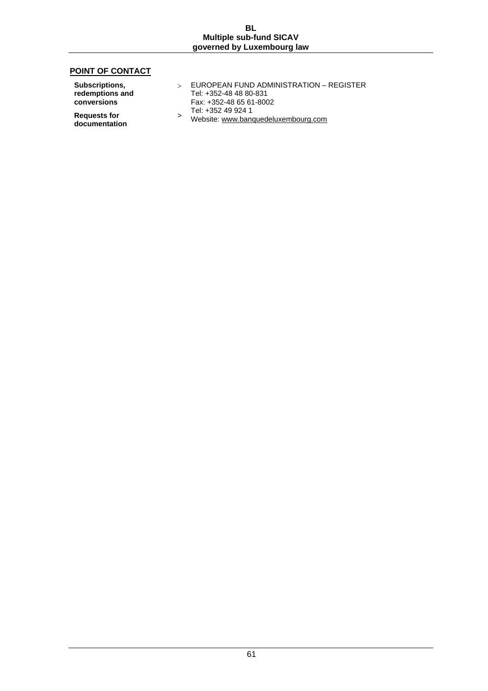## **POINT OF CONTACT**

**Subscriptions, redemptions and conversions** 

**Requests for documentation**  > EUROPEAN FUND ADMINISTRATION – REGISTER Tel: +352-48 48 80-831 Fax: +352-48 65 61-8002 <sup>&</sup>gt;Tel: +352 49 924 1 Website: www.banquedeluxembourg.com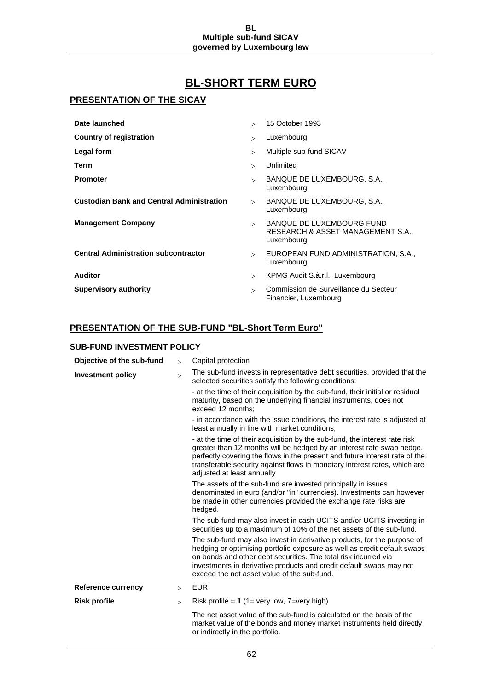# **BL-SHORT TERM EURO**

# **PRESENTATION OF THE SICAV**

| Date launched                                    | $\rightarrow$            | 15 October 1993                                                              |
|--------------------------------------------------|--------------------------|------------------------------------------------------------------------------|
| <b>Country of registration</b>                   | $\geq$                   | Luxembourg                                                                   |
| Legal form                                       | $\mathbf{r}$             | Multiple sub-fund SICAV                                                      |
| Term                                             | $\rightarrow$            | Unlimited                                                                    |
| <b>Promoter</b>                                  | $\overline{\phantom{a}}$ | BANQUE DE LUXEMBOURG, S.A.,<br>Luxembourg                                    |
| <b>Custodian Bank and Central Administration</b> | $\geq$                   | BANQUE DE LUXEMBOURG, S.A.,<br>Luxembourg                                    |
| <b>Management Company</b>                        | $\sim$                   | BANQUE DE LUXEMBOURG FUND<br>RESEARCH & ASSET MANAGEMENT S.A.,<br>Luxembourg |
| <b>Central Administration subcontractor</b>      | $\geq$                   | EUROPEAN FUND ADMINISTRATION, S.A.,<br>Luxembourg                            |
| <b>Auditor</b>                                   | $\rightarrow$            | KPMG Audit S.à.r.l., Luxembourg                                              |
| <b>Supervisory authority</b>                     | $\mathbf{r}$             | Commission de Surveillance du Secteur<br>Financier, Luxembourg               |

# **PRESENTATION OF THE SUB-FUND "BL-Short Term Euro"**

| Objective of the sub-fund | $\geq$ | Capital protection                                                                                                                                                                                                                                                                                                                            |
|---------------------------|--------|-----------------------------------------------------------------------------------------------------------------------------------------------------------------------------------------------------------------------------------------------------------------------------------------------------------------------------------------------|
| <b>Investment policy</b>  | $\geq$ | The sub-fund invests in representative debt securities, provided that the<br>selected securities satisfy the following conditions:                                                                                                                                                                                                            |
|                           |        | - at the time of their acquisition by the sub-fund, their initial or residual<br>maturity, based on the underlying financial instruments, does not<br>exceed 12 months:                                                                                                                                                                       |
|                           |        | - in accordance with the issue conditions, the interest rate is adjusted at<br>least annually in line with market conditions;                                                                                                                                                                                                                 |
|                           |        | - at the time of their acquisition by the sub-fund, the interest rate risk<br>greater than 12 months will be hedged by an interest rate swap hedge,<br>perfectly covering the flows in the present and future interest rate of the<br>transferable security against flows in monetary interest rates, which are<br>adjusted at least annually |
|                           |        | The assets of the sub-fund are invested principally in issues<br>denominated in euro (and/or "in" currencies). Investments can however<br>be made in other currencies provided the exchange rate risks are<br>hedged.                                                                                                                         |
|                           |        | The sub-fund may also invest in cash UCITS and/or UCITS investing in<br>securities up to a maximum of 10% of the net assets of the sub-fund.                                                                                                                                                                                                  |
|                           |        | The sub-fund may also invest in derivative products, for the purpose of<br>hedging or optimising portfolio exposure as well as credit default swaps<br>on bonds and other debt securities. The total risk incurred via<br>investments in derivative products and credit default swaps may not<br>exceed the net asset value of the sub-fund.  |
| Reference currency        | $\geq$ | <b>EUR</b>                                                                                                                                                                                                                                                                                                                                    |
| <b>Risk profile</b>       | $\geq$ | Risk profile = $1$ (1= very low, 7=very high)                                                                                                                                                                                                                                                                                                 |
|                           |        | The net asset value of the sub-fund is calculated on the basis of the<br>market value of the bonds and money market instruments held directly<br>or indirectly in the portfolio.                                                                                                                                                              |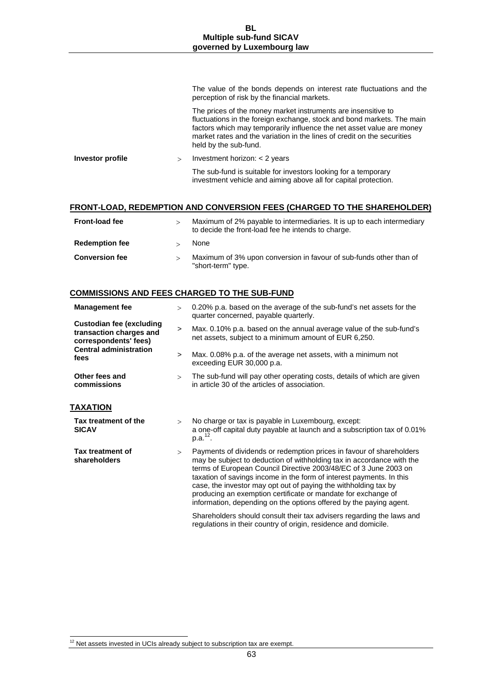The value of the bonds depends on interest rate fluctuations and the perception of risk by the financial markets.

|                  | The prices of the money market instruments are insensitive to<br>fluctuations in the foreign exchange, stock and bond markets. The main<br>factors which may temporarily influence the net asset value are money<br>market rates and the variation in the lines of credit on the securities<br>held by the sub-fund. |
|------------------|----------------------------------------------------------------------------------------------------------------------------------------------------------------------------------------------------------------------------------------------------------------------------------------------------------------------|
| Investor profile | Investment horizon: $<$ 2 years                                                                                                                                                                                                                                                                                      |
|                  | The sub-fund is suitable for investors looking for a temporary<br>investment vehicle and aiming above all for capital protection.                                                                                                                                                                                    |

### **FRONT-LOAD, REDEMPTION AND CONVERSION FEES (CHARGED TO THE SHAREHOLDER)**

| <b>Front-load fee</b> | Maximum of 2% payable to intermediaries. It is up to each intermediary<br>to decide the front-load fee he intends to charge. |
|-----------------------|------------------------------------------------------------------------------------------------------------------------------|
| <b>Redemption fee</b> | None                                                                                                                         |
| <b>Conversion fee</b> | Maximum of 3% upon conversion in favour of sub-funds other than of<br>"short-term" type.                                     |

## **COMMISSIONS AND FEES CHARGED TO THE SUB-FUND**

| <b>Management fee</b>                                                               | $\geq$ | 0.20% p.a. based on the average of the sub-fund's net assets for the<br>quarter concerned, payable quarterly.                                                                                                                                                                                                                                                                                                                                                                                       |
|-------------------------------------------------------------------------------------|--------|-----------------------------------------------------------------------------------------------------------------------------------------------------------------------------------------------------------------------------------------------------------------------------------------------------------------------------------------------------------------------------------------------------------------------------------------------------------------------------------------------------|
| <b>Custodian fee (excluding</b><br>transaction charges and<br>correspondents' fees) | $\geq$ | Max. 0.10% p.a. based on the annual average value of the sub-fund's<br>net assets, subject to a minimum amount of EUR 6,250.                                                                                                                                                                                                                                                                                                                                                                        |
| <b>Central administration</b><br>fees                                               | $\geq$ | Max. 0.08% p.a. of the average net assets, with a minimum not<br>exceeding EUR 30,000 p.a.                                                                                                                                                                                                                                                                                                                                                                                                          |
| Other fees and<br>commissions                                                       | >      | The sub-fund will pay other operating costs, details of which are given<br>in article 30 of the articles of association.                                                                                                                                                                                                                                                                                                                                                                            |
| TAXATION                                                                            |        |                                                                                                                                                                                                                                                                                                                                                                                                                                                                                                     |
| Tax treatment of the<br><b>SICAV</b>                                                | $\geq$ | No charge or tax is payable in Luxembourg, except:<br>a one-off capital duty payable at launch and a subscription tax of 0.01%<br>$p.a.12$ .                                                                                                                                                                                                                                                                                                                                                        |
| <b>Tax treatment of</b><br>shareholders                                             | $\geq$ | Payments of dividends or redemption prices in favour of shareholders<br>may be subject to deduction of withholding tax in accordance with the<br>terms of European Council Directive 2003/48/EC of 3 June 2003 on<br>taxation of savings income in the form of interest payments. In this<br>case, the investor may opt out of paying the withholding tax by<br>producing an exemption certificate or mandate for exchange of<br>information, depending on the options offered by the paying agent. |
|                                                                                     |        | Shareholders should consult their tax advisers regarding the laws and<br>regulations in their country of origin, residence and domicile.                                                                                                                                                                                                                                                                                                                                                            |

l

 $12$  Net assets invested in UCIs already subject to subscription tax are exempt.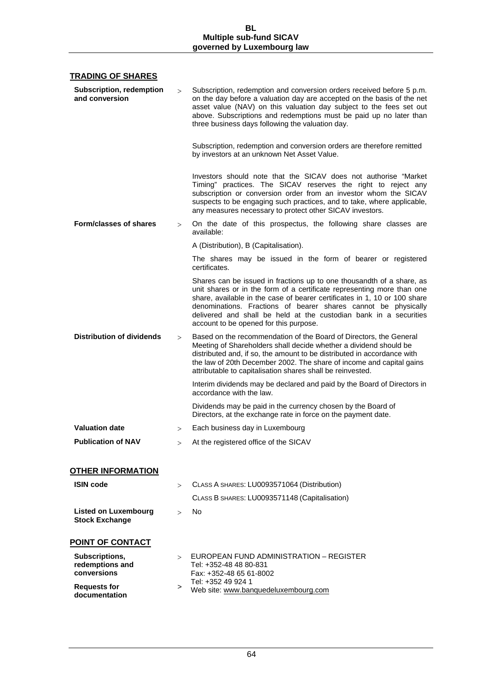# **TRADING OF SHARES**

| <b>Subscription, redemption</b><br>and conversion    | $\geq$   | Subscription, redemption and conversion orders received before 5 p.m.<br>on the day before a valuation day are accepted on the basis of the net<br>asset value (NAV) on this valuation day subject to the fees set out<br>above. Subscriptions and redemptions must be paid up no later than<br>three business days following the valuation day.<br>Subscription, redemption and conversion orders are therefore remitted<br>by investors at an unknown Net Asset Value.<br>Investors should note that the SICAV does not authorise "Market<br>Timing" practices. The SICAV reserves the right to reject any<br>subscription or conversion order from an investor whom the SICAV |
|------------------------------------------------------|----------|----------------------------------------------------------------------------------------------------------------------------------------------------------------------------------------------------------------------------------------------------------------------------------------------------------------------------------------------------------------------------------------------------------------------------------------------------------------------------------------------------------------------------------------------------------------------------------------------------------------------------------------------------------------------------------|
|                                                      |          | suspects to be engaging such practices, and to take, where applicable,<br>any measures necessary to protect other SICAV investors.                                                                                                                                                                                                                                                                                                                                                                                                                                                                                                                                               |
| <b>Form/classes of shares</b>                        | $\geq$   | On the date of this prospectus, the following share classes are<br>available:                                                                                                                                                                                                                                                                                                                                                                                                                                                                                                                                                                                                    |
|                                                      |          | A (Distribution), B (Capitalisation).                                                                                                                                                                                                                                                                                                                                                                                                                                                                                                                                                                                                                                            |
|                                                      |          | The shares may be issued in the form of bearer or registered<br>certificates.                                                                                                                                                                                                                                                                                                                                                                                                                                                                                                                                                                                                    |
|                                                      |          | Shares can be issued in fractions up to one thousandth of a share, as<br>unit shares or in the form of a certificate representing more than one<br>share, available in the case of bearer certificates in 1, 10 or 100 share<br>denominations. Fractions of bearer shares cannot be physically<br>delivered and shall be held at the custodian bank in a securities<br>account to be opened for this purpose.                                                                                                                                                                                                                                                                    |
| <b>Distribution of dividends</b>                     | $\geq$   | Based on the recommendation of the Board of Directors, the General<br>Meeting of Shareholders shall decide whether a dividend should be<br>distributed and, if so, the amount to be distributed in accordance with<br>the law of 20th December 2002. The share of income and capital gains<br>attributable to capitalisation shares shall be reinvested.                                                                                                                                                                                                                                                                                                                         |
|                                                      |          | Interim dividends may be declared and paid by the Board of Directors in<br>accordance with the law.                                                                                                                                                                                                                                                                                                                                                                                                                                                                                                                                                                              |
|                                                      |          | Dividends may be paid in the currency chosen by the Board of<br>Directors, at the exchange rate in force on the payment date.                                                                                                                                                                                                                                                                                                                                                                                                                                                                                                                                                    |
| <b>Valuation date</b>                                | $\rm{>}$ | Each business day in Luxembourg                                                                                                                                                                                                                                                                                                                                                                                                                                                                                                                                                                                                                                                  |
| <b>Publication of NAV</b>                            | $\geq$   | At the registered office of the SICAV                                                                                                                                                                                                                                                                                                                                                                                                                                                                                                                                                                                                                                            |
| <u>OTHER INFORMATION</u>                             |          |                                                                                                                                                                                                                                                                                                                                                                                                                                                                                                                                                                                                                                                                                  |
| <b>ISIN code</b>                                     | $\geq$   | CLASS A SHARES: LU0093571064 (Distribution)                                                                                                                                                                                                                                                                                                                                                                                                                                                                                                                                                                                                                                      |
|                                                      |          | CLASS B SHARES: LU0093571148 (Capitalisation)                                                                                                                                                                                                                                                                                                                                                                                                                                                                                                                                                                                                                                    |
| <b>Listed on Luxembourg</b><br><b>Stock Exchange</b> | $\geq$   | No.                                                                                                                                                                                                                                                                                                                                                                                                                                                                                                                                                                                                                                                                              |
| <b>POINT OF CONTACT</b>                              |          |                                                                                                                                                                                                                                                                                                                                                                                                                                                                                                                                                                                                                                                                                  |
| Subscriptions,<br>redemptions and<br>conversions     | $\geq$   | EUROPEAN FUND ADMINISTRATION - REGISTER<br>Tel: +352-48 48 80-831<br>Fax: +352-48 65 61-8002                                                                                                                                                                                                                                                                                                                                                                                                                                                                                                                                                                                     |
| <b>Requests for</b><br>documentation                 | $\geq$   | Tel: +352 49 924 1<br>Web site: www.banquedeluxembourg.com                                                                                                                                                                                                                                                                                                                                                                                                                                                                                                                                                                                                                       |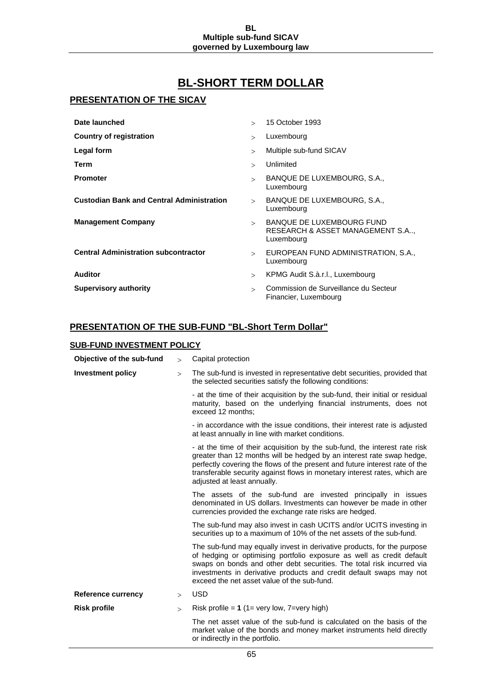# **BL-SHORT TERM DOLLAR**

# **PRESENTATION OF THE SICAV**

| Date launched                                    | $\mathbf{v}$  | 15 October 1993                                                                   |
|--------------------------------------------------|---------------|-----------------------------------------------------------------------------------|
| Country of registration                          | $\geq$        | Luxembourg                                                                        |
| Legal form                                       | $\geq$        | Multiple sub-fund SICAV                                                           |
| Term                                             | $\rightarrow$ | Unlimited                                                                         |
| <b>Promoter</b>                                  | $\rightarrow$ | BANQUE DE LUXEMBOURG, S.A.,<br>Luxembourg                                         |
| <b>Custodian Bank and Central Administration</b> | $\geq$        | BANQUE DE LUXEMBOURG, S.A.,<br>Luxembourg                                         |
| <b>Management Company</b>                        | $\sim$        | <b>BANQUE DE LUXEMBOURG FUND</b><br>RESEARCH & ASSET MANAGEMENT S.A<br>Luxembourg |
| <b>Central Administration subcontractor</b>      | $\geq$        | EUROPEAN FUND ADMINISTRATION, S.A.,<br>Luxembourg                                 |
| Auditor                                          | $\geq$        | KPMG Audit S.à.r.l., Luxembourg                                                   |
| <b>Supervisory authority</b>                     | $\rightarrow$ | Commission de Surveillance du Secteur<br>Financier, Luxembourg                    |

# **PRESENTATION OF THE SUB-FUND "BL-Short Term Dollar"**

| Objective of the sub-fund | $\geq$ | Capital protection                                                                                                                                                                                                                                                                                                                              |
|---------------------------|--------|-------------------------------------------------------------------------------------------------------------------------------------------------------------------------------------------------------------------------------------------------------------------------------------------------------------------------------------------------|
| <b>Investment policy</b>  | $\geq$ | The sub-fund is invested in representative debt securities, provided that<br>the selected securities satisfy the following conditions:                                                                                                                                                                                                          |
|                           |        | - at the time of their acquisition by the sub-fund, their initial or residual<br>maturity, based on the underlying financial instruments, does not<br>exceed 12 months;                                                                                                                                                                         |
|                           |        | - in accordance with the issue conditions, their interest rate is adjusted<br>at least annually in line with market conditions.                                                                                                                                                                                                                 |
|                           |        | - at the time of their acquisition by the sub-fund, the interest rate risk<br>greater than 12 months will be hedged by an interest rate swap hedge,<br>perfectly covering the flows of the present and future interest rate of the<br>transferable security against flows in monetary interest rates, which are<br>adjusted at least annually.  |
|                           |        | The assets of the sub-fund are invested principally in issues<br>denominated in US dollars. Investments can however be made in other<br>currencies provided the exchange rate risks are hedged.                                                                                                                                                 |
|                           |        | The sub-fund may also invest in cash UCITS and/or UCITS investing in<br>securities up to a maximum of 10% of the net assets of the sub-fund.                                                                                                                                                                                                    |
|                           |        | The sub-fund may equally invest in derivative products, for the purpose<br>of hedging or optimising portfolio exposure as well as credit default<br>swaps on bonds and other debt securities. The total risk incurred via<br>investments in derivative products and credit default swaps may not<br>exceed the net asset value of the sub-fund. |
| Reference currency        | >      | <b>USD</b>                                                                                                                                                                                                                                                                                                                                      |
| <b>Risk profile</b>       | $\geq$ | Risk profile = $1$ (1= very low, 7=very high)                                                                                                                                                                                                                                                                                                   |
|                           |        | The net asset value of the sub-fund is calculated on the basis of the<br>market value of the bonds and money market instruments held directly<br>or indirectly in the portfolio.                                                                                                                                                                |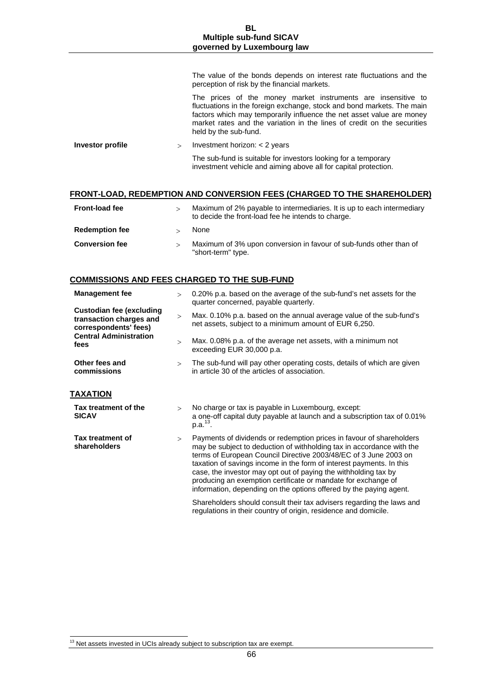The value of the bonds depends on interest rate fluctuations and the perception of risk by the financial markets.

The prices of the money market instruments are insensitive to fluctuations in the foreign exchange, stock and bond markets. The main factors which may temporarily influence the net asset value are money market rates and the variation in the lines of credit on the securities held by the sub-fund.

**Investor profile** > Investment horizon: < 2 years

The sub-fund is suitable for investors looking for a temporary investment vehicle and aiming above all for capital protection.

### **FRONT-LOAD, REDEMPTION AND CONVERSION FEES (CHARGED TO THE SHAREHOLDER)**

| <b>Front-load fee</b> | Maximum of 2% payable to intermediaries. It is up to each intermediary<br>to decide the front-load fee he intends to charge. |
|-----------------------|------------------------------------------------------------------------------------------------------------------------------|
| <b>Redemption fee</b> | <b>None</b>                                                                                                                  |
| <b>Conversion fee</b> | Maximum of 3% upon conversion in favour of sub-funds other than of<br>"short-term" type.                                     |

### **COMMISSIONS AND FEES CHARGED TO THE SUB-FUND**

| <b>Management fee</b>                                                               | $\geq$ | 0.20% p.a. based on the average of the sub-fund's net assets for the<br>quarter concerned, payable quarterly.                                                                                                                                                                                                                                                                                                                                                                                       |
|-------------------------------------------------------------------------------------|--------|-----------------------------------------------------------------------------------------------------------------------------------------------------------------------------------------------------------------------------------------------------------------------------------------------------------------------------------------------------------------------------------------------------------------------------------------------------------------------------------------------------|
| <b>Custodian fee (excluding</b><br>transaction charges and<br>correspondents' fees) | $\geq$ | Max. 0.10% p.a. based on the annual average value of the sub-fund's<br>net assets, subject to a minimum amount of EUR 6,250.                                                                                                                                                                                                                                                                                                                                                                        |
| <b>Central Administration</b><br>fees                                               | $\geq$ | Max. 0.08% p.a. of the average net assets, with a minimum not<br>exceeding EUR 30,000 p.a.                                                                                                                                                                                                                                                                                                                                                                                                          |
| Other fees and<br>commissions                                                       | $\geq$ | The sub-fund will pay other operating costs, details of which are given<br>in article 30 of the articles of association.                                                                                                                                                                                                                                                                                                                                                                            |
| TAXATION                                                                            |        |                                                                                                                                                                                                                                                                                                                                                                                                                                                                                                     |
| Tax treatment of the<br><b>SICAV</b>                                                | $\geq$ | No charge or tax is payable in Luxembourg, except:<br>a one-off capital duty payable at launch and a subscription tax of 0.01%<br>p.a. <sup>13</sup> .                                                                                                                                                                                                                                                                                                                                              |
| <b>Tax treatment of</b><br>shareholders                                             | $\geq$ | Payments of dividends or redemption prices in favour of shareholders<br>may be subject to deduction of withholding tax in accordance with the<br>terms of European Council Directive 2003/48/EC of 3 June 2003 on<br>taxation of savings income in the form of interest payments. In this<br>case, the investor may opt out of paying the withholding tax by<br>producing an exemption certificate or mandate for exchange of<br>information, depending on the options offered by the paying agent. |
|                                                                                     |        | Shareholders should consult their tax advisers regarding the laws and<br>regulations in their country of origin, residence and domicile.                                                                                                                                                                                                                                                                                                                                                            |

l  $13$  Net assets invested in UCIs already subject to subscription tax are exempt.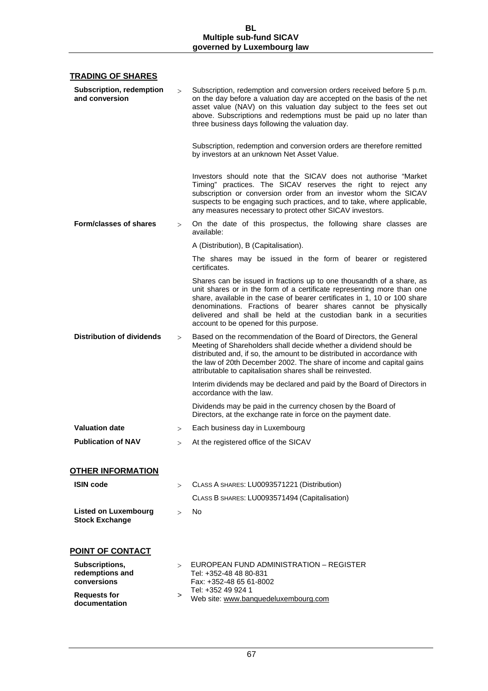# **TRADING OF SHARES**

| <b>Subscription, redemption</b><br>and conversion | $\geq$   | Subscription, redemption and conversion orders received before 5 p.m.<br>on the day before a valuation day are accepted on the basis of the net<br>asset value (NAV) on this valuation day subject to the fees set out<br>above. Subscriptions and redemptions must be paid up no later than<br>three business days following the valuation day.<br>Subscription, redemption and conversion orders are therefore remitted<br>by investors at an unknown Net Asset Value. |
|---------------------------------------------------|----------|--------------------------------------------------------------------------------------------------------------------------------------------------------------------------------------------------------------------------------------------------------------------------------------------------------------------------------------------------------------------------------------------------------------------------------------------------------------------------|
|                                                   |          | Investors should note that the SICAV does not authorise "Market<br>Timing" practices. The SICAV reserves the right to reject any<br>subscription or conversion order from an investor whom the SICAV<br>suspects to be engaging such practices, and to take, where applicable,<br>any measures necessary to protect other SICAV investors.                                                                                                                               |
| <b>Form/classes of shares</b>                     | $\geq$   | On the date of this prospectus, the following share classes are<br>available:                                                                                                                                                                                                                                                                                                                                                                                            |
|                                                   |          | A (Distribution), B (Capitalisation).                                                                                                                                                                                                                                                                                                                                                                                                                                    |
|                                                   |          | The shares may be issued in the form of bearer or registered<br>certificates.                                                                                                                                                                                                                                                                                                                                                                                            |
|                                                   |          | Shares can be issued in fractions up to one thousandth of a share, as<br>unit shares or in the form of a certificate representing more than one<br>share, available in the case of bearer certificates in 1, 10 or 100 share<br>denominations. Fractions of bearer shares cannot be physically<br>delivered and shall be held at the custodian bank in a securities<br>account to be opened for this purpose.                                                            |
| <b>Distribution of dividends</b>                  | $\geq$   | Based on the recommendation of the Board of Directors, the General<br>Meeting of Shareholders shall decide whether a dividend should be<br>distributed and, if so, the amount to be distributed in accordance with<br>the law of 20th December 2002. The share of income and capital gains<br>attributable to capitalisation shares shall be reinvested.                                                                                                                 |
|                                                   |          | Interim dividends may be declared and paid by the Board of Directors in<br>accordance with the law.                                                                                                                                                                                                                                                                                                                                                                      |
|                                                   |          | Dividends may be paid in the currency chosen by the Board of<br>Directors, at the exchange rate in force on the payment date.                                                                                                                                                                                                                                                                                                                                            |
| <b>Valuation date</b>                             | $\rm{>}$ | Each business day in Luxembourg                                                                                                                                                                                                                                                                                                                                                                                                                                          |
| <b>Publication of NAV</b>                         | $\geq$   | At the registered office of the SICAV                                                                                                                                                                                                                                                                                                                                                                                                                                    |
| <u>OTHER INFORMATION</u>                          |          |                                                                                                                                                                                                                                                                                                                                                                                                                                                                          |
| <b>ISIN code</b>                                  | $\geq$   | CLASS A SHARES: LU0093571221 (Distribution)                                                                                                                                                                                                                                                                                                                                                                                                                              |
|                                                   |          | CLASS B SHARES: LU0093571494 (Capitalisation)                                                                                                                                                                                                                                                                                                                                                                                                                            |
| <b>Listed on Luxembourg</b>                       | $\geq$   | No.                                                                                                                                                                                                                                                                                                                                                                                                                                                                      |
| <b>Stock Exchange</b>                             |          |                                                                                                                                                                                                                                                                                                                                                                                                                                                                          |
| <b>POINT OF CONTACT</b>                           |          |                                                                                                                                                                                                                                                                                                                                                                                                                                                                          |
| Subscriptions,<br>redemptions and<br>conversions  | $\geq$   | EUROPEAN FUND ADMINISTRATION - REGISTER<br>Tel: +352-48 48 80-831<br>Fax: +352-48 65 61-8002                                                                                                                                                                                                                                                                                                                                                                             |
| <b>Requests for</b><br>documentation              | $\geq$   | Tel: +352 49 924 1<br>Web site: www.banquedeluxembourg.com                                                                                                                                                                                                                                                                                                                                                                                                               |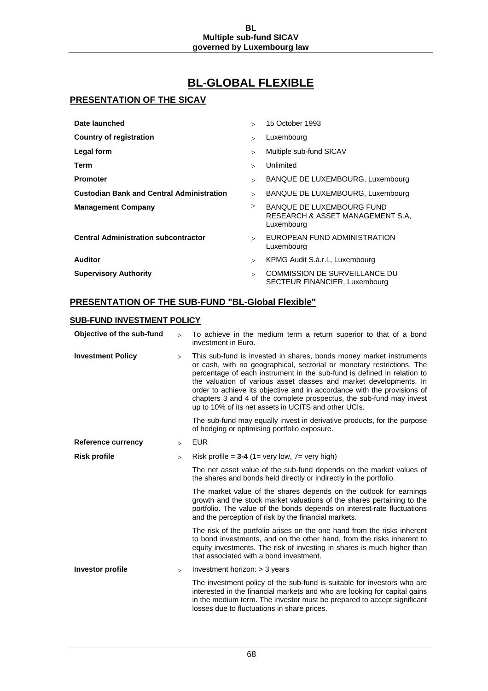# **BL-GLOBAL FLEXIBLE**

# **PRESENTATION OF THE SICAV**

| Date launched                                    | $\rightarrow$  | 15 October 1993                                                             |
|--------------------------------------------------|----------------|-----------------------------------------------------------------------------|
|                                                  |                |                                                                             |
| <b>Country of registration</b>                   | $\geq$         | Luxembourg                                                                  |
| Legal form                                       | $\mathbf{r}$   | Multiple sub-fund SICAV                                                     |
| Term                                             | $\check{}$     | Unlimited                                                                   |
| <b>Promoter</b>                                  | $\rightarrow$  | BANQUE DE LUXEMBOURG, Luxembourg                                            |
| <b>Custodian Bank and Central Administration</b> | $\rightarrow$  | BANQUE DE LUXEMBOURG, Luxembourg                                            |
| <b>Management Company</b>                        | ≻              | BANQUE DE LUXEMBOURG FUND<br>RESEARCH & ASSET MANAGEMENT S.A.<br>Luxembourg |
| <b>Central Administration subcontractor</b>      | $\overline{ }$ | EUROPEAN FUND ADMINISTRATION<br>Luxembourg                                  |
| Auditor                                          | $\rightarrow$  | KPMG Audit S.à.r.l., Luxembourg                                             |
| <b>Supervisory Authority</b>                     | $\rightarrow$  | COMMISSION DE SURVEILLANCE DU<br>SECTEUR FINANCIER, Luxembourg              |

# **PRESENTATION OF THE SUB-FUND "BL-Global Flexible"**

| Objective of the sub-fund | $\geq$ | To achieve in the medium term a return superior to that of a bond<br>investment in Euro.                                                                                                                                                                                                                                                                                                                                                                                                                  |
|---------------------------|--------|-----------------------------------------------------------------------------------------------------------------------------------------------------------------------------------------------------------------------------------------------------------------------------------------------------------------------------------------------------------------------------------------------------------------------------------------------------------------------------------------------------------|
| <b>Investment Policy</b>  | $\geq$ | This sub-fund is invested in shares, bonds money market instruments<br>or cash, with no geographical, sectorial or monetary restrictions. The<br>percentage of each instrument in the sub-fund is defined in relation to<br>the valuation of various asset classes and market developments. In<br>order to achieve its objective and in accordance with the provisions of<br>chapters 3 and 4 of the complete prospectus, the sub-fund may invest<br>up to 10% of its net assets in UCITS and other UCIs. |
|                           |        | The sub-fund may equally invest in derivative products, for the purpose<br>of hedging or optimising portfolio exposure.                                                                                                                                                                                                                                                                                                                                                                                   |
| <b>Reference currency</b> | $\geq$ | <b>EUR</b>                                                                                                                                                                                                                                                                                                                                                                                                                                                                                                |
| <b>Risk profile</b>       | $\geq$ | Risk profile = $3-4$ (1= very low, 7= very high)                                                                                                                                                                                                                                                                                                                                                                                                                                                          |
|                           |        | The net asset value of the sub-fund depends on the market values of<br>the shares and bonds held directly or indirectly in the portfolio.                                                                                                                                                                                                                                                                                                                                                                 |
|                           |        | The market value of the shares depends on the outlook for earnings<br>growth and the stock market valuations of the shares pertaining to the<br>portfolio. The value of the bonds depends on interest-rate fluctuations<br>and the perception of risk by the financial markets.                                                                                                                                                                                                                           |
|                           |        | The risk of the portfolio arises on the one hand from the risks inherent<br>to bond investments, and on the other hand, from the risks inherent to<br>equity investments. The risk of investing in shares is much higher than<br>that associated with a bond investment.                                                                                                                                                                                                                                  |
| Investor profile          | $\geq$ | Investment horizon: $>$ 3 years                                                                                                                                                                                                                                                                                                                                                                                                                                                                           |
|                           |        | The investment policy of the sub-fund is suitable for investors who are<br>interested in the financial markets and who are looking for capital gains<br>in the medium term. The investor must be prepared to accept significant<br>losses due to fluctuations in share prices.                                                                                                                                                                                                                            |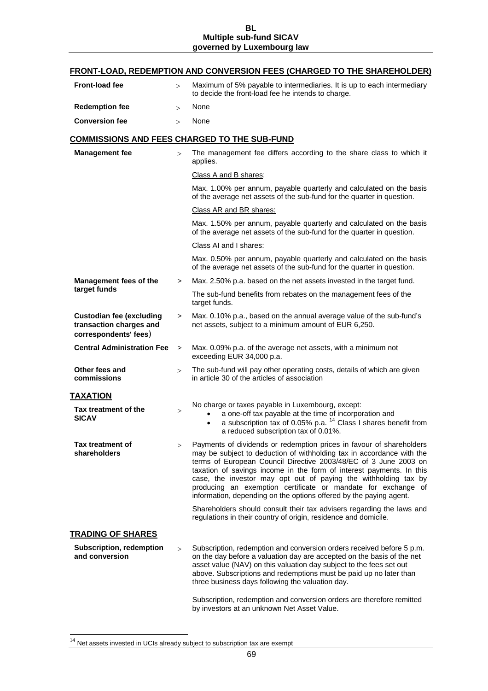# **FRONT-LOAD, REDEMPTION AND CONVERSION FEES (CHARGED TO THE SHAREHOLDER)**

| Front-load fee                                                                      | $\geq$ | Maximum of 5% payable to intermediaries. It is up to each intermediary<br>to decide the front-load fee he intends to charge.                                                                                                                                                                                                                                                                                                                                                                        |
|-------------------------------------------------------------------------------------|--------|-----------------------------------------------------------------------------------------------------------------------------------------------------------------------------------------------------------------------------------------------------------------------------------------------------------------------------------------------------------------------------------------------------------------------------------------------------------------------------------------------------|
| <b>Redemption fee</b>                                                               | $\geq$ | <b>None</b>                                                                                                                                                                                                                                                                                                                                                                                                                                                                                         |
| <b>Conversion fee</b>                                                               | $\geq$ | None                                                                                                                                                                                                                                                                                                                                                                                                                                                                                                |
|                                                                                     |        | <b>COMMISSIONS AND FEES CHARGED TO THE SUB-FUND</b>                                                                                                                                                                                                                                                                                                                                                                                                                                                 |
| <b>Management fee</b>                                                               | $\geq$ | The management fee differs according to the share class to which it<br>applies.                                                                                                                                                                                                                                                                                                                                                                                                                     |
|                                                                                     |        | Class A and B shares:                                                                                                                                                                                                                                                                                                                                                                                                                                                                               |
|                                                                                     |        | Max. 1.00% per annum, payable quarterly and calculated on the basis<br>of the average net assets of the sub-fund for the quarter in question.                                                                                                                                                                                                                                                                                                                                                       |
|                                                                                     |        | Class AR and BR shares:                                                                                                                                                                                                                                                                                                                                                                                                                                                                             |
|                                                                                     |        | Max. 1.50% per annum, payable quarterly and calculated on the basis<br>of the average net assets of the sub-fund for the quarter in question.                                                                                                                                                                                                                                                                                                                                                       |
|                                                                                     |        | Class AI and I shares:                                                                                                                                                                                                                                                                                                                                                                                                                                                                              |
|                                                                                     |        | Max. 0.50% per annum, payable quarterly and calculated on the basis<br>of the average net assets of the sub-fund for the quarter in question.                                                                                                                                                                                                                                                                                                                                                       |
| Management fees of the<br>target funds                                              | $\geq$ | Max. 2.50% p.a. based on the net assets invested in the target fund.                                                                                                                                                                                                                                                                                                                                                                                                                                |
|                                                                                     |        | The sub-fund benefits from rebates on the management fees of the<br>target funds.                                                                                                                                                                                                                                                                                                                                                                                                                   |
| <b>Custodian fee (excluding</b><br>transaction charges and<br>correspondents' fees) | $\geq$ | Max. 0.10% p.a., based on the annual average value of the sub-fund's<br>net assets, subject to a minimum amount of EUR 6,250.                                                                                                                                                                                                                                                                                                                                                                       |
| <b>Central Administration Fee</b>                                                   | $\geq$ | Max. 0.09% p.a. of the average net assets, with a minimum not<br>exceeding EUR 34,000 p.a.                                                                                                                                                                                                                                                                                                                                                                                                          |
| Other fees and<br>commissions                                                       | $\geq$ | The sub-fund will pay other operating costs, details of which are given<br>in article 30 of the articles of association                                                                                                                                                                                                                                                                                                                                                                             |
| TAXATION                                                                            |        |                                                                                                                                                                                                                                                                                                                                                                                                                                                                                                     |
| Tax treatment of the<br><b>SICAV</b>                                                | $\geq$ | No charge or taxes payable in Luxembourg, except:<br>a one-off tax payable at the time of incorporation and<br>a subscription tax of 0.05% p.a. <sup>14</sup> Class I shares benefit from<br>$\bullet$<br>a reduced subscription tax of 0.01%.                                                                                                                                                                                                                                                      |
| Tax treatment of<br>shareholders                                                    |        | Payments of dividends or redemption prices in favour of shareholders<br>may be subject to deduction of withholding tax in accordance with the<br>terms of European Council Directive 2003/48/EC of 3 June 2003 on<br>taxation of savings income in the form of interest payments. In this<br>case, the investor may opt out of paying the withholding tax by<br>producing an exemption certificate or mandate for exchange of<br>information, depending on the options offered by the paying agent. |
|                                                                                     |        | Shareholders should consult their tax advisers regarding the laws and<br>regulations in their country of origin, residence and domicile.                                                                                                                                                                                                                                                                                                                                                            |
| <u>TRADING OF SHARES</u>                                                            |        |                                                                                                                                                                                                                                                                                                                                                                                                                                                                                                     |
| <b>Subscription, redemption</b><br>and conversion                                   | $\geq$ | Subscription, redemption and conversion orders received before 5 p.m.<br>on the day before a valuation day are accepted on the basis of the net<br>asset value (NAV) on this valuation day subject to the fees set out<br>above. Subscriptions and redemptions must be paid up no later than<br>three business days following the valuation day.                                                                                                                                                    |
|                                                                                     |        | Subscription, redemption and conversion orders are therefore remitted<br>by investors at an unknown Net Asset Value.                                                                                                                                                                                                                                                                                                                                                                                |

 $14$  Net assets invested in UCIs already subject to subscription tax are exempt

l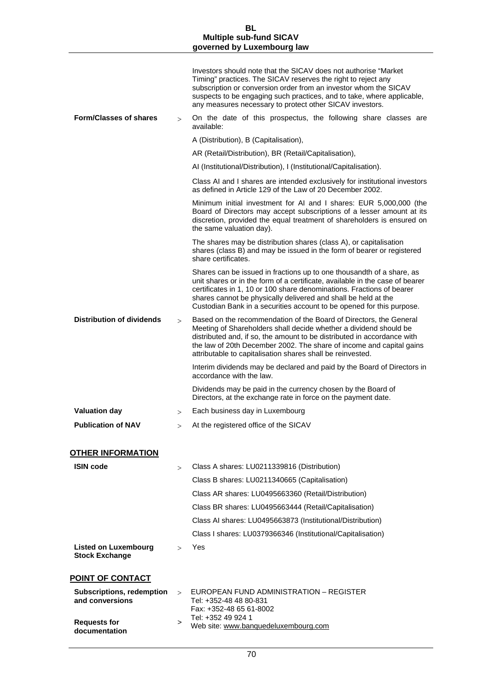|                                                      |        | Investors should note that the SICAV does not authorise "Market"<br>Timing" practices. The SICAV reserves the right to reject any<br>subscription or conversion order from an investor whom the SICAV<br>suspects to be engaging such practices, and to take, where applicable,<br>any measures necessary to protect other SICAV investors.                               |
|------------------------------------------------------|--------|---------------------------------------------------------------------------------------------------------------------------------------------------------------------------------------------------------------------------------------------------------------------------------------------------------------------------------------------------------------------------|
| <b>Form/Classes of shares</b>                        | $\geq$ | On the date of this prospectus, the following share classes are<br>available:                                                                                                                                                                                                                                                                                             |
|                                                      |        | A (Distribution), B (Capitalisation),                                                                                                                                                                                                                                                                                                                                     |
|                                                      |        | AR (Retail/Distribution), BR (Retail/Capitalisation),                                                                                                                                                                                                                                                                                                                     |
|                                                      |        | Al (Institutional/Distribution), I (Institutional/Capitalisation).                                                                                                                                                                                                                                                                                                        |
|                                                      |        | Class AI and I shares are intended exclusively for institutional investors<br>as defined in Article 129 of the Law of 20 December 2002.                                                                                                                                                                                                                                   |
|                                                      |        | Minimum initial investment for AI and I shares: EUR 5,000,000 (the<br>Board of Directors may accept subscriptions of a lesser amount at its<br>discretion, provided the equal treatment of shareholders is ensured on<br>the same valuation day).                                                                                                                         |
|                                                      |        | The shares may be distribution shares (class A), or capitalisation<br>shares (class B) and may be issued in the form of bearer or registered<br>share certificates.                                                                                                                                                                                                       |
|                                                      |        | Shares can be issued in fractions up to one thousandth of a share, as<br>unit shares or in the form of a certificate, available in the case of bearer<br>certificates in 1, 10 or 100 share denominations. Fractions of bearer<br>shares cannot be physically delivered and shall be held at the<br>Custodian Bank in a securities account to be opened for this purpose. |
| <b>Distribution of dividends</b>                     | $\geq$ | Based on the recommendation of the Board of Directors, the General<br>Meeting of Shareholders shall decide whether a dividend should be<br>distributed and, if so, the amount to be distributed in accordance with<br>the law of 20th December 2002. The share of income and capital gains<br>attributable to capitalisation shares shall be reinvested.                  |
|                                                      |        | Interim dividends may be declared and paid by the Board of Directors in<br>accordance with the law.                                                                                                                                                                                                                                                                       |
|                                                      |        | Dividends may be paid in the currency chosen by the Board of<br>Directors, at the exchange rate in force on the payment date.                                                                                                                                                                                                                                             |
| <b>Valuation day</b>                                 | $\geq$ | Each business day in Luxembourg                                                                                                                                                                                                                                                                                                                                           |
| <b>Publication of NAV</b>                            | $\geq$ | At the registered office of the SICAV                                                                                                                                                                                                                                                                                                                                     |
| <b>OTHER INFORMATION</b>                             |        |                                                                                                                                                                                                                                                                                                                                                                           |
| <b>ISIN code</b>                                     | $\geq$ | Class A shares: LU0211339816 (Distribution)                                                                                                                                                                                                                                                                                                                               |
|                                                      |        | Class B shares: LU0211340665 (Capitalisation)                                                                                                                                                                                                                                                                                                                             |
|                                                      |        | Class AR shares: LU0495663360 (Retail/Distribution)                                                                                                                                                                                                                                                                                                                       |
|                                                      |        | Class BR shares: LU0495663444 (Retail/Capitalisation)                                                                                                                                                                                                                                                                                                                     |
|                                                      |        | Class AI shares: LU0495663873 (Institutional/Distribution)                                                                                                                                                                                                                                                                                                                |
|                                                      |        | Class I shares: LU0379366346 (Institutional/Capitalisation)                                                                                                                                                                                                                                                                                                               |
| <b>Listed on Luxembourg</b><br><b>Stock Exchange</b> | $\geq$ | Yes                                                                                                                                                                                                                                                                                                                                                                       |
| <b>POINT OF CONTACT</b>                              |        |                                                                                                                                                                                                                                                                                                                                                                           |
| <b>Subscriptions, redemption</b><br>and conversions  | $\geq$ | EUROPEAN FUND ADMINISTRATION - REGISTER<br>Tel: +352-48 48 80-831<br>Fax: +352-48 65 61-8002                                                                                                                                                                                                                                                                              |
| <b>Requests for</b><br>documentation                 | >      | Tel: +352 49 924 1<br>Web site: www.banquedeluxembourg.com                                                                                                                                                                                                                                                                                                                |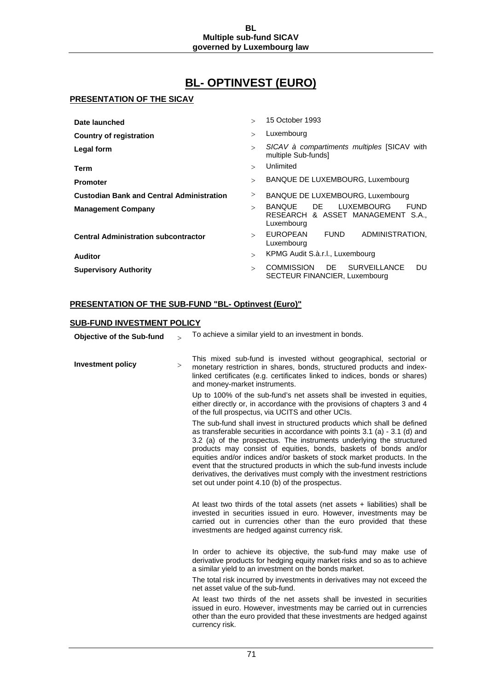# **BL- OPTINVEST (EURO)**

# **PRESENTATION OF THE SICAV**

| Date launched                                    | $\rightarrow$ | 15 October 1993                                                                              |
|--------------------------------------------------|---------------|----------------------------------------------------------------------------------------------|
| <b>Country of registration</b>                   | $\geq$        | Luxembourg                                                                                   |
| Legal form                                       | $\rightarrow$ | SICAV à compartiments multiples [SICAV with<br>multiple Sub-funds]                           |
| Term                                             | $\rightarrow$ | Unlimited                                                                                    |
| <b>Promoter</b>                                  | $\rightarrow$ | BANQUE DE LUXEMBOURG, Luxembourg                                                             |
| <b>Custodian Bank and Central Administration</b> | $\rm{>}$      | BANQUE DE LUXEMBOURG, Luxembourg                                                             |
| <b>Management Company</b>                        | $\rightarrow$ | BANQUE<br>DE<br>LUXEMBOURG<br><b>FUND</b><br>RESEARCH & ASSET MANAGEMENT S.A.,<br>Luxembourg |
| <b>Central Administration subcontractor</b>      | $\rightarrow$ | <b>EUROPEAN</b><br><b>FUND</b><br>ADMINISTRATION.<br>Luxembourg                              |
| <b>Auditor</b>                                   | $\geq$        | KPMG Audit S.a.r.l., Luxembourg                                                              |
| <b>Supervisory Authority</b>                     | $\geq$        | COMMISSION DE<br><b>SURVEILLANCE</b><br>DU<br>SECTEUR FINANCIER, Luxembourg                  |

## **PRESENTATION OF THE SUB-FUND "BL- Optinvest (Euro)"**

| <b>Objective of the Sub-fund</b> | $\rightarrow$ | To achieve a similar yield to an investment in bonds.                                                                                                                                                                                                                                                                                                                                                                                                                                                                                                                                    |
|----------------------------------|---------------|------------------------------------------------------------------------------------------------------------------------------------------------------------------------------------------------------------------------------------------------------------------------------------------------------------------------------------------------------------------------------------------------------------------------------------------------------------------------------------------------------------------------------------------------------------------------------------------|
| <b>Investment policy</b>         | $\rm{>}$      | This mixed sub-fund is invested without geographical, sectorial or<br>monetary restriction in shares, bonds, structured products and index-<br>linked certificates (e.g. certificates linked to indices, bonds or shares)<br>and money-market instruments.                                                                                                                                                                                                                                                                                                                               |
|                                  |               | Up to 100% of the sub-fund's net assets shall be invested in equities,<br>either directly or, in accordance with the provisions of chapters 3 and 4<br>of the full prospectus, via UCITS and other UCIs.                                                                                                                                                                                                                                                                                                                                                                                 |
|                                  |               | The sub-fund shall invest in structured products which shall be defined<br>as transferable securities in accordance with points 3.1 (a) - 3.1 (d) and<br>3.2 (a) of the prospectus. The instruments underlying the structured<br>products may consist of equities, bonds, baskets of bonds and/or<br>equities and/or indices and/or baskets of stock market products. In the<br>event that the structured products in which the sub-fund invests include<br>derivatives, the derivatives must comply with the investment restrictions<br>set out under point 4.10 (b) of the prospectus. |
|                                  |               | At least two thirds of the total assets (net assets + liabilities) shall be<br>invested in securities issued in euro. However, investments may be<br>carried out in currencies other than the euro provided that these<br>investments are hedged against currency risk.                                                                                                                                                                                                                                                                                                                  |
|                                  |               | In order to achieve its objective, the sub-fund may make use of<br>derivative products for hedging equity market risks and so as to achieve<br>a similar yield to an investment on the bonds market.                                                                                                                                                                                                                                                                                                                                                                                     |
|                                  |               | The total risk incurred by investments in derivatives may not exceed the<br>net asset value of the sub-fund.                                                                                                                                                                                                                                                                                                                                                                                                                                                                             |
|                                  |               | At least two thirds of the net assets shall be invested in securities<br>issued in euro. However, investments may be carried out in currencies<br>other than the euro provided that these investments are hedged against<br>currency risk.                                                                                                                                                                                                                                                                                                                                               |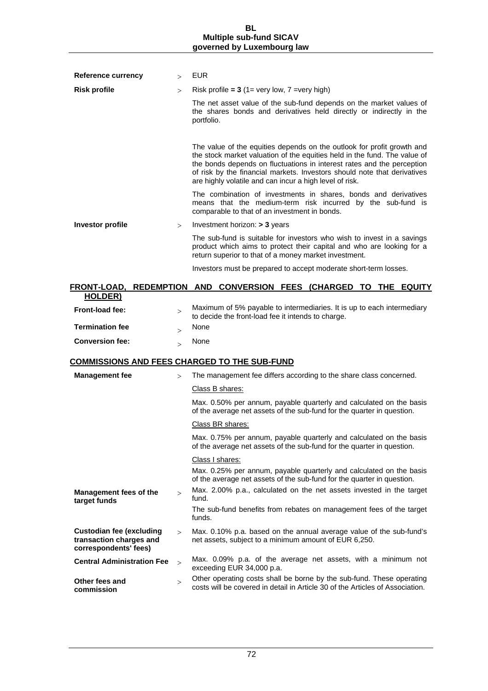| <b>Reference currency</b>                                                           | $\geq$        | <b>EUR</b>                                                                                                                                                                                                                                                                                                                                                           |
|-------------------------------------------------------------------------------------|---------------|----------------------------------------------------------------------------------------------------------------------------------------------------------------------------------------------------------------------------------------------------------------------------------------------------------------------------------------------------------------------|
| <b>Risk profile</b>                                                                 | $\mathbf{r}$  | Risk profile = $3(1)$ very low, $7$ =very high)                                                                                                                                                                                                                                                                                                                      |
|                                                                                     |               | The net asset value of the sub-fund depends on the market values of<br>the shares bonds and derivatives held directly or indirectly in the<br>portfolio.                                                                                                                                                                                                             |
|                                                                                     |               | The value of the equities depends on the outlook for profit growth and<br>the stock market valuation of the equities held in the fund. The value of<br>the bonds depends on fluctuations in interest rates and the perception<br>of risk by the financial markets. Investors should note that derivatives<br>are highly volatile and can incur a high level of risk. |
|                                                                                     |               | The combination of investments in shares, bonds and derivatives<br>means that the medium-term risk incurred by the sub-fund is<br>comparable to that of an investment in bonds.                                                                                                                                                                                      |
| Investor profile                                                                    | $\geq$        | Investment horizon: $>$ 3 years                                                                                                                                                                                                                                                                                                                                      |
|                                                                                     |               | The sub-fund is suitable for investors who wish to invest in a savings<br>product which aims to protect their capital and who are looking for a<br>return superior to that of a money market investment.                                                                                                                                                             |
|                                                                                     |               | Investors must be prepared to accept moderate short-term losses.                                                                                                                                                                                                                                                                                                     |
| <b>FRONT-LOAD,</b>                                                                  |               | REDEMPTION AND CONVERSION FEES (CHARGED<br>TO THE EQUITY                                                                                                                                                                                                                                                                                                             |
| <b>HOLDER)</b>                                                                      |               |                                                                                                                                                                                                                                                                                                                                                                      |
| Front-load fee:                                                                     | $\geq$        | Maximum of 5% payable to intermediaries. It is up to each intermediary<br>to decide the front-load fee it intends to charge.                                                                                                                                                                                                                                         |
| <b>Termination fee</b>                                                              | $\geq$        | None                                                                                                                                                                                                                                                                                                                                                                 |
|                                                                                     |               |                                                                                                                                                                                                                                                                                                                                                                      |
| <b>Conversion fee:</b>                                                              | $\rightarrow$ | None                                                                                                                                                                                                                                                                                                                                                                 |
|                                                                                     |               |                                                                                                                                                                                                                                                                                                                                                                      |
| <b>Management fee</b>                                                               | $\geq$        | <b>COMMISSIONS AND FEES CHARGED TO THE SUB-FUND</b><br>The management fee differs according to the share class concerned.                                                                                                                                                                                                                                            |
|                                                                                     |               | Class B shares:                                                                                                                                                                                                                                                                                                                                                      |
|                                                                                     |               | Max. 0.50% per annum, payable quarterly and calculated on the basis<br>of the average net assets of the sub-fund for the quarter in question.                                                                                                                                                                                                                        |
|                                                                                     |               | Class BR shares:                                                                                                                                                                                                                                                                                                                                                     |
|                                                                                     |               | Max. 0.75% per annum, payable quarterly and calculated on the basis<br>of the average net assets of the sub-fund for the quarter in question.                                                                                                                                                                                                                        |
|                                                                                     |               | Class I shares:                                                                                                                                                                                                                                                                                                                                                      |
|                                                                                     |               | Max. 0.25% per annum, payable quarterly and calculated on the basis<br>of the average net assets of the sub-fund for the quarter in question.                                                                                                                                                                                                                        |
| Management fees of the<br>target funds                                              | $\geq$        | Max. 2.00% p.a., calculated on the net assets invested in the target<br>fund.                                                                                                                                                                                                                                                                                        |
|                                                                                     |               | The sub-fund benefits from rebates on management fees of the target<br>funds.                                                                                                                                                                                                                                                                                        |
| <b>Custodian fee (excluding</b><br>transaction charges and<br>correspondents' fees) | $\geq$        | Max. 0.10% p.a. based on the annual average value of the sub-fund's<br>net assets, subject to a minimum amount of EUR 6,250.                                                                                                                                                                                                                                         |
| <b>Central Administration Fee</b>                                                   | $\geq$        | Max. 0.09% p.a. of the average net assets, with a minimum not<br>exceeding EUR 34,000 p.a.                                                                                                                                                                                                                                                                           |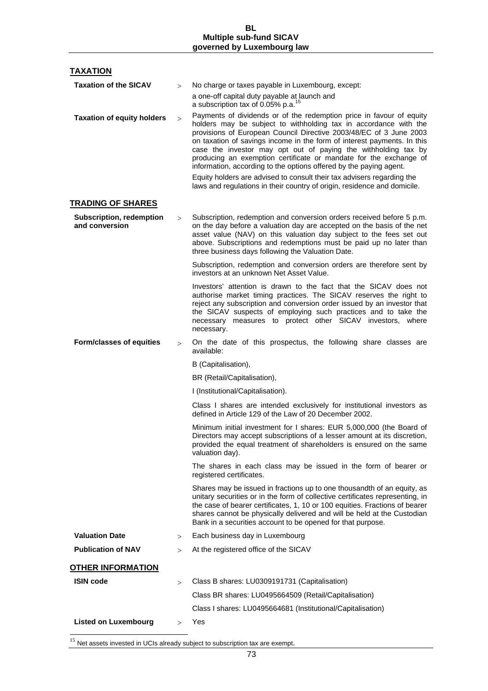# **TAXATION**

| <b>Taxation of the SICAV</b>               | $\geq$ | No charge or taxes payable in Luxembourg, except:<br>a one-off capital duty payable at launch and<br>a subscription tax of 0.05% p.a. <sup>15</sup>                                                                                                                                                                                                                                                                                                                                                                                                                              |
|--------------------------------------------|--------|----------------------------------------------------------------------------------------------------------------------------------------------------------------------------------------------------------------------------------------------------------------------------------------------------------------------------------------------------------------------------------------------------------------------------------------------------------------------------------------------------------------------------------------------------------------------------------|
| <b>Taxation of equity holders</b>          | $\geq$ | Payments of dividends or of the redemption price in favour of equity<br>holders may be subject to withholding tax in accordance with the<br>provisions of European Council Directive 2003/48/EC of 3 June 2003<br>on taxation of savings income in the form of interest payments. In this<br>case the investor may opt out of paying the withholding tax by<br>producing an exemption certificate or mandate for the exchange of<br>information, according to the options offered by the paying agent.<br>Equity holders are advised to consult their tax advisers regarding the |
|                                            |        | laws and regulations in their country of origin, residence and domicile.                                                                                                                                                                                                                                                                                                                                                                                                                                                                                                         |
| <b>TRADING OF SHARES</b>                   |        |                                                                                                                                                                                                                                                                                                                                                                                                                                                                                                                                                                                  |
| Subscription, redemption<br>and conversion | $\geq$ | Subscription, redemption and conversion orders received before 5 p.m.<br>on the day before a valuation day are accepted on the basis of the net<br>asset value (NAV) on this valuation day subject to the fees set out<br>above. Subscriptions and redemptions must be paid up no later than<br>three business days following the Valuation Date.                                                                                                                                                                                                                                |
|                                            |        | Subscription, redemption and conversion orders are therefore sent by<br>investors at an unknown Net Asset Value.                                                                                                                                                                                                                                                                                                                                                                                                                                                                 |
|                                            |        | Investors' attention is drawn to the fact that the SICAV does not<br>authorise market timing practices. The SICAV reserves the right to<br>reject any subscription and conversion order issued by an investor that<br>the SICAV suspects of employing such practices and to take the<br>necessary measures to protect other SICAV investors, where<br>necessary.                                                                                                                                                                                                                 |
| <b>Form/classes of equities</b>            | $\geq$ | On the date of this prospectus, the following share classes are<br>available:                                                                                                                                                                                                                                                                                                                                                                                                                                                                                                    |
|                                            |        | B (Capitalisation),                                                                                                                                                                                                                                                                                                                                                                                                                                                                                                                                                              |
|                                            |        | BR (Retail/Capitalisation),                                                                                                                                                                                                                                                                                                                                                                                                                                                                                                                                                      |
|                                            |        | I (Institutional/Capitalisation).                                                                                                                                                                                                                                                                                                                                                                                                                                                                                                                                                |
|                                            |        | Class I shares are intended exclusively for institutional investors as<br>defined in Article 129 of the Law of 20 December 2002.                                                                                                                                                                                                                                                                                                                                                                                                                                                 |
|                                            |        | Minimum initial investment for I shares: EUR 5,000,000 (the Board of<br>Directors may accept subscriptions of a lesser amount at its discretion,<br>provided the equal treatment of shareholders is ensured on the same<br>valuation day).                                                                                                                                                                                                                                                                                                                                       |
|                                            |        | The shares in each class may be issued in the form of bearer or<br>registered certificates.                                                                                                                                                                                                                                                                                                                                                                                                                                                                                      |
|                                            |        | Shares may be issued in fractions up to one thousandth of an equity, as<br>unitary securities or in the form of collective certificates representing, in<br>the case of bearer certificates, 1, 10 or 100 equities. Fractions of bearer<br>shares cannot be physically delivered and will be held at the Custodian<br>Bank in a securities account to be opened for that purpose.                                                                                                                                                                                                |
| <b>Valuation Date</b>                      | $\geq$ | Each business day in Luxembourg                                                                                                                                                                                                                                                                                                                                                                                                                                                                                                                                                  |
| <b>Publication of NAV</b>                  | $\geq$ | At the registered office of the SICAV                                                                                                                                                                                                                                                                                                                                                                                                                                                                                                                                            |
| OTHER INFORMATION                          |        |                                                                                                                                                                                                                                                                                                                                                                                                                                                                                                                                                                                  |
| <b>ISIN code</b>                           | $\geq$ | Class B shares: LU0309191731 (Capitalisation)                                                                                                                                                                                                                                                                                                                                                                                                                                                                                                                                    |
|                                            |        | Class BR shares: LU0495664509 (Retail/Capitalisation)                                                                                                                                                                                                                                                                                                                                                                                                                                                                                                                            |
|                                            |        | Class I shares: LU0495664681 (Institutional/Capitalisation)                                                                                                                                                                                                                                                                                                                                                                                                                                                                                                                      |
| <b>Listed on Luxembourg</b>                | $\geq$ | Yes                                                                                                                                                                                                                                                                                                                                                                                                                                                                                                                                                                              |

 $15$  Net assets invested in UCIs already subject to subscription tax are exempt.

l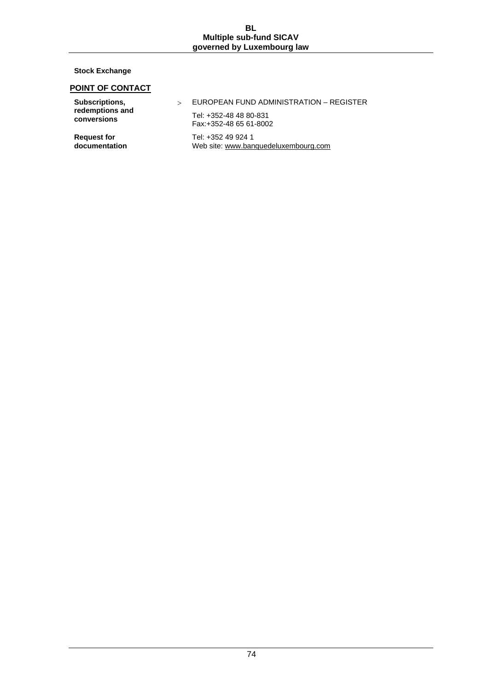**Stock Exchange** 

# **POINT OF CONTACT**

**Subscriptions, redemptions and conversions** 

**Request for documentation** 

#### > EUROPEAN FUND ADMINISTRATION – REGISTER

Tel: +352-48 48 80-831 Fax:+352-48 65 61-8002

 Tel: +352 49 924 1 Web site: www.banquedeluxembourg.com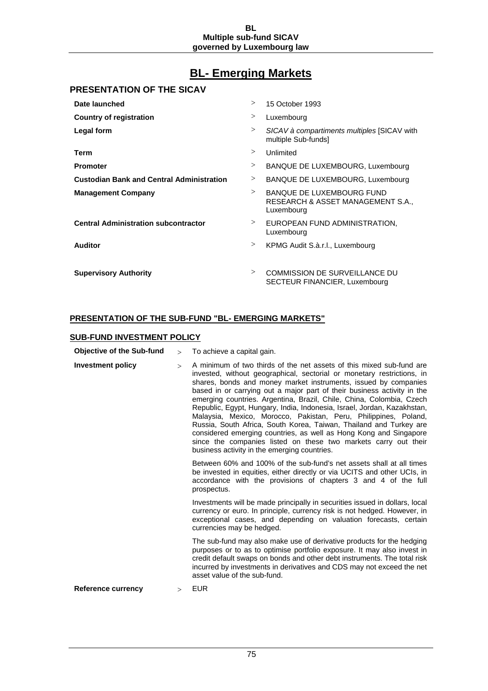# **BL- Emerging Markets**

| <b>PRESENTATION OF THE SICAV</b>                 |   |                                                                                     |
|--------------------------------------------------|---|-------------------------------------------------------------------------------------|
| Date launched                                    | > | 15 October 1993                                                                     |
| <b>Country of registration</b>                   | > | Luxembourg                                                                          |
| Legal form                                       | > | SICAV à compartiments multiples SICAV with<br>multiple Sub-funds]                   |
| Term                                             | > | Unlimited                                                                           |
| <b>Promoter</b>                                  | ➢ | BANQUE DE LUXEMBOURG, Luxembourg                                                    |
| <b>Custodian Bank and Central Administration</b> | ⋗ | BANQUE DE LUXEMBOURG, Luxembourg                                                    |
| <b>Management Company</b>                        | ➢ | <b>BANQUE DE LUXEMBOURG FUND</b><br>RESEARCH & ASSET MANAGEMENT S.A.,<br>Luxembourg |
| <b>Central Administration subcontractor</b>      | ➢ | EUROPEAN FUND ADMINISTRATION,<br>Luxembourg                                         |
| Auditor                                          | > | KPMG Audit S.à.r.l., Luxembourg                                                     |
| <b>Supervisory Authority</b>                     | > | <b>COMMISSION DE SURVEILLANCE DU</b><br>SECTEUR FINANCIER, Luxembourg               |

# **PRESENTATION OF THE SUB-FUND "BL- EMERGING MARKETS"**

# **SUB-FUND INVESTMENT POLICY**

| <b>Objective of the Sub-fund</b> | $\geq$                                                                                                                                                                                                                                                                                                                                                                                                                                                                                                                                                                                                                                                                                                                                                                           | To achieve a capital gain.                                                                                                                                                                                                                                                                                                            |
|----------------------------------|----------------------------------------------------------------------------------------------------------------------------------------------------------------------------------------------------------------------------------------------------------------------------------------------------------------------------------------------------------------------------------------------------------------------------------------------------------------------------------------------------------------------------------------------------------------------------------------------------------------------------------------------------------------------------------------------------------------------------------------------------------------------------------|---------------------------------------------------------------------------------------------------------------------------------------------------------------------------------------------------------------------------------------------------------------------------------------------------------------------------------------|
| Investment policy<br>$\geq$      | A minimum of two thirds of the net assets of this mixed sub-fund are<br>invested, without geographical, sectorial or monetary restrictions, in<br>shares, bonds and money market instruments, issued by companies<br>based in or carrying out a major part of their business activity in the<br>emerging countries. Argentina, Brazil, Chile, China, Colombia, Czech<br>Republic, Egypt, Hungary, India, Indonesia, Israel, Jordan, Kazakhstan,<br>Malaysia, Mexico, Morocco, Pakistan, Peru, Philippines, Poland,<br>Russia, South Africa, South Korea, Taiwan, Thailand and Turkey are<br>considered emerging countries, as well as Hong Kong and Singapore<br>since the companies listed on these two markets carry out their<br>business activity in the emerging countries. |                                                                                                                                                                                                                                                                                                                                       |
|                                  |                                                                                                                                                                                                                                                                                                                                                                                                                                                                                                                                                                                                                                                                                                                                                                                  | Between 60% and 100% of the sub-fund's net assets shall at all times<br>be invested in equities, either directly or via UCITS and other UCIs, in<br>accordance with the provisions of chapters 3 and 4 of the full<br>prospectus.                                                                                                     |
|                                  |                                                                                                                                                                                                                                                                                                                                                                                                                                                                                                                                                                                                                                                                                                                                                                                  | Investments will be made principally in securities issued in dollars, local<br>currency or euro. In principle, currency risk is not hedged. However, in<br>exceptional cases, and depending on valuation forecasts, certain<br>currencies may be hedged.                                                                              |
|                                  |                                                                                                                                                                                                                                                                                                                                                                                                                                                                                                                                                                                                                                                                                                                                                                                  | The sub-fund may also make use of derivative products for the hedging<br>purposes or to as to optimise portfolio exposure. It may also invest in<br>credit default swaps on bonds and other debt instruments. The total risk<br>incurred by investments in derivatives and CDS may not exceed the net<br>asset value of the sub-fund. |
| Reference currency               | $\geq$                                                                                                                                                                                                                                                                                                                                                                                                                                                                                                                                                                                                                                                                                                                                                                           | EUR                                                                                                                                                                                                                                                                                                                                   |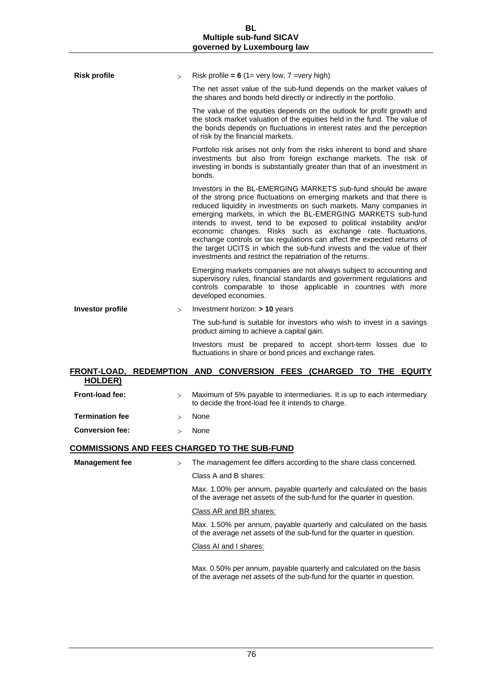| <b>Risk profile</b> | $\geq$ | Risk profile = $6(1)$ very low, $7$ =very high)                                                                                                                                                                                                                                                                                                                                                                                                                                                                                                                                                                                        |
|---------------------|--------|----------------------------------------------------------------------------------------------------------------------------------------------------------------------------------------------------------------------------------------------------------------------------------------------------------------------------------------------------------------------------------------------------------------------------------------------------------------------------------------------------------------------------------------------------------------------------------------------------------------------------------------|
|                     |        | The net asset value of the sub-fund depends on the market values of<br>the shares and bonds held directly or indirectly in the portfolio.                                                                                                                                                                                                                                                                                                                                                                                                                                                                                              |
|                     |        | The value of the equities depends on the outlook for profit growth and<br>the stock market valuation of the equities held in the fund. The value of<br>the bonds depends on fluctuations in interest rates and the perception<br>of risk by the financial markets.                                                                                                                                                                                                                                                                                                                                                                     |
|                     |        | Portfolio risk arises not only from the risks inherent to bond and share<br>investments but also from foreign exchange markets. The risk of<br>investing in bonds is substantially greater than that of an investment in<br>bonds.                                                                                                                                                                                                                                                                                                                                                                                                     |
|                     |        | Investors in the BL-EMERGING MARKETS sub-fund should be aware<br>of the strong price fluctuations on emerging markets and that there is<br>reduced liquidity in investments on such markets. Many companies in<br>emerging markets, in which the BL-EMERGING MARKETS sub-fund<br>intends to invest, tend to be exposed to political instability and/or<br>economic changes. Risks such as exchange rate fluctuations,<br>exchange controls or tax regulations can affect the expected returns of<br>the target UCITS in which the sub-fund invests and the value of their<br>investments and restrict the repatriation of the returns. |
|                     |        | Emerging markets companies are not always subject to accounting and<br>supervisory rules, financial standards and government regulations and<br>controls comparable to those applicable in countries with more<br>developed economies.                                                                                                                                                                                                                                                                                                                                                                                                 |
| Investor profile    | $\geq$ | Investment horizon: $> 10$ years                                                                                                                                                                                                                                                                                                                                                                                                                                                                                                                                                                                                       |
|                     |        | The sub-fund is suitable for investors who wish to invest in a savings<br>product aiming to achieve a capital gain.                                                                                                                                                                                                                                                                                                                                                                                                                                                                                                                    |

Investors must be prepared to accept short-term losses due to fluctuations in share or bond prices and exchange rates.

#### **FRONT-LOAD, REDEMPTION AND CONVERSION FEES (CHARGED TO THE EQUITY HOLDER)**

| <b>Front-load fee:</b> | Maximum of 5% payable to intermediaries. It is up to each intermediary<br>to decide the front-load fee it intends to charge. |
|------------------------|------------------------------------------------------------------------------------------------------------------------------|
| <b>Termination fee</b> | None                                                                                                                         |
| <b>Conversion fee:</b> | None                                                                                                                         |
|                        |                                                                                                                              |

# **COMMISSIONS AND FEES CHARGED TO THE SUB-FUND**

| <b>Management fee</b> | $\rightarrow$ | The management fee differs according to the share class concerned.                                                                            |
|-----------------------|---------------|-----------------------------------------------------------------------------------------------------------------------------------------------|
|                       |               | Class A and B shares:                                                                                                                         |
|                       |               | Max. 1.00% per annum, payable quarterly and calculated on the basis<br>of the average net assets of the sub-fund for the quarter in question. |
|                       |               | Class AR and BR shares:                                                                                                                       |
|                       |               | Max. 1.50% per annum, payable quarterly and calculated on the basis<br>of the average net assets of the sub-fund for the quarter in question. |
|                       |               | Class AI and I shares:                                                                                                                        |
|                       |               | Max. 0.50% per annum, payable quarterly and calculated on the basis<br>of the average net assets of the sub-fund for the quarter in question. |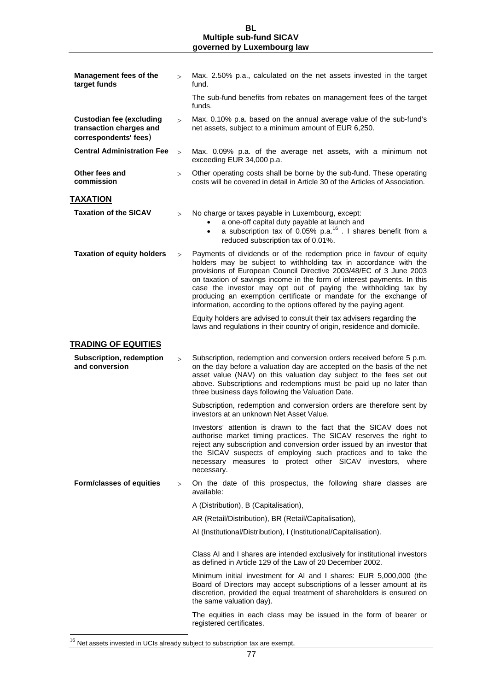| <b>Management fees of the</b><br>target funds                                       | $\geq$ | Max. 2.50% p.a., calculated on the net assets invested in the target<br>fund.                                                                                                                                                                                                                                                                                                                                                                                                                          |
|-------------------------------------------------------------------------------------|--------|--------------------------------------------------------------------------------------------------------------------------------------------------------------------------------------------------------------------------------------------------------------------------------------------------------------------------------------------------------------------------------------------------------------------------------------------------------------------------------------------------------|
|                                                                                     |        | The sub-fund benefits from rebates on management fees of the target<br>funds.                                                                                                                                                                                                                                                                                                                                                                                                                          |
| <b>Custodian fee (excluding</b><br>transaction charges and<br>correspondents' fees) | $\geq$ | Max. 0.10% p.a. based on the annual average value of the sub-fund's<br>net assets, subject to a minimum amount of EUR 6,250.                                                                                                                                                                                                                                                                                                                                                                           |
| <b>Central Administration Fee</b>                                                   | $\geq$ | Max. 0.09% p.a. of the average net assets, with a minimum not<br>exceeding EUR 34,000 p.a.                                                                                                                                                                                                                                                                                                                                                                                                             |
| Other fees and<br>commission                                                        | $\geq$ | Other operating costs shall be borne by the sub-fund. These operating<br>costs will be covered in detail in Article 30 of the Articles of Association.                                                                                                                                                                                                                                                                                                                                                 |
| <b>TAXATION</b>                                                                     |        |                                                                                                                                                                                                                                                                                                                                                                                                                                                                                                        |
| <b>Taxation of the SICAV</b>                                                        | $\geq$ | No charge or taxes payable in Luxembourg, except:<br>a one-off capital duty payable at launch and<br>a subscription tax of 0.05% p.a. <sup>16</sup> . I shares benefit from a<br>reduced subscription tax of 0.01%.                                                                                                                                                                                                                                                                                    |
| <b>Taxation of equity holders</b>                                                   | $\geq$ | Payments of dividends or of the redemption price in favour of equity<br>holders may be subject to withholding tax in accordance with the<br>provisions of European Council Directive 2003/48/EC of 3 June 2003<br>on taxation of savings income in the form of interest payments. In this<br>case the investor may opt out of paying the withholding tax by<br>producing an exemption certificate or mandate for the exchange of<br>information, according to the options offered by the paying agent. |
|                                                                                     |        | Equity holders are advised to consult their tax advisers regarding the<br>laws and regulations in their country of origin, residence and domicile.                                                                                                                                                                                                                                                                                                                                                     |
| <b>TRADING OF EQUITIES</b>                                                          |        |                                                                                                                                                                                                                                                                                                                                                                                                                                                                                                        |
| <b>Subscription, redemption</b><br>and conversion                                   | $\geq$ | Subscription, redemption and conversion orders received before 5 p.m.<br>on the day before a valuation day are accepted on the basis of the net<br>asset value (NAV) on this valuation day subject to the fees set out<br>above. Subscriptions and redemptions must be paid up no later than<br>three business days following the Valuation Date.                                                                                                                                                      |
|                                                                                     |        | Subscription, redemption and conversion orders are therefore sent by<br>investors at an unknown Net Asset Value.                                                                                                                                                                                                                                                                                                                                                                                       |
|                                                                                     |        | Investors' attention is drawn to the fact that the SICAV does not<br>authorise market timing practices. The SICAV reserves the right to<br>reject any subscription and conversion order issued by an investor that<br>the SICAV suspects of employing such practices and to take the<br>necessary measures to protect other SICAV investors, where<br>necessary.                                                                                                                                       |
| <b>Form/classes of equities</b>                                                     | $\geq$ | On the date of this prospectus, the following share classes are<br>available:                                                                                                                                                                                                                                                                                                                                                                                                                          |
|                                                                                     |        | A (Distribution), B (Capitalisation),                                                                                                                                                                                                                                                                                                                                                                                                                                                                  |
|                                                                                     |        | AR (Retail/Distribution), BR (Retail/Capitalisation),                                                                                                                                                                                                                                                                                                                                                                                                                                                  |
|                                                                                     |        | Al (Institutional/Distribution), I (Institutional/Capitalisation).                                                                                                                                                                                                                                                                                                                                                                                                                                     |
|                                                                                     |        | Class AI and I shares are intended exclusively for institutional investors<br>as defined in Article 129 of the Law of 20 December 2002.                                                                                                                                                                                                                                                                                                                                                                |
|                                                                                     |        | Minimum initial investment for AI and I shares: EUR 5,000,000 (the<br>Board of Directors may accept subscriptions of a lesser amount at its<br>discretion, provided the equal treatment of shareholders is ensured on<br>the same valuation day).                                                                                                                                                                                                                                                      |
|                                                                                     |        | The equities in each class may be issued in the form of bearer or<br>registered certificates.                                                                                                                                                                                                                                                                                                                                                                                                          |

 $16$  Net assets invested in UCIs already subject to subscription tax are exempt.

l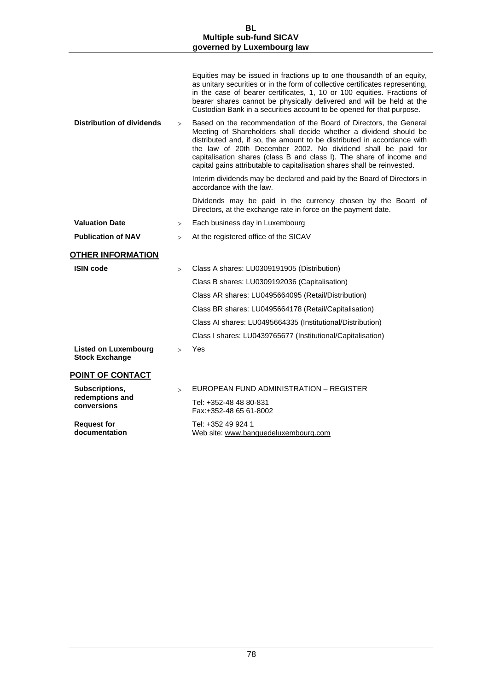|                                                      |        | Equities may be issued in fractions up to one thousand th of an equity,<br>as unitary securities or in the form of collective certificates representing,<br>in the case of bearer certificates, 1, 10 or 100 equities. Fractions of<br>bearer shares cannot be physically delivered and will be held at the<br>Custodian Bank in a securities account to be opened for that purpose.                                                   |
|------------------------------------------------------|--------|----------------------------------------------------------------------------------------------------------------------------------------------------------------------------------------------------------------------------------------------------------------------------------------------------------------------------------------------------------------------------------------------------------------------------------------|
| <b>Distribution of dividends</b>                     | >      | Based on the recommendation of the Board of Directors, the General<br>Meeting of Shareholders shall decide whether a dividend should be<br>distributed and, if so, the amount to be distributed in accordance with<br>the law of 20th December 2002. No dividend shall be paid for<br>capitalisation shares (class B and class I). The share of income and<br>capital gains attributable to capitalisation shares shall be reinvested. |
|                                                      |        | Interim dividends may be declared and paid by the Board of Directors in<br>accordance with the law.                                                                                                                                                                                                                                                                                                                                    |
|                                                      |        | Dividends may be paid in the currency chosen by the Board of<br>Directors, at the exchange rate in force on the payment date.                                                                                                                                                                                                                                                                                                          |
| <b>Valuation Date</b>                                | $\geq$ | Each business day in Luxembourg                                                                                                                                                                                                                                                                                                                                                                                                        |
| <b>Publication of NAV</b>                            | $\geq$ | At the registered office of the SICAV                                                                                                                                                                                                                                                                                                                                                                                                  |
| <b>OTHER INFORMATION</b>                             |        |                                                                                                                                                                                                                                                                                                                                                                                                                                        |
| <b>ISIN code</b>                                     | >      | Class A shares: LU0309191905 (Distribution)                                                                                                                                                                                                                                                                                                                                                                                            |
|                                                      |        | Class B shares: LU0309192036 (Capitalisation)                                                                                                                                                                                                                                                                                                                                                                                          |
|                                                      |        | Class AR shares: LU0495664095 (Retail/Distribution)                                                                                                                                                                                                                                                                                                                                                                                    |
|                                                      |        | Class BR shares: LU0495664178 (Retail/Capitalisation)                                                                                                                                                                                                                                                                                                                                                                                  |
|                                                      |        | Class AI shares: LU0495664335 (Institutional/Distribution)                                                                                                                                                                                                                                                                                                                                                                             |
|                                                      |        | Class I shares: LU0439765677 (Institutional/Capitalisation)                                                                                                                                                                                                                                                                                                                                                                            |
| <b>Listed on Luxembourg</b><br><b>Stock Exchange</b> | $\geq$ | Yes                                                                                                                                                                                                                                                                                                                                                                                                                                    |
| <b>POINT OF CONTACT</b>                              |        |                                                                                                                                                                                                                                                                                                                                                                                                                                        |
| Subscriptions,                                       | $\geq$ | EUROPEAN FUND ADMINISTRATION - REGISTER                                                                                                                                                                                                                                                                                                                                                                                                |
| redemptions and<br>conversions                       |        | Tel: +352-48 48 80-831<br>Fax:+352-48 65 61-8002                                                                                                                                                                                                                                                                                                                                                                                       |
| <b>Request for</b><br>documentation                  |        | Tel: +352 49 924 1<br>Web site: www.banquedeluxembourg.com                                                                                                                                                                                                                                                                                                                                                                             |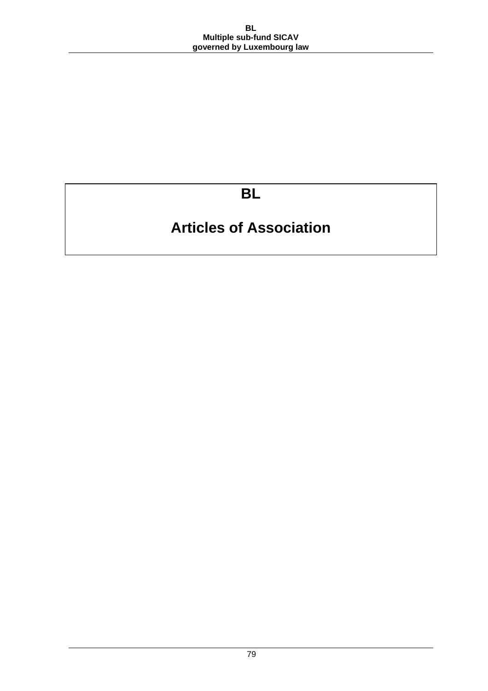# **BL**

# **Articles of Association**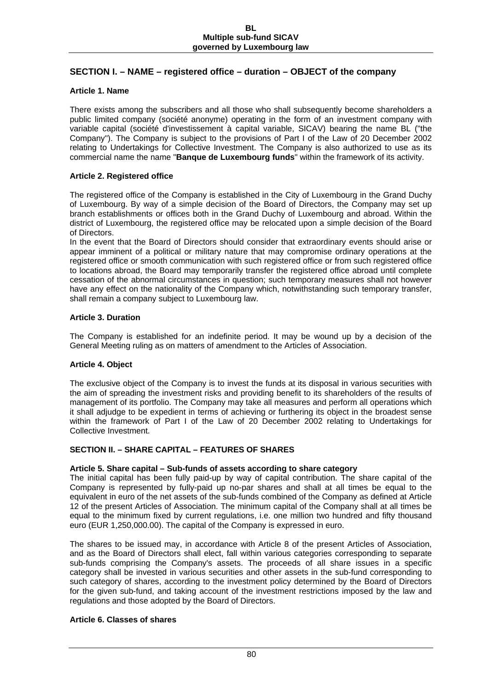# **SECTION I. – NAME – registered office – duration – OBJECT of the company**

# **Article 1. Name**

There exists among the subscribers and all those who shall subsequently become shareholders a public limited company (société anonyme) operating in the form of an investment company with variable capital (société d'investissement à capital variable, SICAV) bearing the name BL ("the Company"). The Company is subject to the provisions of Part I of the Law of 20 December 2002 relating to Undertakings for Collective Investment. The Company is also authorized to use as its commercial name the name "**Banque de Luxembourg funds**" within the framework of its activity.

# **Article 2. Registered office**

The registered office of the Company is established in the City of Luxembourg in the Grand Duchy of Luxembourg. By way of a simple decision of the Board of Directors, the Company may set up branch establishments or offices both in the Grand Duchy of Luxembourg and abroad. Within the district of Luxembourg, the registered office may be relocated upon a simple decision of the Board of Directors.

In the event that the Board of Directors should consider that extraordinary events should arise or appear imminent of a political or military nature that may compromise ordinary operations at the registered office or smooth communication with such registered office or from such registered office to locations abroad, the Board may temporarily transfer the registered office abroad until complete cessation of the abnormal circumstances in question; such temporary measures shall not however have any effect on the nationality of the Company which, notwithstanding such temporary transfer, shall remain a company subject to Luxembourg law.

# **Article 3. Duration**

The Company is established for an indefinite period. It may be wound up by a decision of the General Meeting ruling as on matters of amendment to the Articles of Association.

# **Article 4. Object**

The exclusive object of the Company is to invest the funds at its disposal in various securities with the aim of spreading the investment risks and providing benefit to its shareholders of the results of management of its portfolio. The Company may take all measures and perform all operations which it shall adjudge to be expedient in terms of achieving or furthering its object in the broadest sense within the framework of Part I of the Law of 20 December 2002 relating to Undertakings for Collective Investment.

# **SECTION II. – SHARE CAPITAL – FEATURES OF SHARES**

# **Article 5. Share capital – Sub-funds of assets according to share category**

The initial capital has been fully paid-up by way of capital contribution. The share capital of the Company is represented by fully-paid up no-par shares and shall at all times be equal to the equivalent in euro of the net assets of the sub-funds combined of the Company as defined at Article 12 of the present Articles of Association. The minimum capital of the Company shall at all times be equal to the minimum fixed by current regulations, i.e. one million two hundred and fifty thousand euro (EUR 1,250,000.00). The capital of the Company is expressed in euro.

The shares to be issued may, in accordance with Article 8 of the present Articles of Association, and as the Board of Directors shall elect, fall within various categories corresponding to separate sub-funds comprising the Company's assets. The proceeds of all share issues in a specific category shall be invested in various securities and other assets in the sub-fund corresponding to such category of shares, according to the investment policy determined by the Board of Directors for the given sub-fund, and taking account of the investment restrictions imposed by the law and regulations and those adopted by the Board of Directors.

# **Article 6. Classes of shares**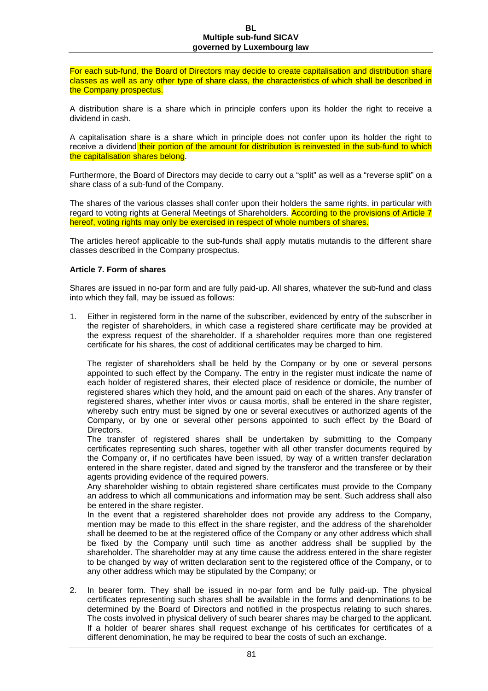For each sub-fund, the Board of Directors may decide to create capitalisation and distribution share classes as well as any other type of share class, the characteristics of which shall be described in the Company prospectus.

A distribution share is a share which in principle confers upon its holder the right to receive a dividend in cash.

A capitalisation share is a share which in principle does not confer upon its holder the right to receive a dividend their portion of the amount for distribution is reinvested in the sub-fund to which the capitalisation shares belong.

Furthermore, the Board of Directors may decide to carry out a "split" as well as a "reverse split" on a share class of a sub-fund of the Company.

The shares of the various classes shall confer upon their holders the same rights, in particular with regard to voting rights at General Meetings of Shareholders. According to the provisions of Article 7 hereof, voting rights may only be exercised in respect of whole numbers of shares.

The articles hereof applicable to the sub-funds shall apply mutatis mutandis to the different share classes described in the Company prospectus.

#### **Article 7. Form of shares**

Shares are issued in no-par form and are fully paid-up. All shares, whatever the sub-fund and class into which they fall, may be issued as follows:

1. Either in registered form in the name of the subscriber, evidenced by entry of the subscriber in the register of shareholders, in which case a registered share certificate may be provided at the express request of the shareholder. If a shareholder requires more than one registered certificate for his shares, the cost of additional certificates may be charged to him.

The register of shareholders shall be held by the Company or by one or several persons appointed to such effect by the Company. The entry in the register must indicate the name of each holder of registered shares, their elected place of residence or domicile, the number of registered shares which they hold, and the amount paid on each of the shares. Any transfer of registered shares, whether inter vivos or causa mortis, shall be entered in the share register, whereby such entry must be signed by one or several executives or authorized agents of the Company, or by one or several other persons appointed to such effect by the Board of Directors.

The transfer of registered shares shall be undertaken by submitting to the Company certificates representing such shares, together with all other transfer documents required by the Company or, if no certificates have been issued, by way of a written transfer declaration entered in the share register, dated and signed by the transferor and the transferee or by their agents providing evidence of the required powers.

Any shareholder wishing to obtain registered share certificates must provide to the Company an address to which all communications and information may be sent. Such address shall also be entered in the share register.

In the event that a registered shareholder does not provide any address to the Company, mention may be made to this effect in the share register, and the address of the shareholder shall be deemed to be at the registered office of the Company or any other address which shall be fixed by the Company until such time as another address shall be supplied by the shareholder. The shareholder may at any time cause the address entered in the share register to be changed by way of written declaration sent to the registered office of the Company, or to any other address which may be stipulated by the Company; or

2. In bearer form. They shall be issued in no-par form and be fully paid-up. The physical certificates representing such shares shall be available in the forms and denominations to be determined by the Board of Directors and notified in the prospectus relating to such shares. The costs involved in physical delivery of such bearer shares may be charged to the applicant. If a holder of bearer shares shall request exchange of his certificates for certificates of a different denomination, he may be required to bear the costs of such an exchange.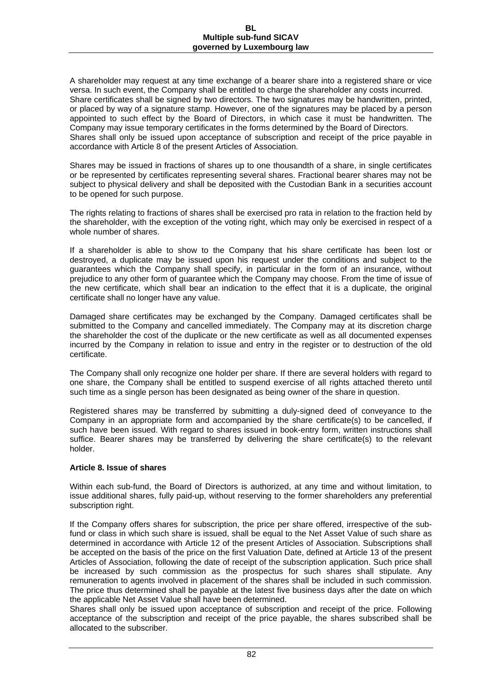A shareholder may request at any time exchange of a bearer share into a registered share or vice versa. In such event, the Company shall be entitled to charge the shareholder any costs incurred. Share certificates shall be signed by two directors. The two signatures may be handwritten, printed, or placed by way of a signature stamp. However, one of the signatures may be placed by a person appointed to such effect by the Board of Directors, in which case it must be handwritten. The Company may issue temporary certificates in the forms determined by the Board of Directors. Shares shall only be issued upon acceptance of subscription and receipt of the price payable in accordance with Article 8 of the present Articles of Association.

Shares may be issued in fractions of shares up to one thousandth of a share, in single certificates or be represented by certificates representing several shares. Fractional bearer shares may not be subject to physical delivery and shall be deposited with the Custodian Bank in a securities account to be opened for such purpose.

The rights relating to fractions of shares shall be exercised pro rata in relation to the fraction held by the shareholder, with the exception of the voting right, which may only be exercised in respect of a whole number of shares.

If a shareholder is able to show to the Company that his share certificate has been lost or destroyed, a duplicate may be issued upon his request under the conditions and subject to the guarantees which the Company shall specify, in particular in the form of an insurance, without prejudice to any other form of guarantee which the Company may choose. From the time of issue of the new certificate, which shall bear an indication to the effect that it is a duplicate, the original certificate shall no longer have any value.

Damaged share certificates may be exchanged by the Company. Damaged certificates shall be submitted to the Company and cancelled immediately. The Company may at its discretion charge the shareholder the cost of the duplicate or the new certificate as well as all documented expenses incurred by the Company in relation to issue and entry in the register or to destruction of the old certificate.

The Company shall only recognize one holder per share. If there are several holders with regard to one share, the Company shall be entitled to suspend exercise of all rights attached thereto until such time as a single person has been designated as being owner of the share in question.

Registered shares may be transferred by submitting a duly-signed deed of conveyance to the Company in an appropriate form and accompanied by the share certificate(s) to be cancelled, if such have been issued. With regard to shares issued in book-entry form, written instructions shall suffice. Bearer shares may be transferred by delivering the share certificate(s) to the relevant holder.

# **Article 8. Issue of shares**

Within each sub-fund, the Board of Directors is authorized, at any time and without limitation, to issue additional shares, fully paid-up, without reserving to the former shareholders any preferential subscription right.

If the Company offers shares for subscription, the price per share offered, irrespective of the subfund or class in which such share is issued, shall be equal to the Net Asset Value of such share as determined in accordance with Article 12 of the present Articles of Association. Subscriptions shall be accepted on the basis of the price on the first Valuation Date, defined at Article 13 of the present Articles of Association, following the date of receipt of the subscription application. Such price shall be increased by such commission as the prospectus for such shares shall stipulate. Any remuneration to agents involved in placement of the shares shall be included in such commission. The price thus determined shall be payable at the latest five business days after the date on which the applicable Net Asset Value shall have been determined.

Shares shall only be issued upon acceptance of subscription and receipt of the price. Following acceptance of the subscription and receipt of the price payable, the shares subscribed shall be allocated to the subscriber.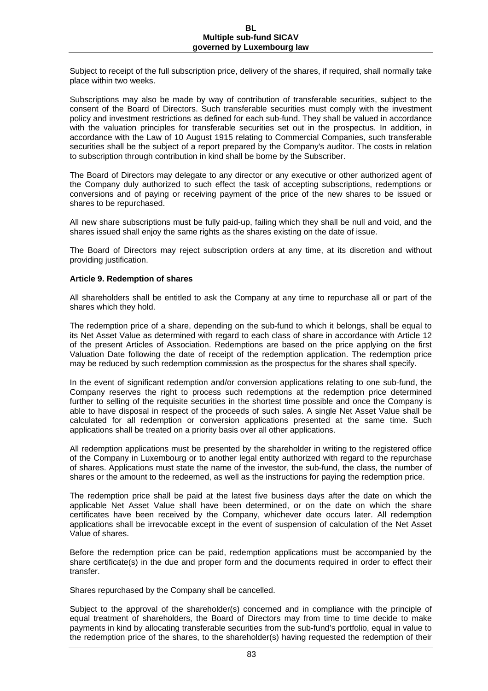Subject to receipt of the full subscription price, delivery of the shares, if required, shall normally take place within two weeks.

Subscriptions may also be made by way of contribution of transferable securities, subject to the consent of the Board of Directors. Such transferable securities must comply with the investment policy and investment restrictions as defined for each sub-fund. They shall be valued in accordance with the valuation principles for transferable securities set out in the prospectus. In addition, in accordance with the Law of 10 August 1915 relating to Commercial Companies, such transferable securities shall be the subject of a report prepared by the Company's auditor. The costs in relation to subscription through contribution in kind shall be borne by the Subscriber.

The Board of Directors may delegate to any director or any executive or other authorized agent of the Company duly authorized to such effect the task of accepting subscriptions, redemptions or conversions and of paying or receiving payment of the price of the new shares to be issued or shares to be repurchased.

All new share subscriptions must be fully paid-up, failing which they shall be null and void, and the shares issued shall enjoy the same rights as the shares existing on the date of issue.

The Board of Directors may reject subscription orders at any time, at its discretion and without providing justification.

#### **Article 9. Redemption of shares**

All shareholders shall be entitled to ask the Company at any time to repurchase all or part of the shares which they hold.

The redemption price of a share, depending on the sub-fund to which it belongs, shall be equal to its Net Asset Value as determined with regard to each class of share in accordance with Article 12 of the present Articles of Association. Redemptions are based on the price applying on the first Valuation Date following the date of receipt of the redemption application. The redemption price may be reduced by such redemption commission as the prospectus for the shares shall specify.

In the event of significant redemption and/or conversion applications relating to one sub-fund, the Company reserves the right to process such redemptions at the redemption price determined further to selling of the requisite securities in the shortest time possible and once the Company is able to have disposal in respect of the proceeds of such sales. A single Net Asset Value shall be calculated for all redemption or conversion applications presented at the same time. Such applications shall be treated on a priority basis over all other applications.

All redemption applications must be presented by the shareholder in writing to the registered office of the Company in Luxembourg or to another legal entity authorized with regard to the repurchase of shares. Applications must state the name of the investor, the sub-fund, the class, the number of shares or the amount to the redeemed, as well as the instructions for paying the redemption price.

The redemption price shall be paid at the latest five business days after the date on which the applicable Net Asset Value shall have been determined, or on the date on which the share certificates have been received by the Company, whichever date occurs later. All redemption applications shall be irrevocable except in the event of suspension of calculation of the Net Asset Value of shares.

Before the redemption price can be paid, redemption applications must be accompanied by the share certificate(s) in the due and proper form and the documents required in order to effect their transfer.

Shares repurchased by the Company shall be cancelled.

Subject to the approval of the shareholder(s) concerned and in compliance with the principle of equal treatment of shareholders, the Board of Directors may from time to time decide to make payments in kind by allocating transferable securities from the sub-fund's portfolio, equal in value to the redemption price of the shares, to the shareholder(s) having requested the redemption of their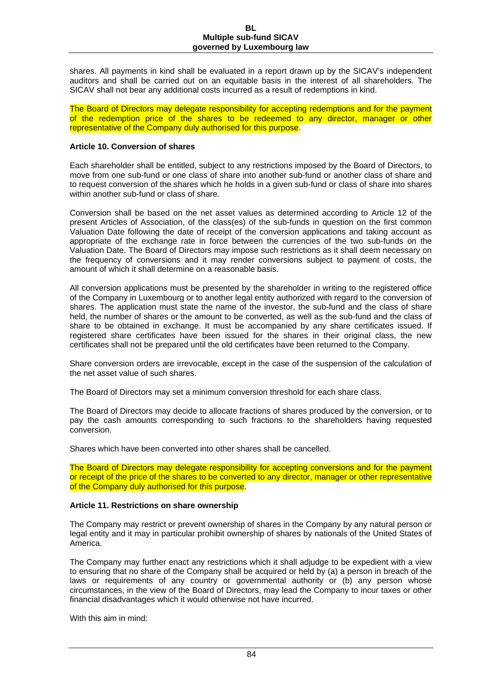shares. All payments in kind shall be evaluated in a report drawn up by the SICAV's independent auditors and shall be carried out on an equitable basis in the interest of all shareholders. The SICAV shall not bear any additional costs incurred as a result of redemptions in kind.

The Board of Directors may delegate responsibility for accepting redemptions and for the payment of the redemption price of the shares to be redeemed to any director, manager or other representative of the Company duly authorised for this purpose.

#### **Article 10. Conversion of shares**

Each shareholder shall be entitled, subject to any restrictions imposed by the Board of Directors, to move from one sub-fund or one class of share into another sub-fund or another class of share and to request conversion of the shares which he holds in a given sub-fund or class of share into shares within another sub-fund or class of share.

Conversion shall be based on the net asset values as determined according to Article 12 of the present Articles of Association, of the class(es) of the sub-funds in question on the first common Valuation Date following the date of receipt of the conversion applications and taking account as appropriate of the exchange rate in force between the currencies of the two sub-funds on the Valuation Date. The Board of Directors may impose such restrictions as it shall deem necessary on the frequency of conversions and it may render conversions subject to payment of costs, the amount of which it shall determine on a reasonable basis.

All conversion applications must be presented by the shareholder in writing to the registered office of the Company in Luxembourg or to another legal entity authorized with regard to the conversion of shares. The application must state the name of the investor, the sub-fund and the class of share held, the number of shares or the amount to be converted, as well as the sub-fund and the class of share to be obtained in exchange. It must be accompanied by any share certificates issued. If registered share certificates have been issued for the shares in their original class, the new certificates shall not be prepared until the old certificates have been returned to the Company.

Share conversion orders are irrevocable, except in the case of the suspension of the calculation of the net asset value of such shares.

The Board of Directors may set a minimum conversion threshold for each share class.

The Board of Directors may decide to allocate fractions of shares produced by the conversion, or to pay the cash amounts corresponding to such fractions to the shareholders having requested conversion.

Shares which have been converted into other shares shall be cancelled.

The Board of Directors may delegate responsibility for accepting conversions and for the payment or receipt of the price of the shares to be converted to any director, manager or other representative of the Company duly authorised for this purpose.

#### **Article 11. Restrictions on share ownership**

The Company may restrict or prevent ownership of shares in the Company by any natural person or legal entity and it may in particular prohibit ownership of shares by nationals of the United States of America.

The Company may further enact any restrictions which it shall adjudge to be expedient with a view to ensuring that no share of the Company shall be acquired or held by (a) a person in breach of the laws or requirements of any country or governmental authority or (b) any person whose circumstances, in the view of the Board of Directors, may lead the Company to incur taxes or other financial disadvantages which it would otherwise not have incurred.

With this aim in mind: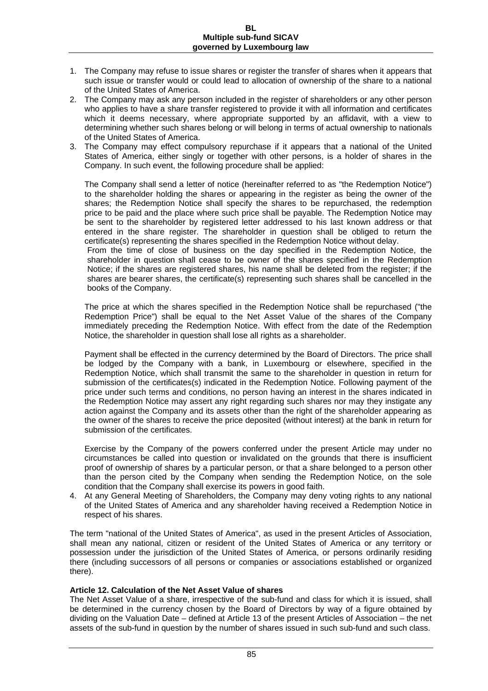- 1. The Company may refuse to issue shares or register the transfer of shares when it appears that such issue or transfer would or could lead to allocation of ownership of the share to a national of the United States of America.
- 2. The Company may ask any person included in the register of shareholders or any other person who applies to have a share transfer registered to provide it with all information and certificates which it deems necessary, where appropriate supported by an affidavit, with a view to determining whether such shares belong or will belong in terms of actual ownership to nationals of the United States of America.
- 3. The Company may effect compulsory repurchase if it appears that a national of the United States of America, either singly or together with other persons, is a holder of shares in the Company. In such event, the following procedure shall be applied:

The Company shall send a letter of notice (hereinafter referred to as "the Redemption Notice") to the shareholder holding the shares or appearing in the register as being the owner of the shares; the Redemption Notice shall specify the shares to be repurchased, the redemption price to be paid and the place where such price shall be payable. The Redemption Notice may be sent to the shareholder by registered letter addressed to his last known address or that entered in the share register. The shareholder in question shall be obliged to return the certificate(s) representing the shares specified in the Redemption Notice without delay.

From the time of close of business on the day specified in the Redemption Notice, the shareholder in question shall cease to be owner of the shares specified in the Redemption Notice; if the shares are registered shares, his name shall be deleted from the register; if the shares are bearer shares, the certificate(s) representing such shares shall be cancelled in the books of the Company.

The price at which the shares specified in the Redemption Notice shall be repurchased ("the Redemption Price") shall be equal to the Net Asset Value of the shares of the Company immediately preceding the Redemption Notice. With effect from the date of the Redemption Notice, the shareholder in question shall lose all rights as a shareholder.

Payment shall be effected in the currency determined by the Board of Directors. The price shall be lodged by the Company with a bank, in Luxembourg or elsewhere, specified in the Redemption Notice, which shall transmit the same to the shareholder in question in return for submission of the certificates(s) indicated in the Redemption Notice. Following payment of the price under such terms and conditions, no person having an interest in the shares indicated in the Redemption Notice may assert any right regarding such shares nor may they instigate any action against the Company and its assets other than the right of the shareholder appearing as the owner of the shares to receive the price deposited (without interest) at the bank in return for submission of the certificates.

Exercise by the Company of the powers conferred under the present Article may under no circumstances be called into question or invalidated on the grounds that there is insufficient proof of ownership of shares by a particular person, or that a share belonged to a person other than the person cited by the Company when sending the Redemption Notice, on the sole condition that the Company shall exercise its powers in good faith.

4. At any General Meeting of Shareholders, the Company may deny voting rights to any national of the United States of America and any shareholder having received a Redemption Notice in respect of his shares.

The term "national of the United States of America", as used in the present Articles of Association, shall mean any national, citizen or resident of the United States of America or any territory or possession under the jurisdiction of the United States of America, or persons ordinarily residing there (including successors of all persons or companies or associations established or organized there).

# **Article 12. Calculation of the Net Asset Value of shares**

The Net Asset Value of a share, irrespective of the sub-fund and class for which it is issued, shall be determined in the currency chosen by the Board of Directors by way of a figure obtained by dividing on the Valuation Date – defined at Article 13 of the present Articles of Association – the net assets of the sub-fund in question by the number of shares issued in such sub-fund and such class.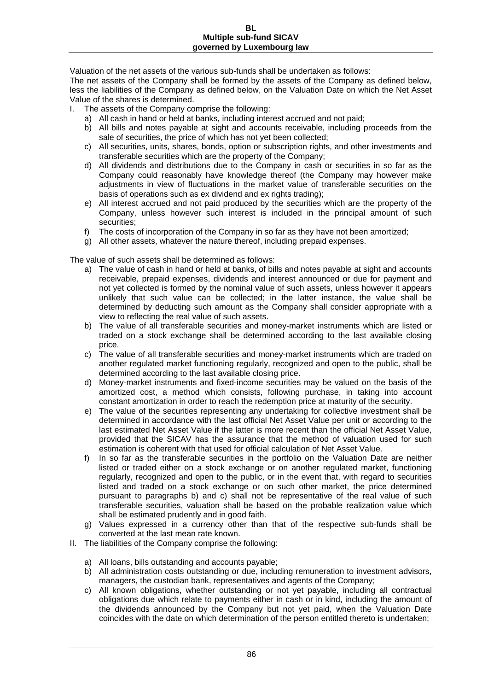Valuation of the net assets of the various sub-funds shall be undertaken as follows:

The net assets of the Company shall be formed by the assets of the Company as defined below, less the liabilities of the Company as defined below, on the Valuation Date on which the Net Asset Value of the shares is determined.

- I. The assets of the Company comprise the following:
	- a) All cash in hand or held at banks, including interest accrued and not paid;
	- b) All bills and notes payable at sight and accounts receivable, including proceeds from the sale of securities, the price of which has not yet been collected;
	- c) All securities, units, shares, bonds, option or subscription rights, and other investments and transferable securities which are the property of the Company;
	- d) All dividends and distributions due to the Company in cash or securities in so far as the Company could reasonably have knowledge thereof (the Company may however make adjustments in view of fluctuations in the market value of transferable securities on the basis of operations such as ex dividend and ex rights trading);
	- e) All interest accrued and not paid produced by the securities which are the property of the Company, unless however such interest is included in the principal amount of such securities;
	- f) The costs of incorporation of the Company in so far as they have not been amortized;
	- g) All other assets, whatever the nature thereof, including prepaid expenses.

The value of such assets shall be determined as follows:

- a) The value of cash in hand or held at banks, of bills and notes payable at sight and accounts receivable, prepaid expenses, dividends and interest announced or due for payment and not yet collected is formed by the nominal value of such assets, unless however it appears unlikely that such value can be collected; in the latter instance, the value shall be determined by deducting such amount as the Company shall consider appropriate with a view to reflecting the real value of such assets.
- b) The value of all transferable securities and money-market instruments which are listed or traded on a stock exchange shall be determined according to the last available closing price.
- c) The value of all transferable securities and money-market instruments which are traded on another regulated market functioning regularly, recognized and open to the public, shall be determined according to the last available closing price.
- d) Money-market instruments and fixed-income securities may be valued on the basis of the amortized cost, a method which consists, following purchase, in taking into account constant amortization in order to reach the redemption price at maturity of the security.
- e) The value of the securities representing any undertaking for collective investment shall be determined in accordance with the last official Net Asset Value per unit or according to the last estimated Net Asset Value if the latter is more recent than the official Net Asset Value, provided that the SICAV has the assurance that the method of valuation used for such estimation is coherent with that used for official calculation of Net Asset Value.
- f) In so far as the transferable securities in the portfolio on the Valuation Date are neither listed or traded either on a stock exchange or on another regulated market, functioning regularly, recognized and open to the public, or in the event that, with regard to securities listed and traded on a stock exchange or on such other market, the price determined pursuant to paragraphs b) and c) shall not be representative of the real value of such transferable securities, valuation shall be based on the probable realization value which shall be estimated prudently and in good faith.
- g) Values expressed in a currency other than that of the respective sub-funds shall be converted at the last mean rate known.
- II. The liabilities of the Company comprise the following:
	- a) All loans, bills outstanding and accounts payable;
	- b) All administration costs outstanding or due, including remuneration to investment advisors, managers, the custodian bank, representatives and agents of the Company;
	- c) All known obligations, whether outstanding or not yet payable, including all contractual obligations due which relate to payments either in cash or in kind, including the amount of the dividends announced by the Company but not yet paid, when the Valuation Date coincides with the date on which determination of the person entitled thereto is undertaken;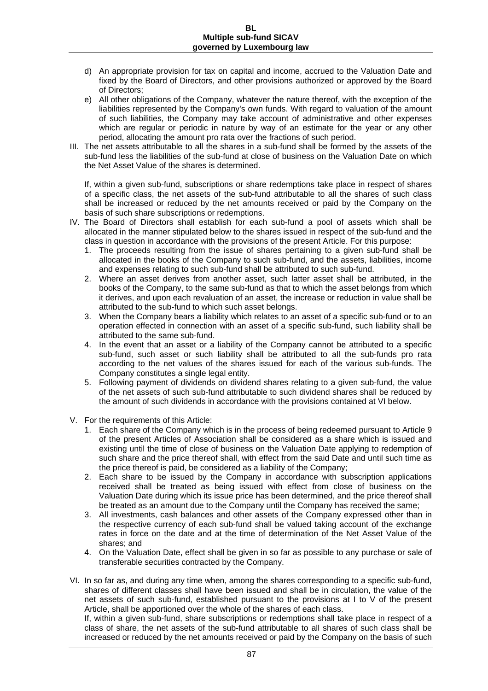- d) An appropriate provision for tax on capital and income, accrued to the Valuation Date and fixed by the Board of Directors, and other provisions authorized or approved by the Board of Directors;
- e) All other obligations of the Company, whatever the nature thereof, with the exception of the liabilities represented by the Company's own funds. With regard to valuation of the amount of such liabilities, the Company may take account of administrative and other expenses which are regular or periodic in nature by way of an estimate for the year or any other period, allocating the amount pro rata over the fractions of such period.
- III. The net assets attributable to all the shares in a sub-fund shall be formed by the assets of the sub-fund less the liabilities of the sub-fund at close of business on the Valuation Date on which the Net Asset Value of the shares is determined.

If, within a given sub-fund, subscriptions or share redemptions take place in respect of shares of a specific class, the net assets of the sub-fund attributable to all the shares of such class shall be increased or reduced by the net amounts received or paid by the Company on the basis of such share subscriptions or redemptions.

- IV. The Board of Directors shall establish for each sub-fund a pool of assets which shall be allocated in the manner stipulated below to the shares issued in respect of the sub-fund and the class in question in accordance with the provisions of the present Article. For this purpose:
	- 1. The proceeds resulting from the issue of shares pertaining to a given sub-fund shall be allocated in the books of the Company to such sub-fund, and the assets, liabilities, income and expenses relating to such sub-fund shall be attributed to such sub-fund.
	- 2. Where an asset derives from another asset, such latter asset shall be attributed, in the books of the Company, to the same sub-fund as that to which the asset belongs from which it derives, and upon each revaluation of an asset, the increase or reduction in value shall be attributed to the sub-fund to which such asset belongs.
	- 3. When the Company bears a liability which relates to an asset of a specific sub-fund or to an operation effected in connection with an asset of a specific sub-fund, such liability shall be attributed to the same sub-fund.
	- 4. In the event that an asset or a liability of the Company cannot be attributed to a specific sub-fund, such asset or such liability shall be attributed to all the sub-funds pro rata according to the net values of the shares issued for each of the various sub-funds. The Company constitutes a single legal entity.
	- 5. Following payment of dividends on dividend shares relating to a given sub-fund, the value of the net assets of such sub-fund attributable to such dividend shares shall be reduced by the amount of such dividends in accordance with the provisions contained at VI below.
- V. For the requirements of this Article:
	- 1. Each share of the Company which is in the process of being redeemed pursuant to Article 9 of the present Articles of Association shall be considered as a share which is issued and existing until the time of close of business on the Valuation Date applying to redemption of such share and the price thereof shall, with effect from the said Date and until such time as the price thereof is paid, be considered as a liability of the Company;
	- 2. Each share to be issued by the Company in accordance with subscription applications received shall be treated as being issued with effect from close of business on the Valuation Date during which its issue price has been determined, and the price thereof shall be treated as an amount due to the Company until the Company has received the same;
	- 3. All investments, cash balances and other assets of the Company expressed other than in the respective currency of each sub-fund shall be valued taking account of the exchange rates in force on the date and at the time of determination of the Net Asset Value of the shares; and
	- 4. On the Valuation Date, effect shall be given in so far as possible to any purchase or sale of transferable securities contracted by the Company.
- VI. In so far as, and during any time when, among the shares corresponding to a specific sub-fund, shares of different classes shall have been issued and shall be in circulation, the value of the net assets of such sub-fund, established pursuant to the provisions at I to V of the present Article, shall be apportioned over the whole of the shares of each class.

If, within a given sub-fund, share subscriptions or redemptions shall take place in respect of a class of share, the net assets of the sub-fund attributable to all shares of such class shall be increased or reduced by the net amounts received or paid by the Company on the basis of such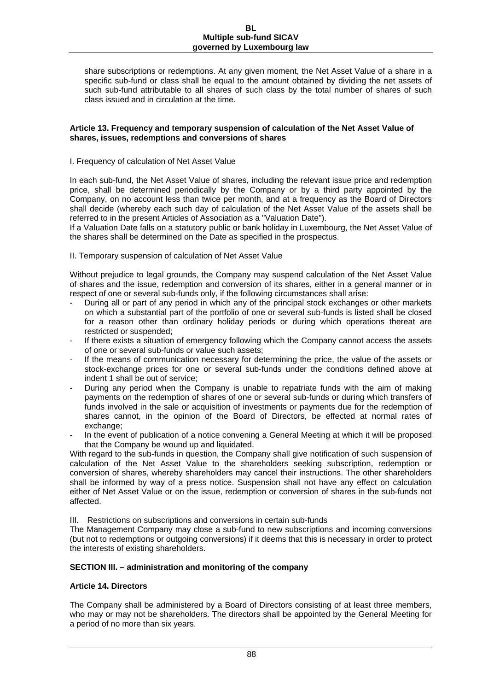share subscriptions or redemptions. At any given moment, the Net Asset Value of a share in a specific sub-fund or class shall be equal to the amount obtained by dividing the net assets of such sub-fund attributable to all shares of such class by the total number of shares of such class issued and in circulation at the time.

#### **Article 13. Frequency and temporary suspension of calculation of the Net Asset Value of shares, issues, redemptions and conversions of shares**

#### I. Frequency of calculation of Net Asset Value

In each sub-fund, the Net Asset Value of shares, including the relevant issue price and redemption price, shall be determined periodically by the Company or by a third party appointed by the Company, on no account less than twice per month, and at a frequency as the Board of Directors shall decide (whereby each such day of calculation of the Net Asset Value of the assets shall be referred to in the present Articles of Association as a "Valuation Date").

If a Valuation Date falls on a statutory public or bank holiday in Luxembourg, the Net Asset Value of the shares shall be determined on the Date as specified in the prospectus.

#### II. Temporary suspension of calculation of Net Asset Value

Without prejudice to legal grounds, the Company may suspend calculation of the Net Asset Value of shares and the issue, redemption and conversion of its shares, either in a general manner or in respect of one or several sub-funds only, if the following circumstances shall arise:

- During all or part of any period in which any of the principal stock exchanges or other markets on which a substantial part of the portfolio of one or several sub-funds is listed shall be closed for a reason other than ordinary holiday periods or during which operations thereat are restricted or suspended;
- If there exists a situation of emergency following which the Company cannot access the assets of one or several sub-funds or value such assets;
- If the means of communication necessary for determining the price, the value of the assets or stock-exchange prices for one or several sub-funds under the conditions defined above at indent 1 shall be out of service;
- During any period when the Company is unable to repatriate funds with the aim of making payments on the redemption of shares of one or several sub-funds or during which transfers of funds involved in the sale or acquisition of investments or payments due for the redemption of shares cannot, in the opinion of the Board of Directors, be effected at normal rates of exchange;
- In the event of publication of a notice convening a General Meeting at which it will be proposed that the Company be wound up and liquidated.

With regard to the sub-funds in question, the Company shall give notification of such suspension of calculation of the Net Asset Value to the shareholders seeking subscription, redemption or conversion of shares, whereby shareholders may cancel their instructions. The other shareholders shall be informed by way of a press notice. Suspension shall not have any effect on calculation either of Net Asset Value or on the issue, redemption or conversion of shares in the sub-funds not affected.

III. Restrictions on subscriptions and conversions in certain sub-funds

The Management Company may close a sub-fund to new subscriptions and incoming conversions (but not to redemptions or outgoing conversions) if it deems that this is necessary in order to protect the interests of existing shareholders.

# **SECTION III. – administration and monitoring of the company**

#### **Article 14. Directors**

The Company shall be administered by a Board of Directors consisting of at least three members, who may or may not be shareholders. The directors shall be appointed by the General Meeting for a period of no more than six years.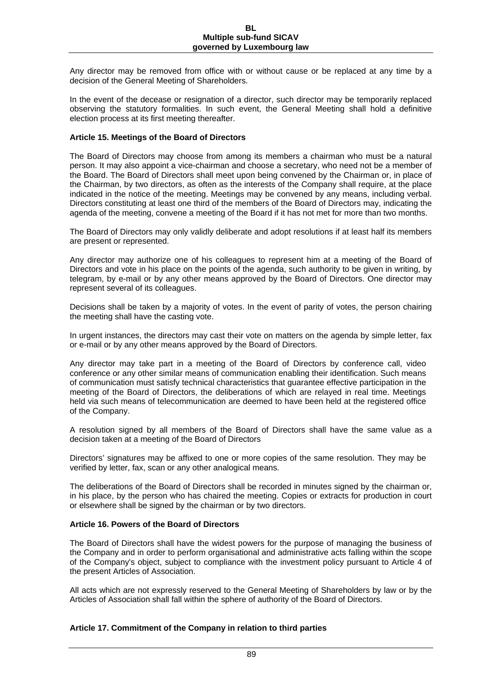Any director may be removed from office with or without cause or be replaced at any time by a decision of the General Meeting of Shareholders.

In the event of the decease or resignation of a director, such director may be temporarily replaced observing the statutory formalities. In such event, the General Meeting shall hold a definitive election process at its first meeting thereafter.

#### **Article 15. Meetings of the Board of Directors**

The Board of Directors may choose from among its members a chairman who must be a natural person. It may also appoint a vice-chairman and choose a secretary, who need not be a member of the Board. The Board of Directors shall meet upon being convened by the Chairman or, in place of the Chairman, by two directors, as often as the interests of the Company shall require, at the place indicated in the notice of the meeting. Meetings may be convened by any means, including verbal. Directors constituting at least one third of the members of the Board of Directors may, indicating the agenda of the meeting, convene a meeting of the Board if it has not met for more than two months.

The Board of Directors may only validly deliberate and adopt resolutions if at least half its members are present or represented.

Any director may authorize one of his colleagues to represent him at a meeting of the Board of Directors and vote in his place on the points of the agenda, such authority to be given in writing, by telegram, by e-mail or by any other means approved by the Board of Directors. One director may represent several of its colleagues.

Decisions shall be taken by a majority of votes. In the event of parity of votes, the person chairing the meeting shall have the casting vote.

In urgent instances, the directors may cast their vote on matters on the agenda by simple letter, fax or e-mail or by any other means approved by the Board of Directors.

Any director may take part in a meeting of the Board of Directors by conference call, video conference or any other similar means of communication enabling their identification. Such means of communication must satisfy technical characteristics that guarantee effective participation in the meeting of the Board of Directors, the deliberations of which are relayed in real time. Meetings held via such means of telecommunication are deemed to have been held at the registered office of the Company.

A resolution signed by all members of the Board of Directors shall have the same value as a decision taken at a meeting of the Board of Directors

Directors' signatures may be affixed to one or more copies of the same resolution. They may be verified by letter, fax, scan or any other analogical means.

The deliberations of the Board of Directors shall be recorded in minutes signed by the chairman or, in his place, by the person who has chaired the meeting. Copies or extracts for production in court or elsewhere shall be signed by the chairman or by two directors.

#### **Article 16. Powers of the Board of Directors**

The Board of Directors shall have the widest powers for the purpose of managing the business of the Company and in order to perform organisational and administrative acts falling within the scope of the Company's object, subject to compliance with the investment policy pursuant to Article 4 of the present Articles of Association.

All acts which are not expressly reserved to the General Meeting of Shareholders by law or by the Articles of Association shall fall within the sphere of authority of the Board of Directors.

# **Article 17. Commitment of the Company in relation to third parties**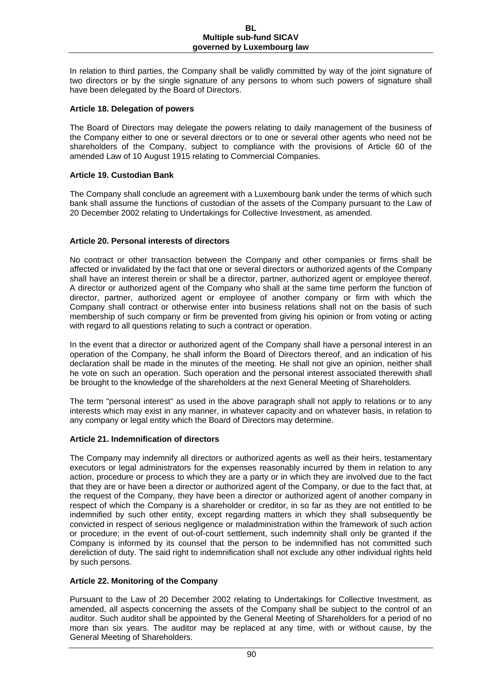In relation to third parties, the Company shall be validly committed by way of the joint signature of two directors or by the single signature of any persons to whom such powers of signature shall have been delegated by the Board of Directors.

#### **Article 18. Delegation of powers**

The Board of Directors may delegate the powers relating to daily management of the business of the Company either to one or several directors or to one or several other agents who need not be shareholders of the Company, subject to compliance with the provisions of Article 60 of the amended Law of 10 August 1915 relating to Commercial Companies.

#### **Article 19. Custodian Bank**

The Company shall conclude an agreement with a Luxembourg bank under the terms of which such bank shall assume the functions of custodian of the assets of the Company pursuant to the Law of 20 December 2002 relating to Undertakings for Collective Investment, as amended.

#### **Article 20. Personal interests of directors**

No contract or other transaction between the Company and other companies or firms shall be affected or invalidated by the fact that one or several directors or authorized agents of the Company shall have an interest therein or shall be a director, partner, authorized agent or employee thereof. A director or authorized agent of the Company who shall at the same time perform the function of director, partner, authorized agent or employee of another company or firm with which the Company shall contract or otherwise enter into business relations shall not on the basis of such membership of such company or firm be prevented from giving his opinion or from voting or acting with regard to all questions relating to such a contract or operation.

In the event that a director or authorized agent of the Company shall have a personal interest in an operation of the Company, he shall inform the Board of Directors thereof, and an indication of his declaration shall be made in the minutes of the meeting. He shall not give an opinion, neither shall he vote on such an operation. Such operation and the personal interest associated therewith shall be brought to the knowledge of the shareholders at the next General Meeting of Shareholders.

The term "personal interest" as used in the above paragraph shall not apply to relations or to any interests which may exist in any manner, in whatever capacity and on whatever basis, in relation to any company or legal entity which the Board of Directors may determine.

# **Article 21. Indemnification of directors**

The Company may indemnify all directors or authorized agents as well as their heirs, testamentary executors or legal administrators for the expenses reasonably incurred by them in relation to any action, procedure or process to which they are a party or in which they are involved due to the fact that they are or have been a director or authorized agent of the Company, or due to the fact that, at the request of the Company, they have been a director or authorized agent of another company in respect of which the Company is a shareholder or creditor, in so far as they are not entitled to be indemnified by such other entity, except regarding matters in which they shall subsequently be convicted in respect of serious negligence or maladministration within the framework of such action or procedure; in the event of out-of-court settlement, such indemnity shall only be granted if the Company is informed by its counsel that the person to be indemnified has not committed such dereliction of duty. The said right to indemnification shall not exclude any other individual rights held by such persons.

# **Article 22. Monitoring of the Company**

Pursuant to the Law of 20 December 2002 relating to Undertakings for Collective Investment, as amended, all aspects concerning the assets of the Company shall be subject to the control of an auditor. Such auditor shall be appointed by the General Meeting of Shareholders for a period of no more than six years. The auditor may be replaced at any time, with or without cause, by the General Meeting of Shareholders.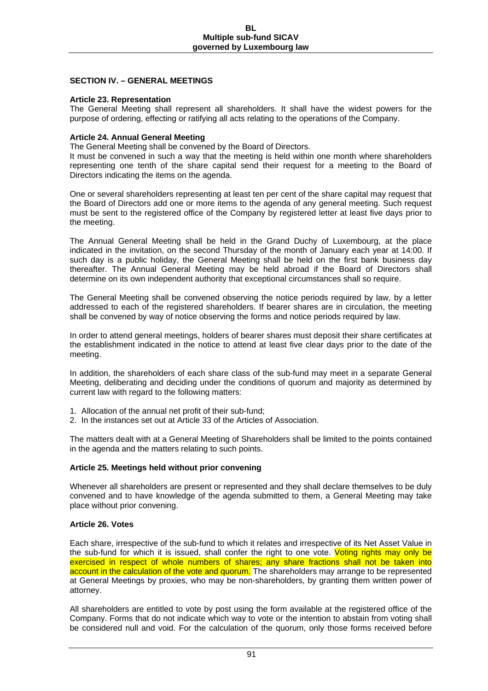# **SECTION IV. – GENERAL MEETINGS**

# **Article 23. Representation**

The General Meeting shall represent all shareholders. It shall have the widest powers for the purpose of ordering, effecting or ratifying all acts relating to the operations of the Company.

#### **Article 24. Annual General Meeting**

The General Meeting shall be convened by the Board of Directors.

It must be convened in such a way that the meeting is held within one month where shareholders representing one tenth of the share capital send their request for a meeting to the Board of Directors indicating the items on the agenda.

One or several shareholders representing at least ten per cent of the share capital may request that the Board of Directors add one or more items to the agenda of any general meeting. Such request must be sent to the registered office of the Company by registered letter at least five days prior to the meeting.

The Annual General Meeting shall be held in the Grand Duchy of Luxembourg, at the place indicated in the invitation, on the second Thursday of the month of January each year at 14:00. If such day is a public holiday, the General Meeting shall be held on the first bank business day thereafter. The Annual General Meeting may be held abroad if the Board of Directors shall determine on its own independent authority that exceptional circumstances shall so require.

The General Meeting shall be convened observing the notice periods required by law, by a letter addressed to each of the registered shareholders. If bearer shares are in circulation, the meeting shall be convened by way of notice observing the forms and notice periods required by law.

In order to attend general meetings, holders of bearer shares must deposit their share certificates at the establishment indicated in the notice to attend at least five clear days prior to the date of the meeting.

In addition, the shareholders of each share class of the sub-fund may meet in a separate General Meeting, deliberating and deciding under the conditions of quorum and majority as determined by current law with regard to the following matters:

- 1. Allocation of the annual net profit of their sub-fund;
- 2. In the instances set out at Article 33 of the Articles of Association.

The matters dealt with at a General Meeting of Shareholders shall be limited to the points contained in the agenda and the matters relating to such points.

# **Article 25. Meetings held without prior convening**

Whenever all shareholders are present or represented and they shall declare themselves to be duly convened and to have knowledge of the agenda submitted to them, a General Meeting may take place without prior convening.

# **Article 26. Votes**

Each share, irrespective of the sub-fund to which it relates and irrespective of its Net Asset Value in the sub-fund for which it is issued, shall confer the right to one vote. Voting rights may only be exercised in respect of whole numbers of shares; any share fractions shall not be taken into account in the calculation of the vote and quorum. The shareholders may arrange to be represented at General Meetings by proxies, who may be non-shareholders, by granting them written power of attorney.

All shareholders are entitled to vote by post using the form available at the registered office of the Company. Forms that do not indicate which way to vote or the intention to abstain from voting shall be considered null and void. For the calculation of the quorum, only those forms received before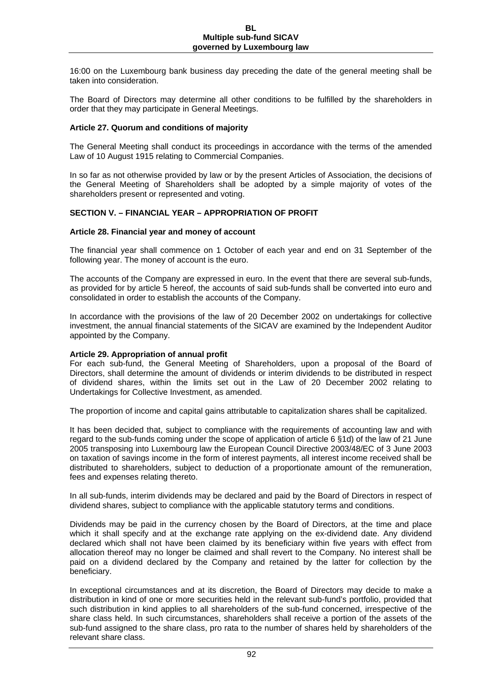16:00 on the Luxembourg bank business day preceding the date of the general meeting shall be taken into consideration.

The Board of Directors may determine all other conditions to be fulfilled by the shareholders in order that they may participate in General Meetings.

#### **Article 27. Quorum and conditions of majority**

The General Meeting shall conduct its proceedings in accordance with the terms of the amended Law of 10 August 1915 relating to Commercial Companies.

In so far as not otherwise provided by law or by the present Articles of Association, the decisions of the General Meeting of Shareholders shall be adopted by a simple majority of votes of the shareholders present or represented and voting.

#### **SECTION V. – FINANCIAL YEAR – APPROPRIATION OF PROFIT**

#### **Article 28. Financial year and money of account**

The financial year shall commence on 1 October of each year and end on 31 September of the following year. The money of account is the euro.

The accounts of the Company are expressed in euro. In the event that there are several sub-funds, as provided for by article 5 hereof, the accounts of said sub-funds shall be converted into euro and consolidated in order to establish the accounts of the Company.

In accordance with the provisions of the law of 20 December 2002 on undertakings for collective investment, the annual financial statements of the SICAV are examined by the Independent Auditor appointed by the Company.

#### **Article 29. Appropriation of annual profit**

For each sub-fund, the General Meeting of Shareholders, upon a proposal of the Board of Directors, shall determine the amount of dividends or interim dividends to be distributed in respect of dividend shares, within the limits set out in the Law of 20 December 2002 relating to Undertakings for Collective Investment, as amended.

The proportion of income and capital gains attributable to capitalization shares shall be capitalized.

It has been decided that, subject to compliance with the requirements of accounting law and with regard to the sub-funds coming under the scope of application of article 6 §1d) of the law of 21 June 2005 transposing into Luxembourg law the European Council Directive 2003/48/EC of 3 June 2003 on taxation of savings income in the form of interest payments, all interest income received shall be distributed to shareholders, subject to deduction of a proportionate amount of the remuneration, fees and expenses relating thereto.

In all sub-funds, interim dividends may be declared and paid by the Board of Directors in respect of dividend shares, subject to compliance with the applicable statutory terms and conditions.

Dividends may be paid in the currency chosen by the Board of Directors, at the time and place which it shall specify and at the exchange rate applying on the ex-dividend date. Any dividend declared which shall not have been claimed by its beneficiary within five years with effect from allocation thereof may no longer be claimed and shall revert to the Company. No interest shall be paid on a dividend declared by the Company and retained by the latter for collection by the beneficiary.

In exceptional circumstances and at its discretion, the Board of Directors may decide to make a distribution in kind of one or more securities held in the relevant sub-fund's portfolio, provided that such distribution in kind applies to all shareholders of the sub-fund concerned, irrespective of the share class held. In such circumstances, shareholders shall receive a portion of the assets of the sub-fund assigned to the share class, pro rata to the number of shares held by shareholders of the relevant share class.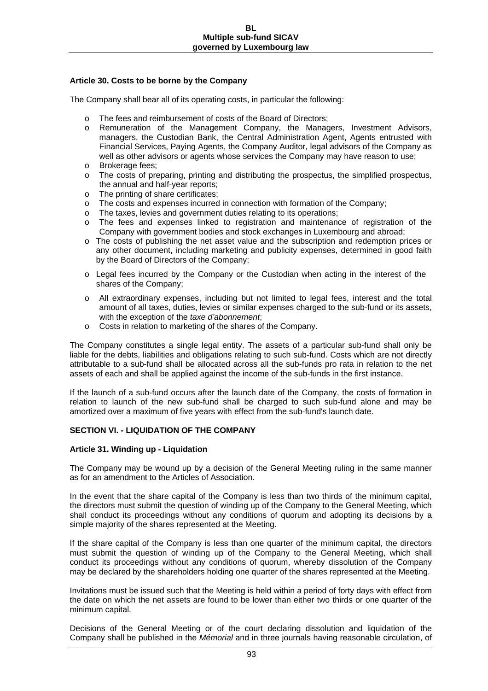# **Article 30. Costs to be borne by the Company**

The Company shall bear all of its operating costs, in particular the following:

- o The fees and reimbursement of costs of the Board of Directors;
- o Remuneration of the Management Company, the Managers, Investment Advisors, managers, the Custodian Bank, the Central Administration Agent, Agents entrusted with Financial Services, Paying Agents, the Company Auditor, legal advisors of the Company as well as other advisors or agents whose services the Company may have reason to use;
- o Brokerage fees;
- o The costs of preparing, printing and distributing the prospectus, the simplified prospectus, the annual and half-year reports;
- o The printing of share certificates;
- o The costs and expenses incurred in connection with formation of the Company;
- o The taxes, levies and government duties relating to its operations;
- o The fees and expenses linked to registration and maintenance of registration of the Company with government bodies and stock exchanges in Luxembourg and abroad;
- o The costs of publishing the net asset value and the subscription and redemption prices or any other document, including marketing and publicity expenses, determined in good faith by the Board of Directors of the Company;
- o Legal fees incurred by the Company or the Custodian when acting in the interest of the shares of the Company;
- o All extraordinary expenses, including but not limited to legal fees, interest and the total amount of all taxes, duties, levies or similar expenses charged to the sub-fund or its assets, with the exception of the *taxe d'abonnement*;
- o Costs in relation to marketing of the shares of the Company.

The Company constitutes a single legal entity. The assets of a particular sub-fund shall only be liable for the debts, liabilities and obligations relating to such sub-fund. Costs which are not directly attributable to a sub-fund shall be allocated across all the sub-funds pro rata in relation to the net assets of each and shall be applied against the income of the sub-funds in the first instance.

If the launch of a sub-fund occurs after the launch date of the Company, the costs of formation in relation to launch of the new sub-fund shall be charged to such sub-fund alone and may be amortized over a maximum of five years with effect from the sub-fund's launch date.

# **SECTION VI. - LIQUIDATION OF THE COMPANY**

#### **Article 31. Winding up - Liquidation**

The Company may be wound up by a decision of the General Meeting ruling in the same manner as for an amendment to the Articles of Association.

In the event that the share capital of the Company is less than two thirds of the minimum capital, the directors must submit the question of winding up of the Company to the General Meeting, which shall conduct its proceedings without any conditions of quorum and adopting its decisions by a simple majority of the shares represented at the Meeting.

If the share capital of the Company is less than one quarter of the minimum capital, the directors must submit the question of winding up of the Company to the General Meeting, which shall conduct its proceedings without any conditions of quorum, whereby dissolution of the Company may be declared by the shareholders holding one quarter of the shares represented at the Meeting.

Invitations must be issued such that the Meeting is held within a period of forty days with effect from the date on which the net assets are found to be lower than either two thirds or one quarter of the minimum capital.

Decisions of the General Meeting or of the court declaring dissolution and liquidation of the Company shall be published in the *Mémorial* and in three journals having reasonable circulation, of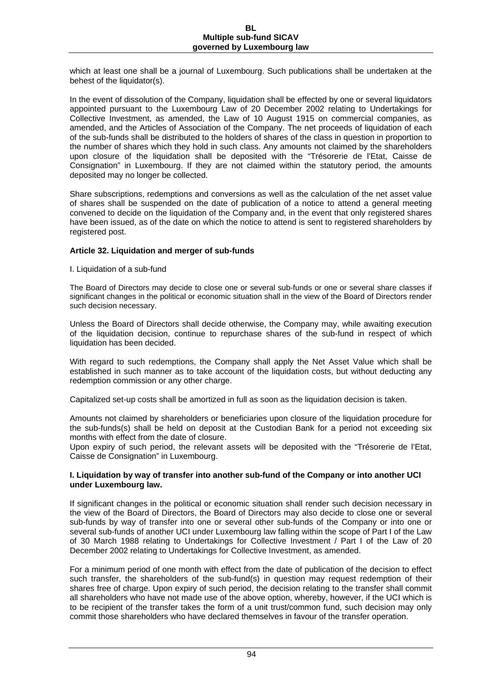which at least one shall be a journal of Luxembourg. Such publications shall be undertaken at the behest of the liquidator(s).

In the event of dissolution of the Company, liquidation shall be effected by one or several liquidators appointed pursuant to the Luxembourg Law of 20 December 2002 relating to Undertakings for Collective Investment, as amended, the Law of 10 August 1915 on commercial companies, as amended, and the Articles of Association of the Company. The net proceeds of liquidation of each of the sub-funds shall be distributed to the holders of shares of the class in question in proportion to the number of shares which they hold in such class. Any amounts not claimed by the shareholders upon closure of the liquidation shall be deposited with the "Trésorerie de l'Etat, Caisse de Consignation" in Luxembourg. If they are not claimed within the statutory period, the amounts deposited may no longer be collected.

Share subscriptions, redemptions and conversions as well as the calculation of the net asset value of shares shall be suspended on the date of publication of a notice to attend a general meeting convened to decide on the liquidation of the Company and, in the event that only registered shares have been issued, as of the date on which the notice to attend is sent to registered shareholders by registered post.

# **Article 32. Liquidation and merger of sub-funds**

I. Liquidation of a sub-fund

The Board of Directors may decide to close one or several sub-funds or one or several share classes if significant changes in the political or economic situation shall in the view of the Board of Directors render such decision necessary.

Unless the Board of Directors shall decide otherwise, the Company may, while awaiting execution of the liquidation decision, continue to repurchase shares of the sub-fund in respect of which liquidation has been decided.

With regard to such redemptions, the Company shall apply the Net Asset Value which shall be established in such manner as to take account of the liquidation costs, but without deducting any redemption commission or any other charge.

Capitalized set-up costs shall be amortized in full as soon as the liquidation decision is taken.

Amounts not claimed by shareholders or beneficiaries upon closure of the liquidation procedure for the sub-funds(s) shall be held on deposit at the Custodian Bank for a period not exceeding six months with effect from the date of closure.

Upon expiry of such period, the relevant assets will be deposited with the "Trésorerie de l'Etat, Caisse de Consignation" in Luxembourg.

#### **I. Liquidation by way of transfer into another sub-fund of the Company or into another UCI under Luxembourg law.**

If significant changes in the political or economic situation shall render such decision necessary in the view of the Board of Directors, the Board of Directors may also decide to close one or several sub-funds by way of transfer into one or several other sub-funds of the Company or into one or several sub-funds of another UCI under Luxembourg law falling within the scope of Part I of the Law of 30 March 1988 relating to Undertakings for Collective Investment / Part I of the Law of 20 December 2002 relating to Undertakings for Collective Investment, as amended.

For a minimum period of one month with effect from the date of publication of the decision to effect such transfer, the shareholders of the sub-fund(s) in question may request redemption of their shares free of charge. Upon expiry of such period, the decision relating to the transfer shall commit all shareholders who have not made use of the above option, whereby, however, if the UCI which is to be recipient of the transfer takes the form of a unit trust/common fund, such decision may only commit those shareholders who have declared themselves in favour of the transfer operation.